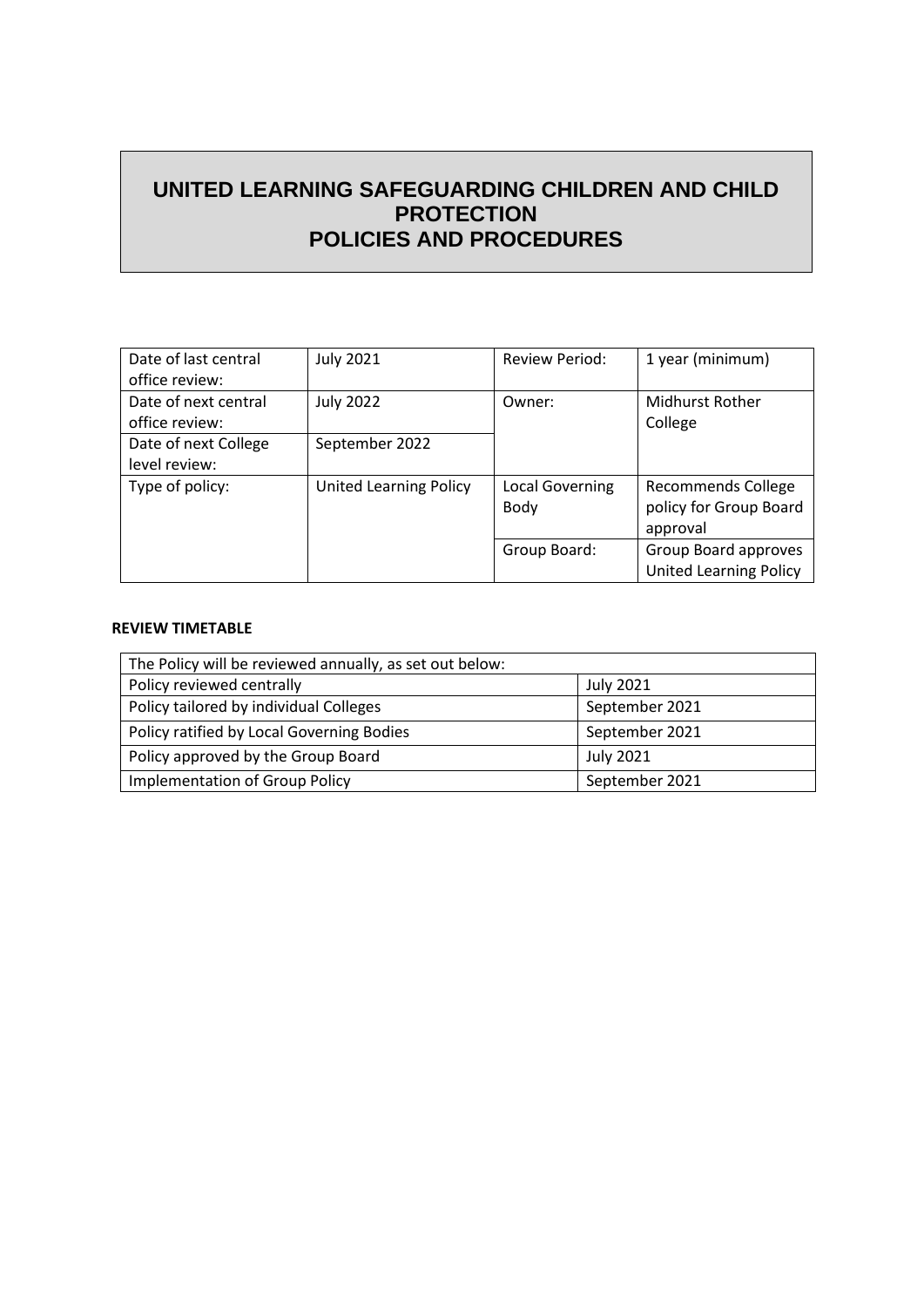## **UNITED LEARNING SAFEGUARDING CHILDREN AND CHILD PROTECTION POLICIES AND PROCEDURES**

| Date of last central<br>office review: | <b>July 2021</b>              | <b>Review Period:</b>          | 1 year (minimum)                                                |
|----------------------------------------|-------------------------------|--------------------------------|-----------------------------------------------------------------|
| Date of next central<br>office review: | <b>July 2022</b>              | Owner:                         | Midhurst Rother<br>College                                      |
| Date of next College<br>level review:  | September 2022                |                                |                                                                 |
| Type of policy:                        | <b>United Learning Policy</b> | <b>Local Governing</b><br>Body | <b>Recommends College</b><br>policy for Group Board<br>approval |
|                                        |                               | Group Board:                   | Group Board approves<br><b>United Learning Policy</b>           |

#### **REVIEW TIMETABLE**

| The Policy will be reviewed annually, as set out below: |                  |  |
|---------------------------------------------------------|------------------|--|
| Policy reviewed centrally                               | <b>July 2021</b> |  |
| Policy tailored by individual Colleges                  | September 2021   |  |
| Policy ratified by Local Governing Bodies               | September 2021   |  |
| Policy approved by the Group Board                      | <b>July 2021</b> |  |
| <b>Implementation of Group Policy</b>                   | September 2021   |  |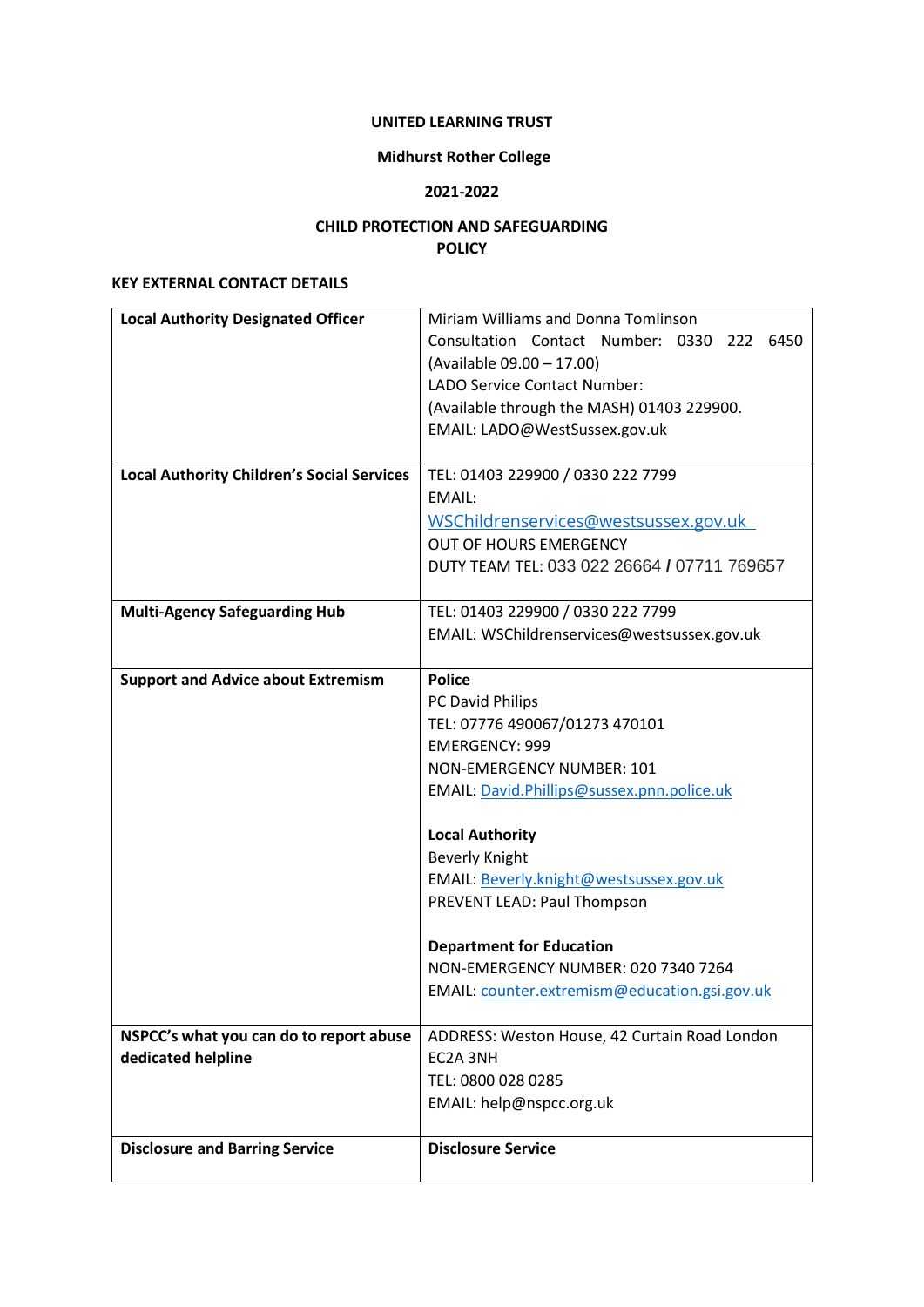#### **UNITED LEARNING TRUST**

#### **Midhurst Rother College**

#### **2021-2022**

## **CHILD PROTECTION AND SAFEGUARDING POLICY**

## **KEY EXTERNAL CONTACT DETAILS**

| <b>Local Authority Designated Officer</b>         | Miriam Williams and Donna Tomlinson           |  |  |  |
|---------------------------------------------------|-----------------------------------------------|--|--|--|
|                                                   | Consultation Contact Number: 0330 222 6450    |  |  |  |
|                                                   | (Available 09.00 - 17.00)                     |  |  |  |
|                                                   | LADO Service Contact Number:                  |  |  |  |
|                                                   | (Available through the MASH) 01403 229900.    |  |  |  |
|                                                   | EMAIL: LADO@WestSussex.gov.uk                 |  |  |  |
|                                                   |                                               |  |  |  |
| <b>Local Authority Children's Social Services</b> | TEL: 01403 229900 / 0330 222 7799             |  |  |  |
|                                                   | EMAIL:                                        |  |  |  |
|                                                   | WSChildrenservices@westsussex.gov.uk          |  |  |  |
|                                                   | OUT OF HOURS EMERGENCY                        |  |  |  |
|                                                   | DUTY TEAM TEL: 033 022 26664 / 07711 769657   |  |  |  |
|                                                   |                                               |  |  |  |
| <b>Multi-Agency Safeguarding Hub</b>              | TEL: 01403 229900 / 0330 222 7799             |  |  |  |
|                                                   | EMAIL: WSChildrenservices@westsussex.gov.uk   |  |  |  |
|                                                   |                                               |  |  |  |
| <b>Support and Advice about Extremism</b>         | <b>Police</b>                                 |  |  |  |
|                                                   | PC David Philips                              |  |  |  |
|                                                   | TEL: 07776 490067/01273 470101                |  |  |  |
|                                                   | <b>EMERGENCY: 999</b>                         |  |  |  |
|                                                   | NON-EMERGENCY NUMBER: 101                     |  |  |  |
|                                                   | EMAIL: David.Phillips@sussex.pnn.police.uk    |  |  |  |
|                                                   |                                               |  |  |  |
|                                                   | <b>Local Authority</b>                        |  |  |  |
|                                                   | <b>Beverly Knight</b>                         |  |  |  |
|                                                   | EMAIL: Beverly.knight@westsussex.gov.uk       |  |  |  |
|                                                   | PREVENT LEAD: Paul Thompson                   |  |  |  |
|                                                   |                                               |  |  |  |
|                                                   | <b>Department for Education</b>               |  |  |  |
|                                                   | NON-EMERGENCY NUMBER: 020 7340 7264           |  |  |  |
|                                                   | EMAIL: counter.extremism@education.gsi.gov.uk |  |  |  |
|                                                   |                                               |  |  |  |
| NSPCC's what you can do to report abuse           | ADDRESS: Weston House, 42 Curtain Road London |  |  |  |
| dedicated helpline                                | EC2A 3NH                                      |  |  |  |
|                                                   | TEL: 0800 028 0285                            |  |  |  |
|                                                   | EMAIL: help@nspcc.org.uk                      |  |  |  |
|                                                   |                                               |  |  |  |
| <b>Disclosure and Barring Service</b>             | <b>Disclosure Service</b>                     |  |  |  |
|                                                   |                                               |  |  |  |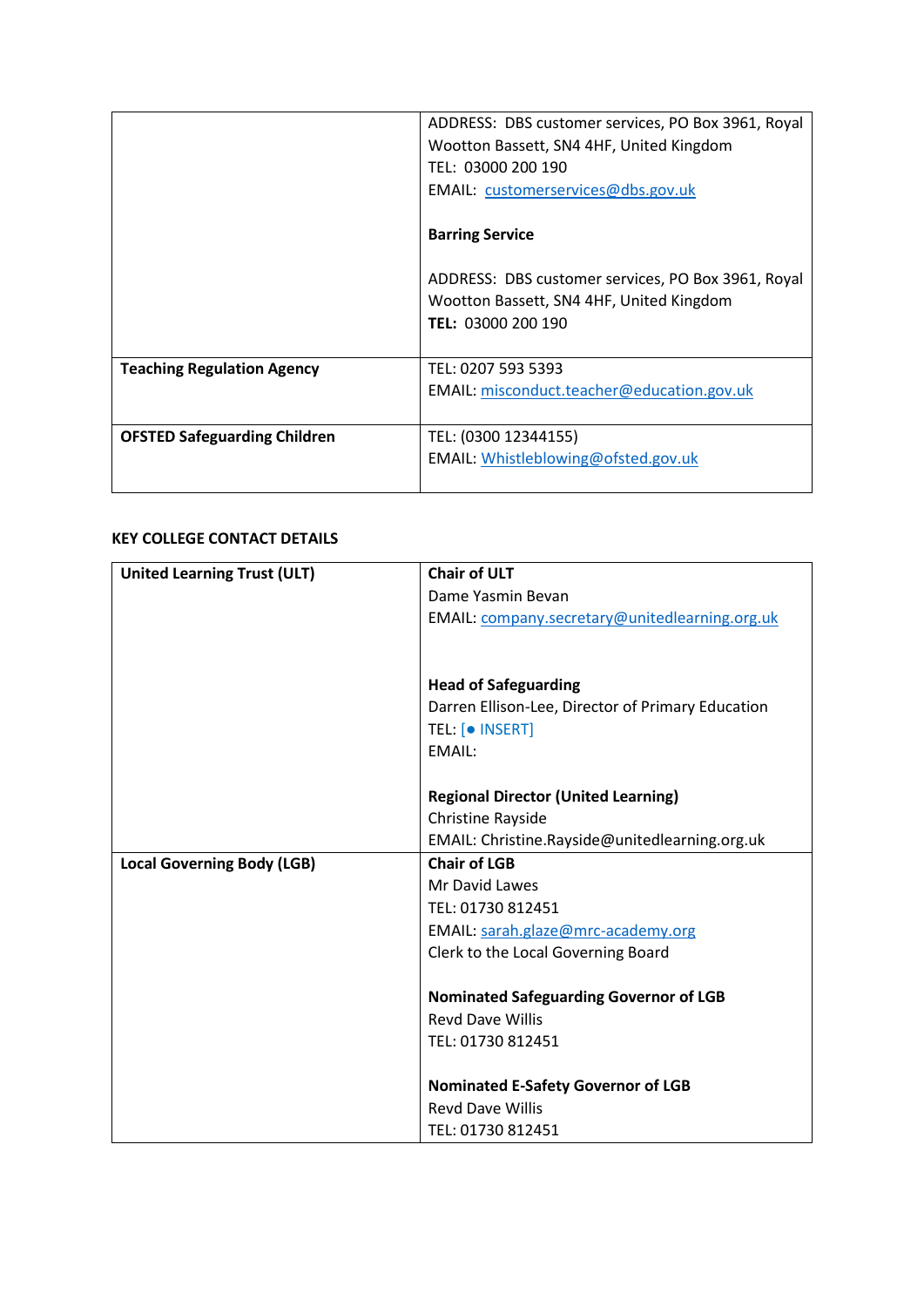|                                     | ADDRESS: DBS customer services, PO Box 3961, Royal |  |
|-------------------------------------|----------------------------------------------------|--|
|                                     | Wootton Bassett, SN4 4HF, United Kingdom           |  |
|                                     | TEL: 03000 200 190                                 |  |
|                                     | EMAIL: customerservices@dbs.gov.uk                 |  |
|                                     |                                                    |  |
|                                     | <b>Barring Service</b>                             |  |
|                                     |                                                    |  |
|                                     | ADDRESS: DBS customer services, PO Box 3961, Royal |  |
|                                     | Wootton Bassett, SN4 4HF, United Kingdom           |  |
|                                     | TEL: 03000 200 190                                 |  |
|                                     |                                                    |  |
| <b>Teaching Regulation Agency</b>   | TEL: 0207 593 5393                                 |  |
|                                     | EMAIL: misconduct.teacher@education.gov.uk         |  |
|                                     |                                                    |  |
| <b>OFSTED Safeguarding Children</b> | TEL: (0300 12344155)                               |  |
|                                     | EMAIL: Whistleblowing@ofsted.gov.uk                |  |
|                                     |                                                    |  |

## **KEY COLLEGE CONTACT DETAILS**

| <b>United Learning Trust (ULT)</b> | <b>Chair of ULT</b>                               |  |
|------------------------------------|---------------------------------------------------|--|
|                                    | Dame Yasmin Bevan                                 |  |
|                                    | EMAIL: company.secretary@unitedlearning.org.uk    |  |
|                                    |                                                   |  |
|                                    |                                                   |  |
|                                    | <b>Head of Safeguarding</b>                       |  |
|                                    | Darren Ellison-Lee, Director of Primary Education |  |
|                                    | TEL: [· INSERT]                                   |  |
|                                    | <b>EMAIL:</b>                                     |  |
|                                    |                                                   |  |
|                                    | <b>Regional Director (United Learning)</b>        |  |
|                                    | Christine Rayside                                 |  |
|                                    | EMAIL: Christine.Rayside@unitedlearning.org.uk    |  |
| <b>Local Governing Body (LGB)</b>  | <b>Chair of LGB</b>                               |  |
|                                    | Mr David Lawes                                    |  |
|                                    | TEL: 01730 812451                                 |  |
|                                    | EMAIL: sarah.glaze@mrc-academy.org                |  |
|                                    | Clerk to the Local Governing Board                |  |
|                                    |                                                   |  |
|                                    | <b>Nominated Safeguarding Governor of LGB</b>     |  |
|                                    | <b>Revd Dave Willis</b>                           |  |
|                                    | TEL: 01730 812451                                 |  |
|                                    |                                                   |  |
|                                    | <b>Nominated E-Safety Governor of LGB</b>         |  |
|                                    | <b>Revd Dave Willis</b>                           |  |
|                                    | TEL: 01730 812451                                 |  |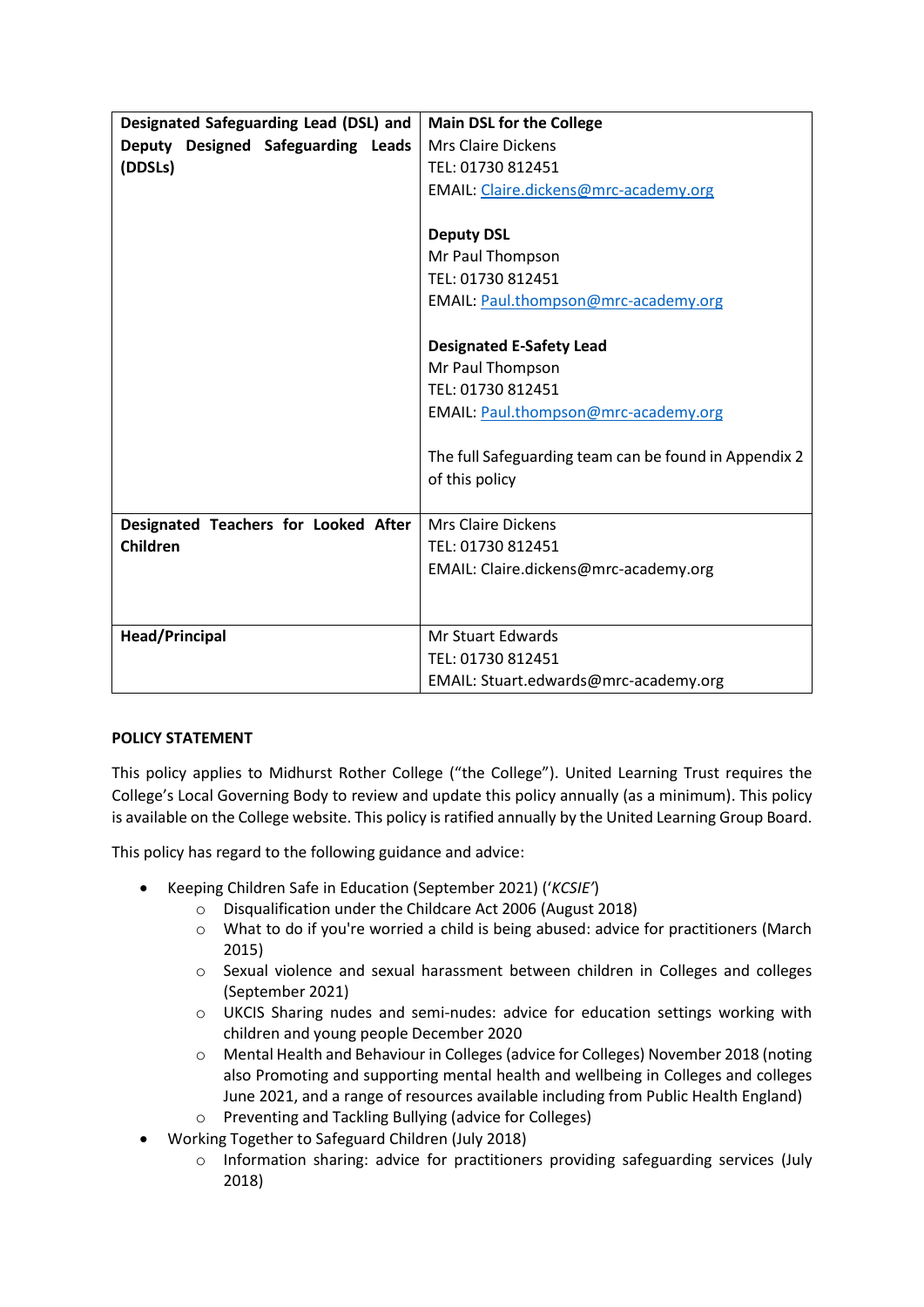| Designated Safeguarding Lead (DSL) and | <b>Main DSL for the College</b>                       |
|----------------------------------------|-------------------------------------------------------|
| Deputy Designed Safeguarding Leads     | <b>Mrs Claire Dickens</b>                             |
| (DDSLs)                                | TEL: 01730 812451                                     |
|                                        | EMAIL: Claire.dickens@mrc-academy.org                 |
|                                        |                                                       |
|                                        | <b>Deputy DSL</b>                                     |
|                                        | Mr Paul Thompson                                      |
|                                        | TEL: 01730 812451                                     |
|                                        | EMAIL: Paul.thompson@mrc-academy.org                  |
|                                        |                                                       |
|                                        | <b>Designated E-Safety Lead</b>                       |
|                                        | Mr Paul Thompson                                      |
|                                        | TEL: 01730 812451                                     |
|                                        | EMAIL: Paul.thompson@mrc-academy.org                  |
|                                        |                                                       |
|                                        | The full Safeguarding team can be found in Appendix 2 |
|                                        | of this policy                                        |
| Designated Teachers for Looked After   | <b>Mrs Claire Dickens</b>                             |
| Children                               | TEL: 01730 812451                                     |
|                                        | EMAIL: Claire.dickens@mrc-academy.org                 |
|                                        |                                                       |
|                                        |                                                       |
| <b>Head/Principal</b>                  | <b>Mr Stuart Edwards</b>                              |
|                                        | TEL: 01730 812451                                     |
|                                        | EMAIL: Stuart.edwards@mrc-academy.org                 |

## **POLICY STATEMENT**

This policy applies to Midhurst Rother College ("the College"). United Learning Trust requires the College's Local Governing Body to review and update this policy annually (as a minimum). This policy is available on the College website. This policy is ratified annually by the United Learning Group Board.

This policy has regard to the following guidance and advice:

- Keeping Children Safe in Education (September 2021) ('*KCSIE'*)
	- o Disqualification under the Childcare Act 2006 (August 2018)
	- o What to do if you're worried a child is being abused: advice for practitioners (March 2015)
	- o Sexual violence and sexual harassment between children in Colleges and colleges (September 2021)
	- o UKCIS Sharing nudes and semi-nudes: advice for education settings working with children and young people December 2020
	- o Mental Health and Behaviour in Colleges (advice for Colleges) November 2018 (noting also Promoting and supporting mental health and wellbeing in Colleges and colleges June 2021, and a range of resources available including from Public Health England) o Preventing and Tackling Bullying (advice for Colleges)
	- Working Together to Safeguard Children (July 2018)
		- o Information sharing: advice for practitioners providing safeguarding services (July 2018)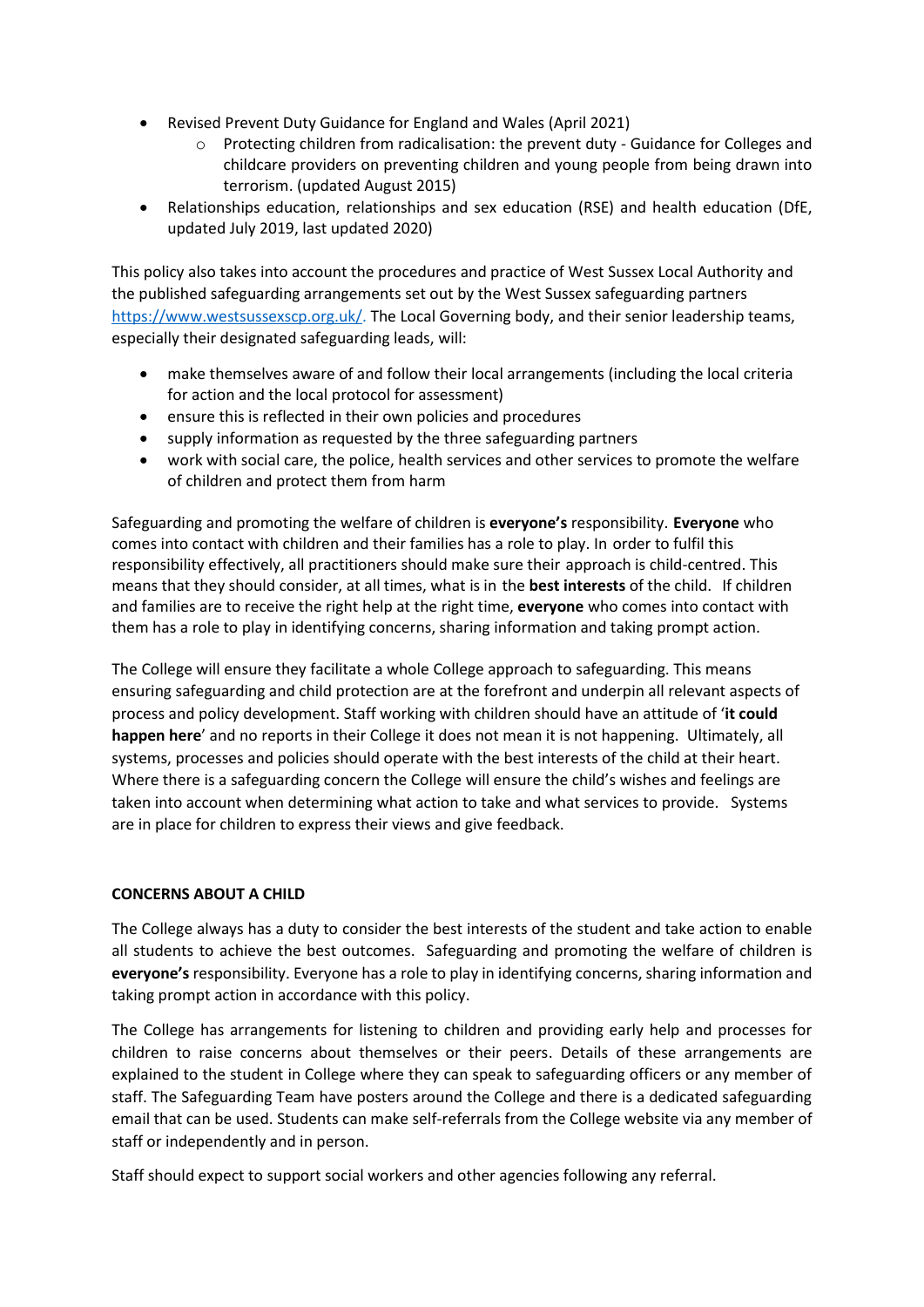- Revised Prevent Duty Guidance for England and Wales (April 2021)
	- o Protecting children from radicalisation: the prevent duty Guidance for Colleges and childcare providers on preventing children and young people from being drawn into terrorism. (updated August 2015)
- Relationships education, relationships and sex education (RSE) and health education (DfE, updated July 2019, last updated 2020)

This policy also takes into account the procedures and practice of West Sussex Local Authority and the published safeguarding arrangements set out by the West Sussex safeguarding partners [https://www.westsussexscp.org.uk/.](https://www.westsussexscp.org.uk/) The Local Governing body, and their senior leadership teams, especially their designated safeguarding leads, will:

- make themselves aware of and follow their local arrangements (including the local criteria for action and the local protocol for assessment)
- ensure this is reflected in their own policies and procedures
- supply information as requested by the three safeguarding partners
- work with social care, the police, health services and other services to promote the welfare of children and protect them from harm

Safeguarding and promoting the welfare of children is **everyone's** responsibility. **Everyone** who comes into contact with children and their families has a role to play. In order to fulfil this responsibility effectively, all practitioners should make sure their approach is child-centred. This means that they should consider, at all times, what is in the **best interests** of the child. If children and families are to receive the right help at the right time, **everyone** who comes into contact with them has a role to play in identifying concerns, sharing information and taking prompt action.

The College will ensure they facilitate a whole College approach to safeguarding. This means ensuring safeguarding and child protection are at the forefront and underpin all relevant aspects of process and policy development. Staff working with children should have an attitude of '**it could happen here**' and no reports in their College it does not mean it is not happening. Ultimately, all systems, processes and policies should operate with the best interests of the child at their heart. Where there is a safeguarding concern the College will ensure the child's wishes and feelings are taken into account when determining what action to take and what services to provide. Systems are in place for children to express their views and give feedback.

#### **CONCERNS ABOUT A CHILD**

The College always has a duty to consider the best interests of the student and take action to enable all students to achieve the best outcomes. Safeguarding and promoting the welfare of children is **everyone's** responsibility. Everyone has a role to play in identifying concerns, sharing information and taking prompt action in accordance with this policy.

The College has arrangements for listening to children and providing early help and processes for children to raise concerns about themselves or their peers. Details of these arrangements are explained to the student in College where they can speak to safeguarding officers or any member of staff. The Safeguarding Team have posters around the College and there is a dedicated safeguarding email that can be used. Students can make self-referrals from the College website via any member of staff or independently and in person.

Staff should expect to support social workers and other agencies following any referral.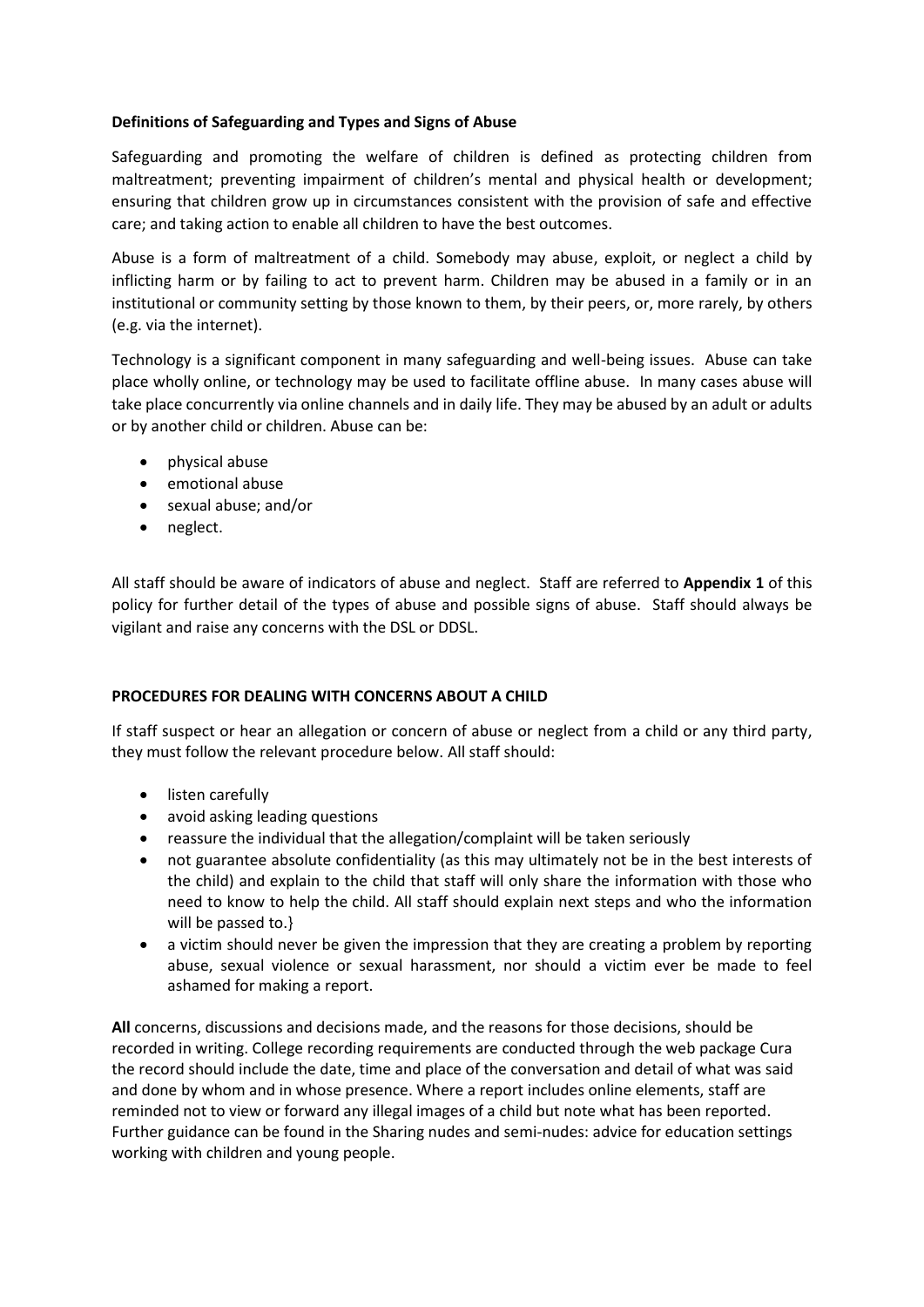#### **Definitions of Safeguarding and Types and Signs of Abuse**

Safeguarding and promoting the welfare of children is defined as protecting children from maltreatment; preventing impairment of children's mental and physical health or development; ensuring that children grow up in circumstances consistent with the provision of safe and effective care; and taking action to enable all children to have the best outcomes.

Abuse is a form of maltreatment of a child. Somebody may abuse, exploit, or neglect a child by inflicting harm or by failing to act to prevent harm. Children may be abused in a family or in an institutional or community setting by those known to them, by their peers, or, more rarely, by others (e.g. via the internet).

Technology is a significant component in many safeguarding and well-being issues. Abuse can take place wholly online, or technology may be used to facilitate offline abuse. In many cases abuse will take place concurrently via online channels and in daily life. They may be abused by an adult or adults or by another child or children. Abuse can be:

- physical abuse
- emotional abuse
- sexual abuse; and/or
- neglect.

All staff should be aware of indicators of abuse and neglect. Staff are referred to **Appendix 1** of this policy for further detail of the types of abuse and possible signs of abuse. Staff should always be vigilant and raise any concerns with the DSL or DDSL.

#### **PROCEDURES FOR DEALING WITH CONCERNS ABOUT A CHILD**

If staff suspect or hear an allegation or concern of abuse or neglect from a child or any third party, they must follow the relevant procedure below. All staff should:

- listen carefully
- avoid asking leading questions
- reassure the individual that the allegation/complaint will be taken seriously
- not guarantee absolute confidentiality (as this may ultimately not be in the best interests of the child) and explain to the child that staff will only share the information with those who need to know to help the child. All staff should explain next steps and who the information will be passed to.}
- a victim should never be given the impression that they are creating a problem by reporting abuse, sexual violence or sexual harassment, nor should a victim ever be made to feel ashamed for making a report.

**All** concerns, discussions and decisions made, and the reasons for those decisions, should be recorded in writing. College recording requirements are conducted through the web package Cura the record should include the date, time and place of the conversation and detail of what was said and done by whom and in whose presence. Where a report includes online elements, staff are reminded not to view or forward any illegal images of a child but note what has been reported. Further guidance can be found in the Sharing nudes and semi-nudes: advice for education settings working with children and young people.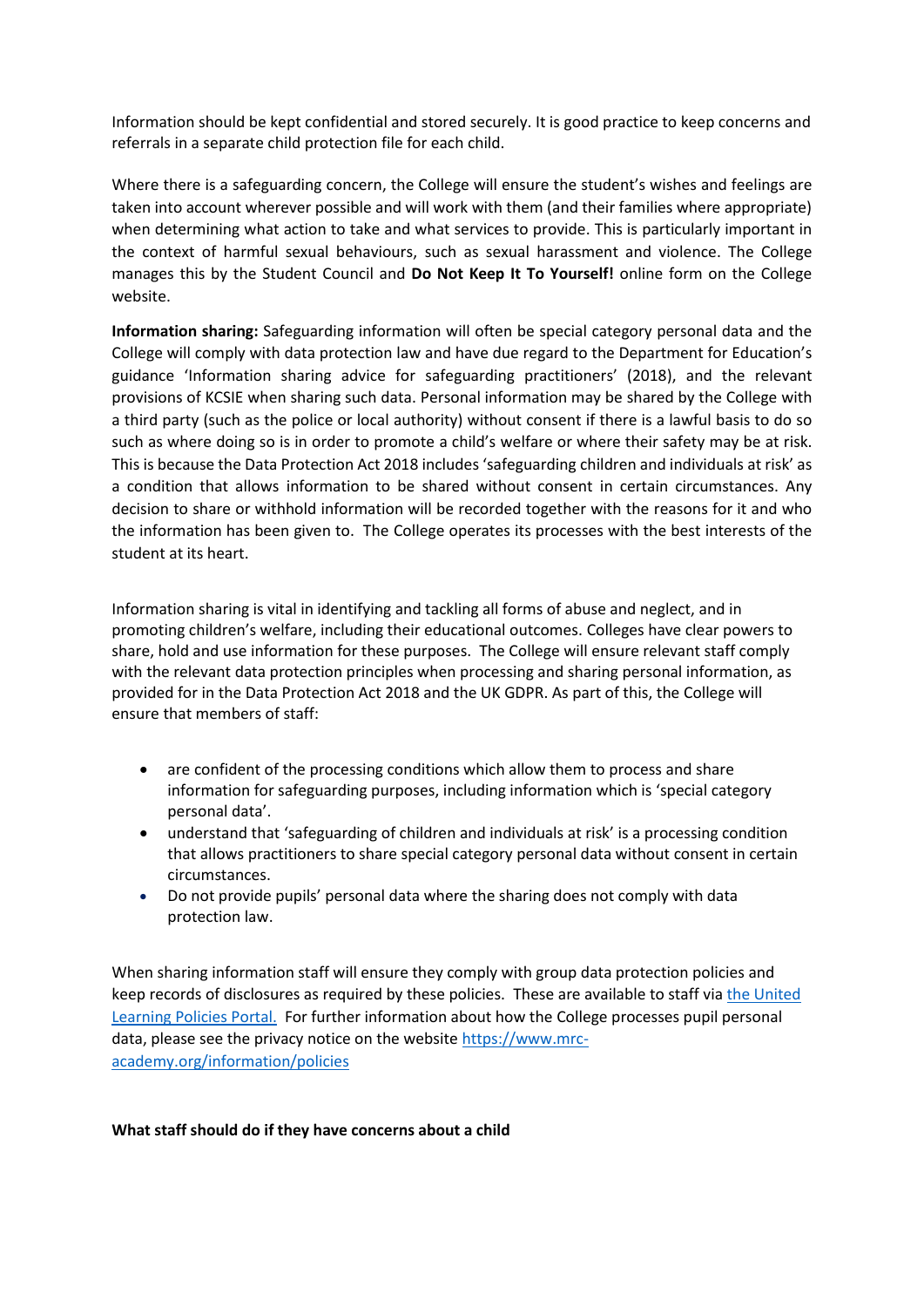Information should be kept confidential and stored securely. It is good practice to keep concerns and referrals in a separate child protection file for each child.

Where there is a safeguarding concern, the College will ensure the student's wishes and feelings are taken into account wherever possible and will work with them (and their families where appropriate) when determining what action to take and what services to provide. This is particularly important in the context of harmful sexual behaviours, such as sexual harassment and violence. The College manages this by the Student Council and **Do Not Keep It To Yourself!** online form on the College website.

**Information sharing:** Safeguarding information will often be special category personal data and the College will comply with data protection law and have due regard to the Department for Education's guidance 'Information sharing advice for safeguarding practitioners' (2018), and the relevant provisions of KCSIE when sharing such data. Personal information may be shared by the College with a third party (such as the police or local authority) without consent if there is a lawful basis to do so such as where doing so is in order to promote a child's welfare or where their safety may be at risk. This is because the Data Protection Act 2018 includes 'safeguarding children and individuals at risk' as a condition that allows information to be shared without consent in certain circumstances. Any decision to share or withhold information will be recorded together with the reasons for it and who the information has been given to. The College operates its processes with the best interests of the student at its heart.

Information sharing is vital in identifying and tackling all forms of abuse and neglect, and in promoting children's welfare, including their educational outcomes. Colleges have clear powers to share, hold and use information for these purposes. The College will ensure relevant staff comply with the relevant data protection principles when processing and sharing personal information, as provided for in the Data Protection Act 2018 and the UK GDPR. As part of this, the College will ensure that members of staff:

- are confident of the processing conditions which allow them to process and share information for safeguarding purposes, including information which is 'special category personal data'.
- understand that 'safeguarding of children and individuals at risk' is a processing condition that allows practitioners to share special category personal data without consent in certain circumstances.
- Do not provide pupils' personal data where the sharing does not comply with data protection law.

When sharing information staff will ensure they comply with group data protection policies and keep records of disclosures as required by these policies. These are available to staff vi[a the United](https://hub.unitedlearning.org.uk/sites/policies)  [Learning Policies Portal.](https://hub.unitedlearning.org.uk/sites/policies) For further information about how the College processes pupil personal data, please see the privacy notice on the websit[e https://www.mrc](https://www.mrc-academy.org/information/policies)[academy.org/information/policies](https://www.mrc-academy.org/information/policies)

#### **What staff should do if they have concerns about a child**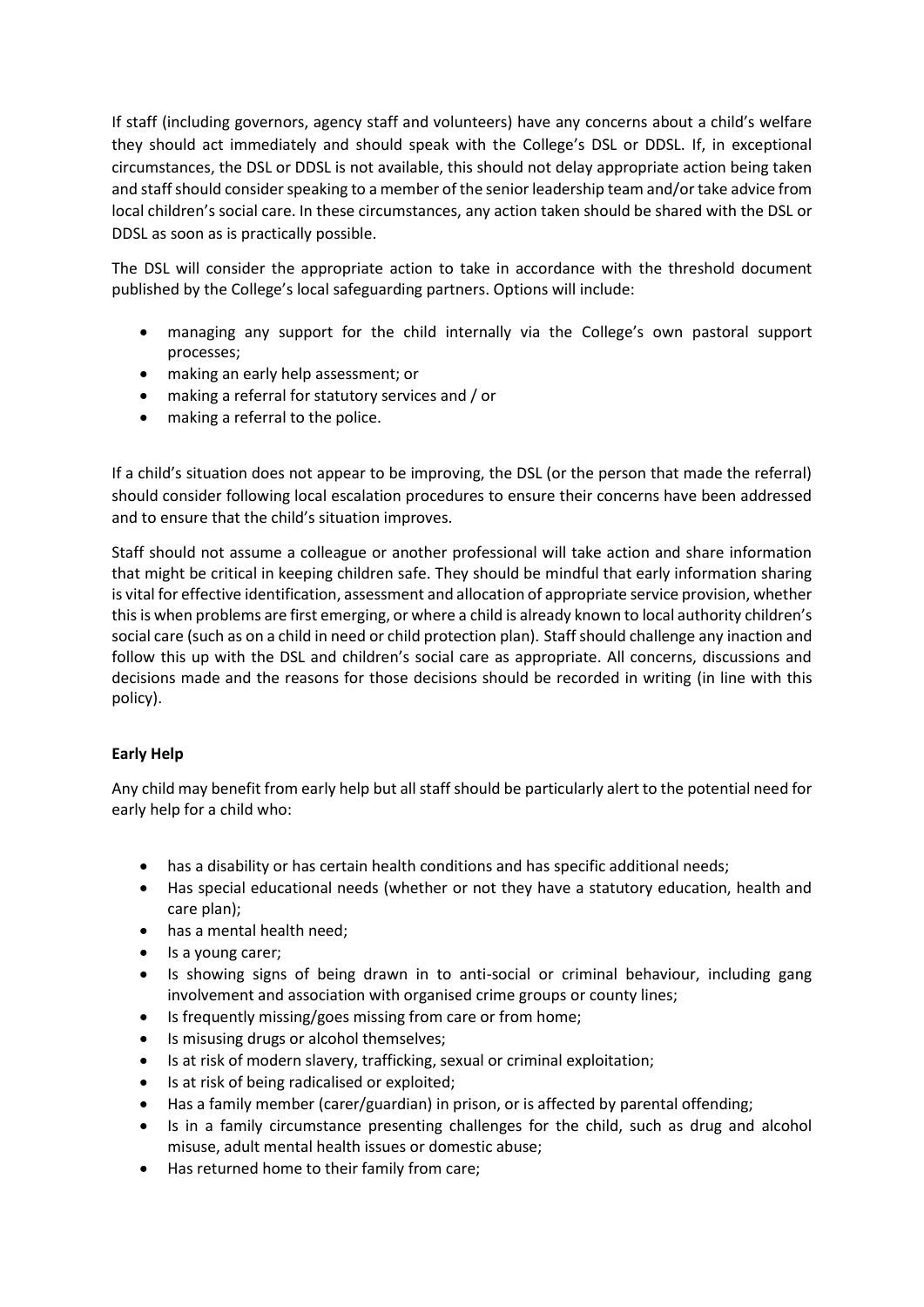If staff (including governors, agency staff and volunteers) have any concerns about a child's welfare they should act immediately and should speak with the College's DSL or DDSL. If, in exceptional circumstances, the DSL or DDSL is not available, this should not delay appropriate action being taken and staff should consider speaking to a member of the senior leadership team and/or take advice from local children's social care. In these circumstances, any action taken should be shared with the DSL or DDSL as soon as is practically possible.

The DSL will consider the appropriate action to take in accordance with the threshold document published by the College's local safeguarding partners. Options will include:

- managing any support for the child internally via the College's own pastoral support processes;
- making an early help assessment; or
- making a referral for statutory services and / or
- making a referral to the police.

If a child's situation does not appear to be improving, the DSL (or the person that made the referral) should consider following local escalation procedures to ensure their concerns have been addressed and to ensure that the child's situation improves.

Staff should not assume a colleague or another professional will take action and share information that might be critical in keeping children safe. They should be mindful that early information sharing is vital for effective identification, assessment and allocation of appropriate service provision, whether this is when problems are first emerging, or where a child is already known to local authority children's social care (such as on a child in need or child protection plan). Staff should challenge any inaction and follow this up with the DSL and children's social care as appropriate. All concerns, discussions and decisions made and the reasons for those decisions should be recorded in writing (in line with this policy).

#### **Early Help**

Any child may benefit from early help but all staff should be particularly alert to the potential need for early help for a child who:

- has a disability or has certain health conditions and has specific additional needs;
- Has special educational needs (whether or not they have a statutory education, health and care plan);
- has a mental health need;
- Is a young carer;
- Is showing signs of being drawn in to anti-social or criminal behaviour, including gang involvement and association with organised crime groups or county lines;
- Is frequently missing/goes missing from care or from home;
- Is misusing drugs or alcohol themselves;
- Is at risk of modern slavery, trafficking, sexual or criminal exploitation;
- Is at risk of being radicalised or exploited;
- Has a family member (carer/guardian) in prison, or is affected by parental offending;
- Is in a family circumstance presenting challenges for the child, such as drug and alcohol misuse, adult mental health issues or domestic abuse;
- Has returned home to their family from care;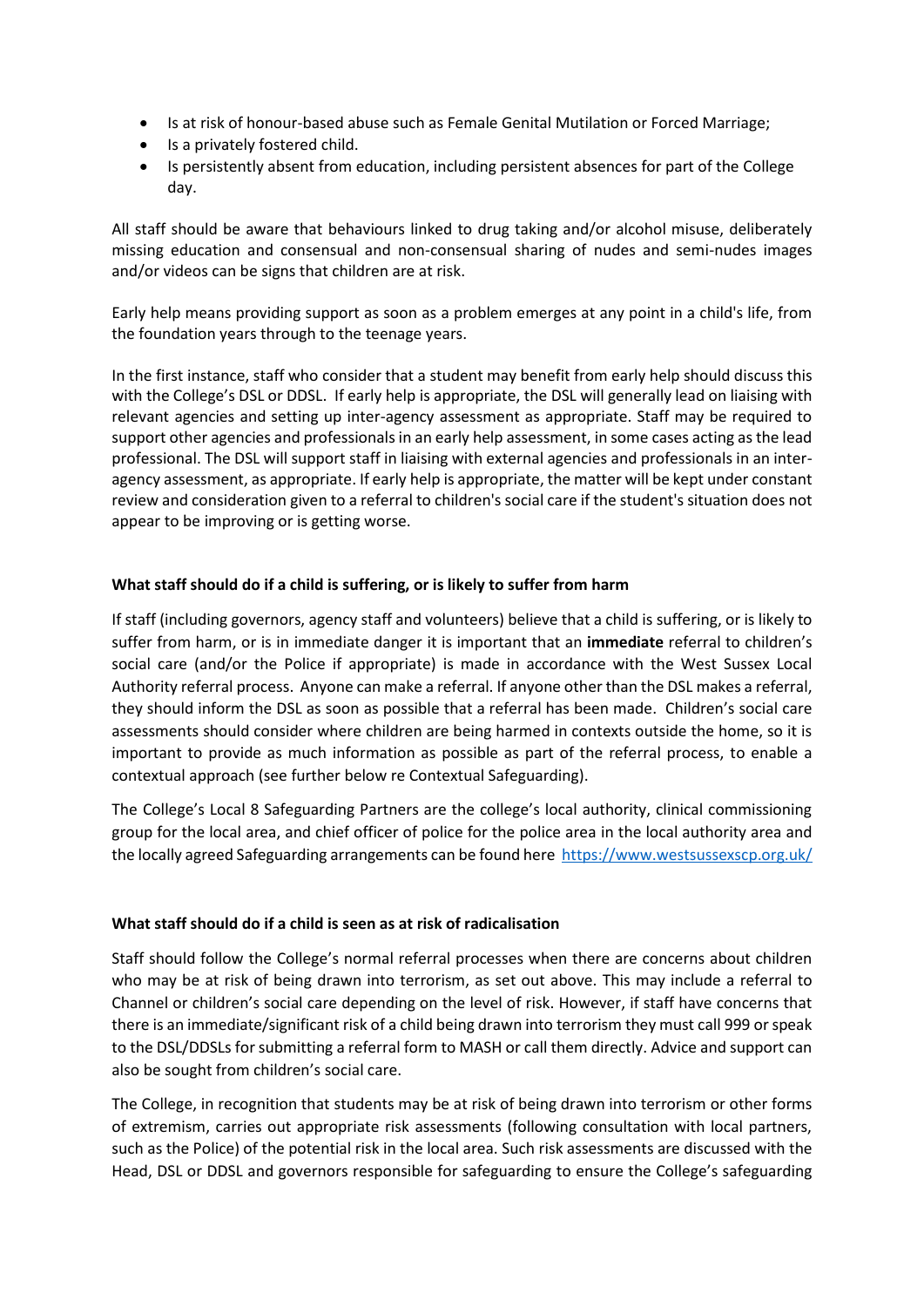- Is at risk of honour-based abuse such as Female Genital Mutilation or Forced Marriage;
- Is a privately fostered child.
- Is persistently absent from education, including persistent absences for part of the College day.

All staff should be aware that behaviours linked to drug taking and/or alcohol misuse, deliberately missing education and consensual and non-consensual sharing of nudes and semi-nudes images and/or videos can be signs that children are at risk.

Early help means providing support as soon as a problem emerges at any point in a child's life, from the foundation years through to the teenage years.

In the first instance, staff who consider that a student may benefit from early help should discuss this with the College's DSL or DDSL. If early help is appropriate, the DSL will generally lead on liaising with relevant agencies and setting up inter-agency assessment as appropriate. Staff may be required to support other agencies and professionals in an early help assessment, in some cases acting as the lead professional. The DSL will support staff in liaising with external agencies and professionals in an interagency assessment, as appropriate. If early help is appropriate, the matter will be kept under constant review and consideration given to a referral to children's social care if the student's situation does not appear to be improving or is getting worse.

#### **What staff should do if a child is suffering, or is likely to suffer from harm**

If staff (including governors, agency staff and volunteers) believe that a child is suffering, or is likely to suffer from harm, or is in immediate danger it is important that an **immediate** referral to children's social care (and/or the Police if appropriate) is made in accordance with the West Sussex Local Authority referral process. Anyone can make a referral. If anyone other than the DSL makes a referral, they should inform the DSL as soon as possible that a referral has been made. Children's social care assessments should consider where children are being harmed in contexts outside the home, so it is important to provide as much information as possible as part of the referral process, to enable a contextual approach (see further below re Contextual Safeguarding).

The College's Local 8 Safeguarding Partners are the college's local authority, clinical commissioning group for the local area, and chief officer of police for the police area in the local authority area and the locally agreed Safeguarding arrangements can be found here<https://www.westsussexscp.org.uk/>

#### **What staff should do if a child is seen as at risk of radicalisation**

Staff should follow the College's normal referral processes when there are concerns about children who may be at risk of being drawn into terrorism, as set out above. This may include a referral to Channel or children's social care depending on the level of risk. However, if staff have concerns that there is an immediate/significant risk of a child being drawn into terrorism they must call 999 or speak to the DSL/DDSLs for submitting a referral form to MASH or call them directly. Advice and support can also be sought from children's social care.

The College, in recognition that students may be at risk of being drawn into terrorism or other forms of extremism, carries out appropriate risk assessments (following consultation with local partners, such as the Police) of the potential risk in the local area. Such risk assessments are discussed with the Head, DSL or DDSL and governors responsible for safeguarding to ensure the College's safeguarding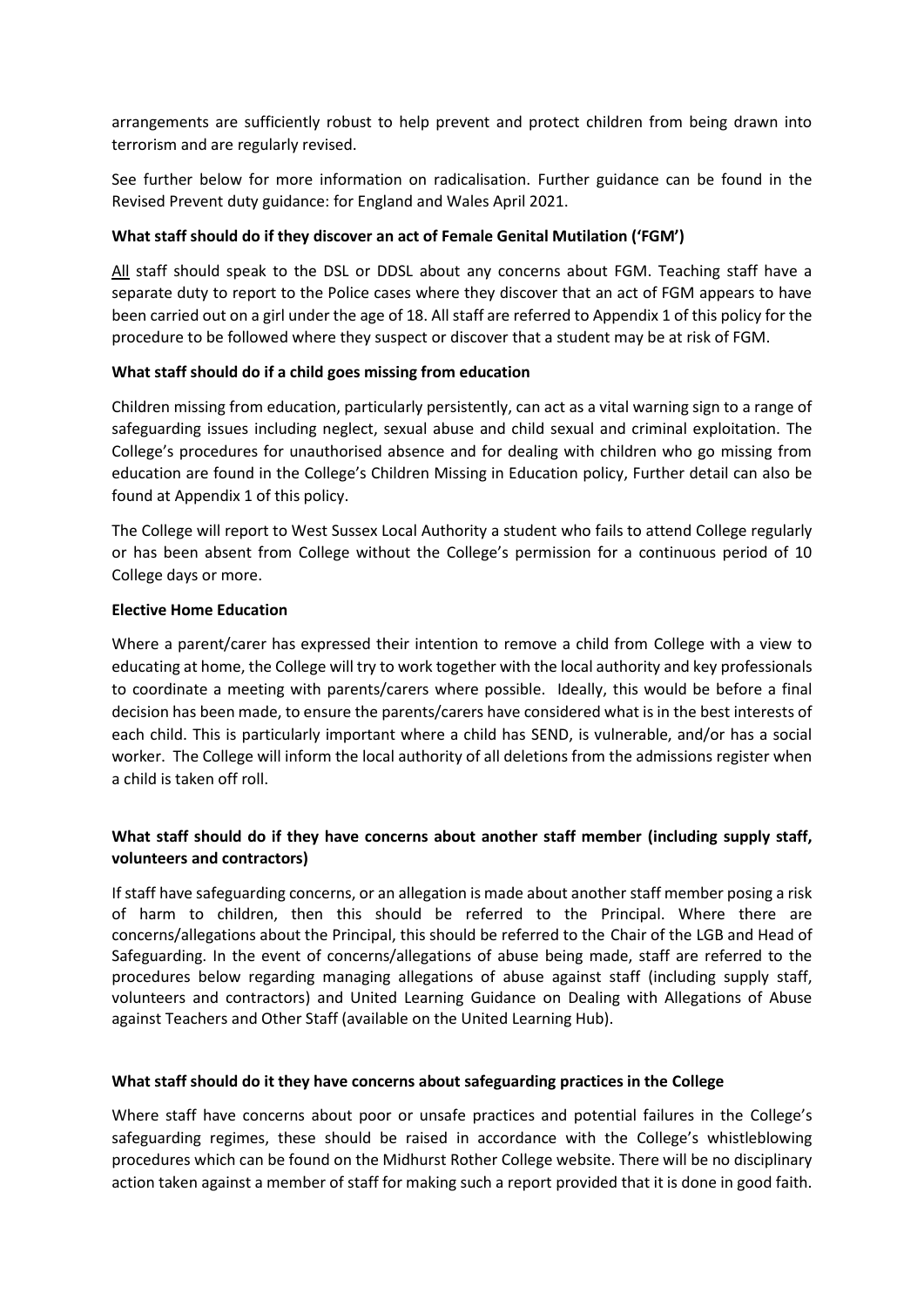arrangements are sufficiently robust to help prevent and protect children from being drawn into terrorism and are regularly revised.

See further below for more information on radicalisation. Further guidance can be found in the Revised Prevent duty guidance: for England and Wales April 2021.

#### **What staff should do if they discover an act of Female Genital Mutilation ('FGM')**

All staff should speak to the DSL or DDSL about any concerns about FGM. Teaching staff have a separate duty to report to the Police cases where they discover that an act of FGM appears to have been carried out on a girl under the age of 18. All staff are referred to Appendix 1 of this policy for the procedure to be followed where they suspect or discover that a student may be at risk of FGM.

#### **What staff should do if a child goes missing from education**

Children missing from education, particularly persistently, can act as a vital warning sign to a range of safeguarding issues including neglect, sexual abuse and child sexual and criminal exploitation. The College's procedures for unauthorised absence and for dealing with children who go missing from education are found in the College's Children Missing in Education policy, Further detail can also be found at Appendix 1 of this policy.

The College will report to West Sussex Local Authority a student who fails to attend College regularly or has been absent from College without the College's permission for a continuous period of 10 College days or more.

#### **Elective Home Education**

Where a parent/carer has expressed their intention to remove a child from College with a view to educating at home, the College will try to work together with the local authority and key professionals to coordinate a meeting with parents/carers where possible. Ideally, this would be before a final decision has been made, to ensure the parents/carers have considered what is in the best interests of each child. This is particularly important where a child has SEND, is vulnerable, and/or has a social worker. The College will inform the local authority of all deletions from the admissions register when a child is taken off roll.

## **What staff should do if they have concerns about another staff member (including supply staff, volunteers and contractors)**

If staff have safeguarding concerns, or an allegation is made about another staff member posing a risk of harm to children, then this should be referred to the Principal. Where there are concerns/allegations about the Principal, this should be referred to the Chair of the LGB and Head of Safeguarding. In the event of concerns/allegations of abuse being made, staff are referred to the procedures below regarding managing allegations of abuse against staff (including supply staff, volunteers and contractors) and United Learning Guidance on Dealing with Allegations of Abuse against Teachers and Other Staff (available on the United Learning Hub).

#### **What staff should do it they have concerns about safeguarding practices in the College**

Where staff have concerns about poor or unsafe practices and potential failures in the College's safeguarding regimes, these should be raised in accordance with the College's whistleblowing procedures which can be found on the Midhurst Rother College website. There will be no disciplinary action taken against a member of staff for making such a report provided that it is done in good faith.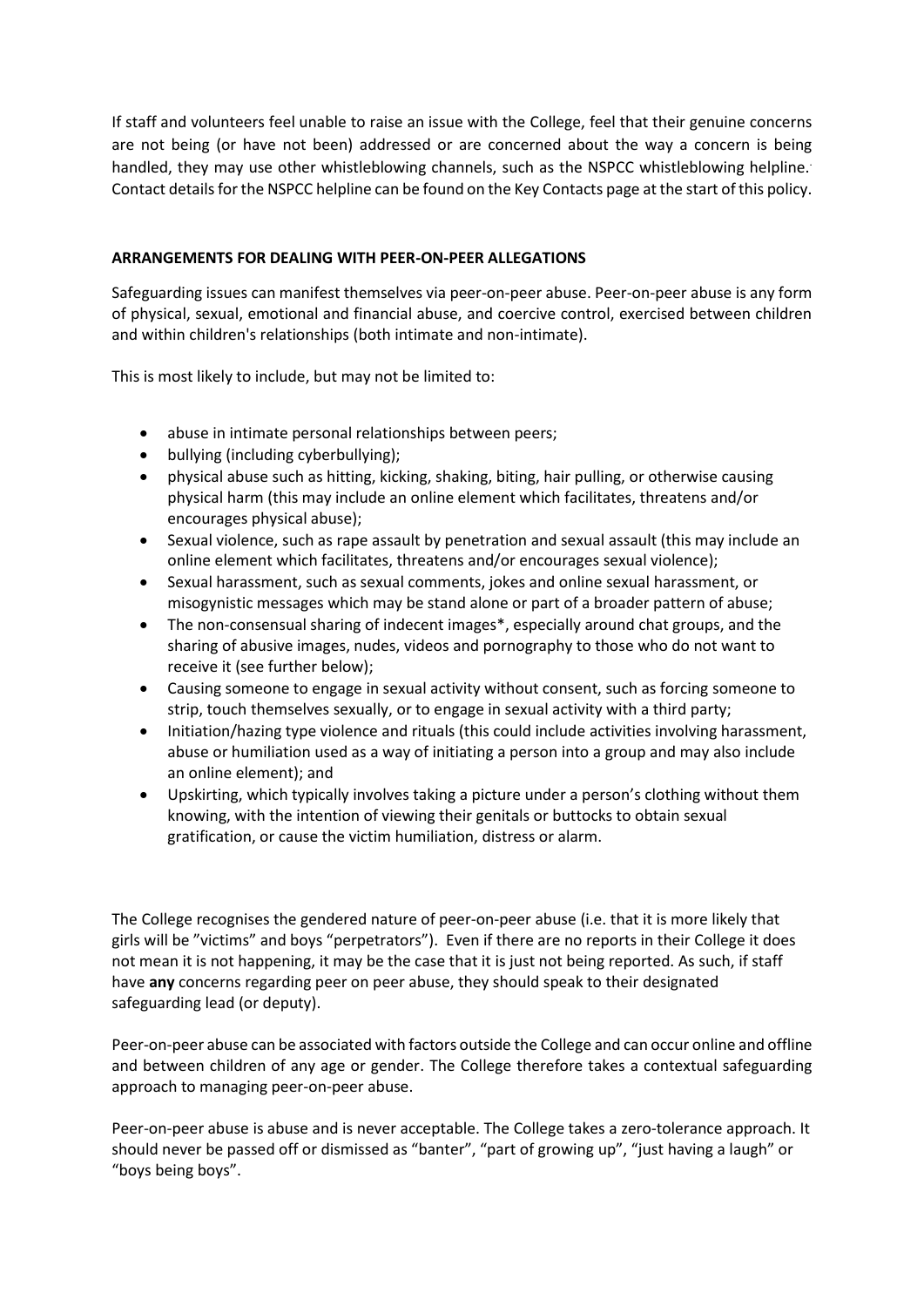If staff and volunteers feel unable to raise an issue with the College, feel that their genuine concerns are not being (or have not been) addressed or are concerned about the way a concern is being handled, they may use other whistleblowing channels, such as the NSPCC whistleblowing helpline. . Contact details for the NSPCC helpline can be found on the Key Contacts page at the start of this policy.

#### **ARRANGEMENTS FOR DEALING WITH PEER-ON-PEER ALLEGATIONS**

Safeguarding issues can manifest themselves via peer-on-peer abuse. Peer-on-peer abuse is any form of physical, sexual, emotional and financial abuse, and coercive control, exercised between children and within children's relationships (both intimate and non-intimate).

This is most likely to include, but may not be limited to:

- abuse in intimate personal relationships between peers;
- bullying (including cyberbullying);
- physical abuse such as hitting, kicking, shaking, biting, hair pulling, or otherwise causing physical harm (this may include an online element which facilitates, threatens and/or encourages physical abuse);
- Sexual violence, such as rape assault by penetration and sexual assault (this may include an online element which facilitates, threatens and/or encourages sexual violence);
- Sexual harassment, such as sexual comments, jokes and online sexual harassment, or misogynistic messages which may be stand alone or part of a broader pattern of abuse;
- The non-consensual sharing of indecent images\*, especially around chat groups, and the sharing of abusive images, nudes, videos and pornography to those who do not want to receive it (see further below);
- Causing someone to engage in sexual activity without consent, such as forcing someone to strip, touch themselves sexually, or to engage in sexual activity with a third party;
- Initiation/hazing type violence and rituals (this could include activities involving harassment, abuse or humiliation used as a way of initiating a person into a group and may also include an online element); and
- Upskirting, which typically involves taking a picture under a person's clothing without them knowing, with the intention of viewing their genitals or buttocks to obtain sexual gratification, or cause the victim humiliation, distress or alarm.

The College recognises the gendered nature of peer-on-peer abuse (i.e. that it is more likely that girls will be "victims" and boys "perpetrators"). Even if there are no reports in their College it does not mean it is not happening, it may be the case that it is just not being reported. As such, if staff have **any** concerns regarding peer on peer abuse, they should speak to their designated safeguarding lead (or deputy).

Peer-on-peer abuse can be associated with factors outside the College and can occur online and offline and between children of any age or gender. The College therefore takes a contextual safeguarding approach to managing peer-on-peer abuse.

Peer-on-peer abuse is abuse and is never acceptable. The College takes a zero-tolerance approach. It should never be passed off or dismissed as "banter", "part of growing up", "just having a laugh" or "boys being boys".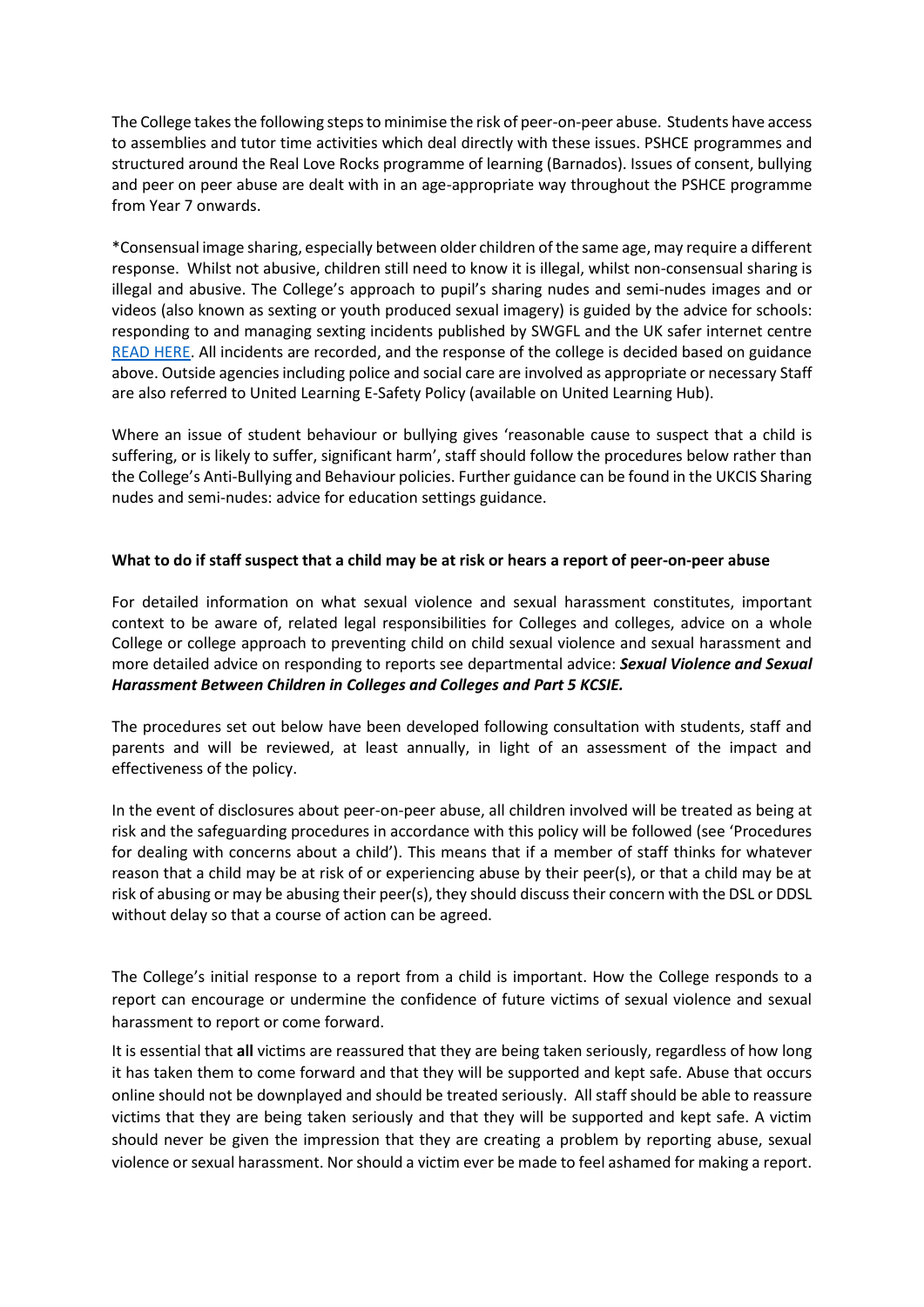The College takes the following steps to minimise the risk of peer-on-peer abuse. Students have access to assemblies and tutor time activities which deal directly with these issues. PSHCE programmes and structured around the Real Love Rocks programme of learning (Barnados). Issues of consent, bullying and peer on peer abuse are dealt with in an age-appropriate way throughout the PSHCE programme from Year 7 onwards.

\*Consensual image sharing, especially between older children of the same age, may require a different response. Whilst not abusive, children still need to know it is illegal, whilst non-consensual sharing is illegal and abusive. The College's approach to pupil's sharing nudes and semi-nudes images and or videos (also known as sexting or youth produced sexual imagery) is guided by the advice for schools: responding to and managing sexting incidents published by SWGFL and the UK safer internet centre [READ HERE.](https://www.saferinternet.org.uk/blog/responding-and-managing-sexting-incidents-updated-advice-schools) All incidents are recorded, and the response of the college is decided based on guidance above. Outside agencies including police and social care are involved as appropriate or necessary Staff are also referred to United Learning E-Safety Policy (available on United Learning Hub).

Where an issue of student behaviour or bullying gives 'reasonable cause to suspect that a child is suffering, or is likely to suffer, significant harm', staff should follow the procedures below rather than the College's Anti-Bullying and Behaviour policies. Further guidance can be found in the UKCIS Sharing nudes and semi-nudes: advice for education settings guidance.

#### **What to do if staff suspect that a child may be at risk or hears a report of peer-on-peer abuse**

For detailed information on what sexual violence and sexual harassment constitutes, important context to be aware of, related legal responsibilities for Colleges and colleges, advice on a whole College or college approach to preventing child on child sexual violence and sexual harassment and more detailed advice on responding to reports see departmental advice: *Sexual Violence and Sexual Harassment Between Children in Colleges and Colleges and Part 5 KCSIE.*

The procedures set out below have been developed following consultation with students, staff and parents and will be reviewed, at least annually, in light of an assessment of the impact and effectiveness of the policy.

In the event of disclosures about peer-on-peer abuse, all children involved will be treated as being at risk and the safeguarding procedures in accordance with this policy will be followed (see 'Procedures for dealing with concerns about a child'). This means that if a member of staff thinks for whatever reason that a child may be at risk of or experiencing abuse by their peer(s), or that a child may be at risk of abusing or may be abusing their peer(s), they should discuss their concern with the DSL or DDSL without delay so that a course of action can be agreed.

The College's initial response to a report from a child is important. How the College responds to a report can encourage or undermine the confidence of future victims of sexual violence and sexual harassment to report or come forward.

It is essential that **all** victims are reassured that they are being taken seriously, regardless of how long it has taken them to come forward and that they will be supported and kept safe. Abuse that occurs online should not be downplayed and should be treated seriously. All staff should be able to reassure victims that they are being taken seriously and that they will be supported and kept safe. A victim should never be given the impression that they are creating a problem by reporting abuse, sexual violence or sexual harassment. Nor should a victim ever be made to feel ashamed for making a report.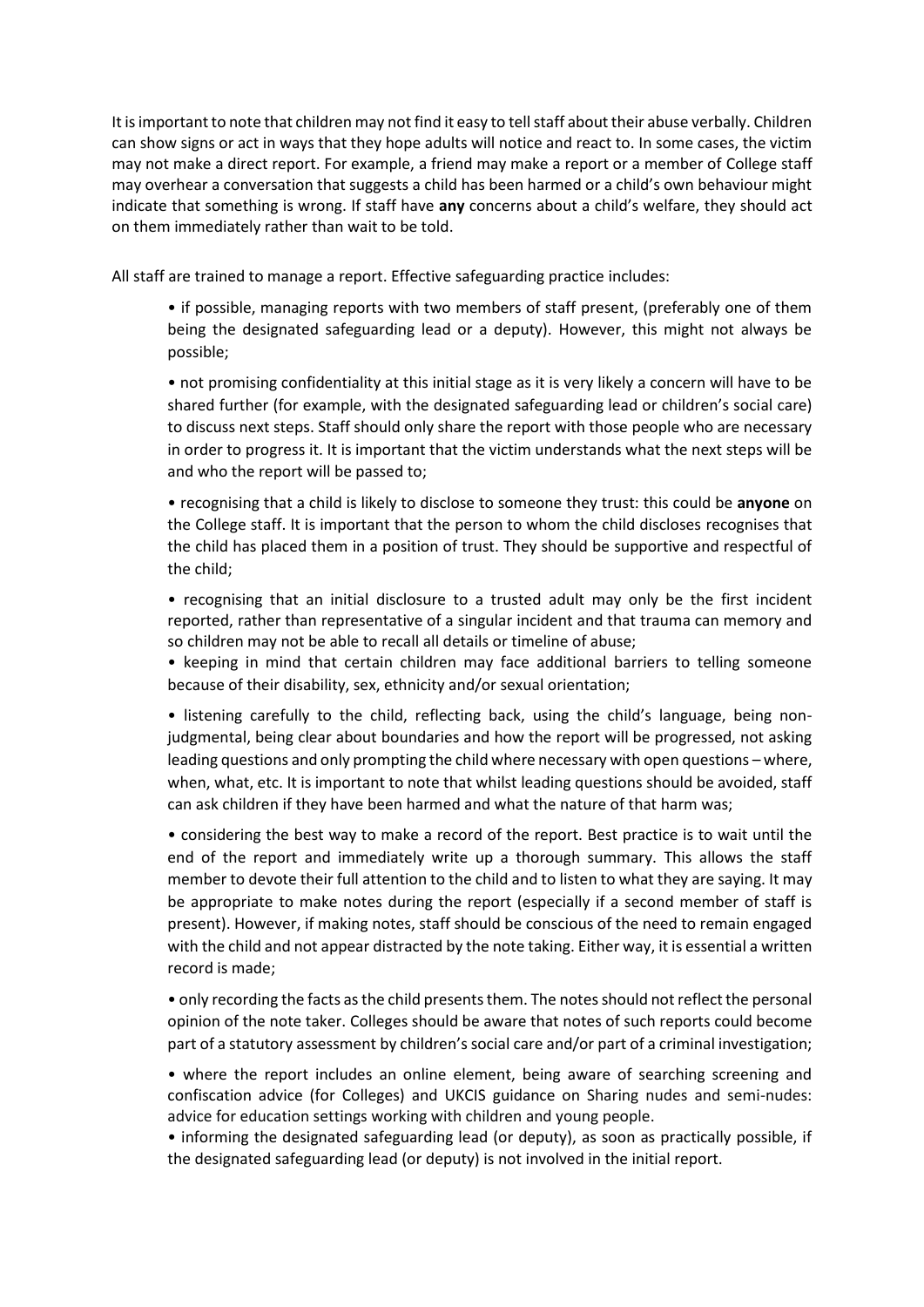It is important to note that children may not find it easy to tell staff about their abuse verbally. Children can show signs or act in ways that they hope adults will notice and react to. In some cases, the victim may not make a direct report. For example, a friend may make a report or a member of College staff may overhear a conversation that suggests a child has been harmed or a child's own behaviour might indicate that something is wrong. If staff have **any** concerns about a child's welfare, they should act on them immediately rather than wait to be told.

All staff are trained to manage a report. Effective safeguarding practice includes:

• if possible, managing reports with two members of staff present, (preferably one of them being the designated safeguarding lead or a deputy). However, this might not always be possible;

• not promising confidentiality at this initial stage as it is very likely a concern will have to be shared further (for example, with the designated safeguarding lead or children's social care) to discuss next steps. Staff should only share the report with those people who are necessary in order to progress it. It is important that the victim understands what the next steps will be and who the report will be passed to;

• recognising that a child is likely to disclose to someone they trust: this could be **anyone** on the College staff. It is important that the person to whom the child discloses recognises that the child has placed them in a position of trust. They should be supportive and respectful of the child;

• recognising that an initial disclosure to a trusted adult may only be the first incident reported, rather than representative of a singular incident and that trauma can memory and so children may not be able to recall all details or timeline of abuse;

• keeping in mind that certain children may face additional barriers to telling someone because of their disability, sex, ethnicity and/or sexual orientation;

• listening carefully to the child, reflecting back, using the child's language, being nonjudgmental, being clear about boundaries and how the report will be progressed, not asking leading questions and only prompting the child where necessary with open questions – where, when, what, etc. It is important to note that whilst leading questions should be avoided, staff can ask children if they have been harmed and what the nature of that harm was;

• considering the best way to make a record of the report. Best practice is to wait until the end of the report and immediately write up a thorough summary. This allows the staff member to devote their full attention to the child and to listen to what they are saying. It may be appropriate to make notes during the report (especially if a second member of staff is present). However, if making notes, staff should be conscious of the need to remain engaged with the child and not appear distracted by the note taking. Either way, it is essential a written record is made;

• only recording the facts as the child presents them. The notes should not reflect the personal opinion of the note taker. Colleges should be aware that notes of such reports could become part of a statutory assessment by children's social care and/or part of a criminal investigation;

• where the report includes an online element, being aware of searching screening and confiscation advice (for Colleges) and UKCIS guidance on Sharing nudes and semi-nudes: advice for education settings working with children and young people.

• informing the designated safeguarding lead (or deputy), as soon as practically possible, if the designated safeguarding lead (or deputy) is not involved in the initial report.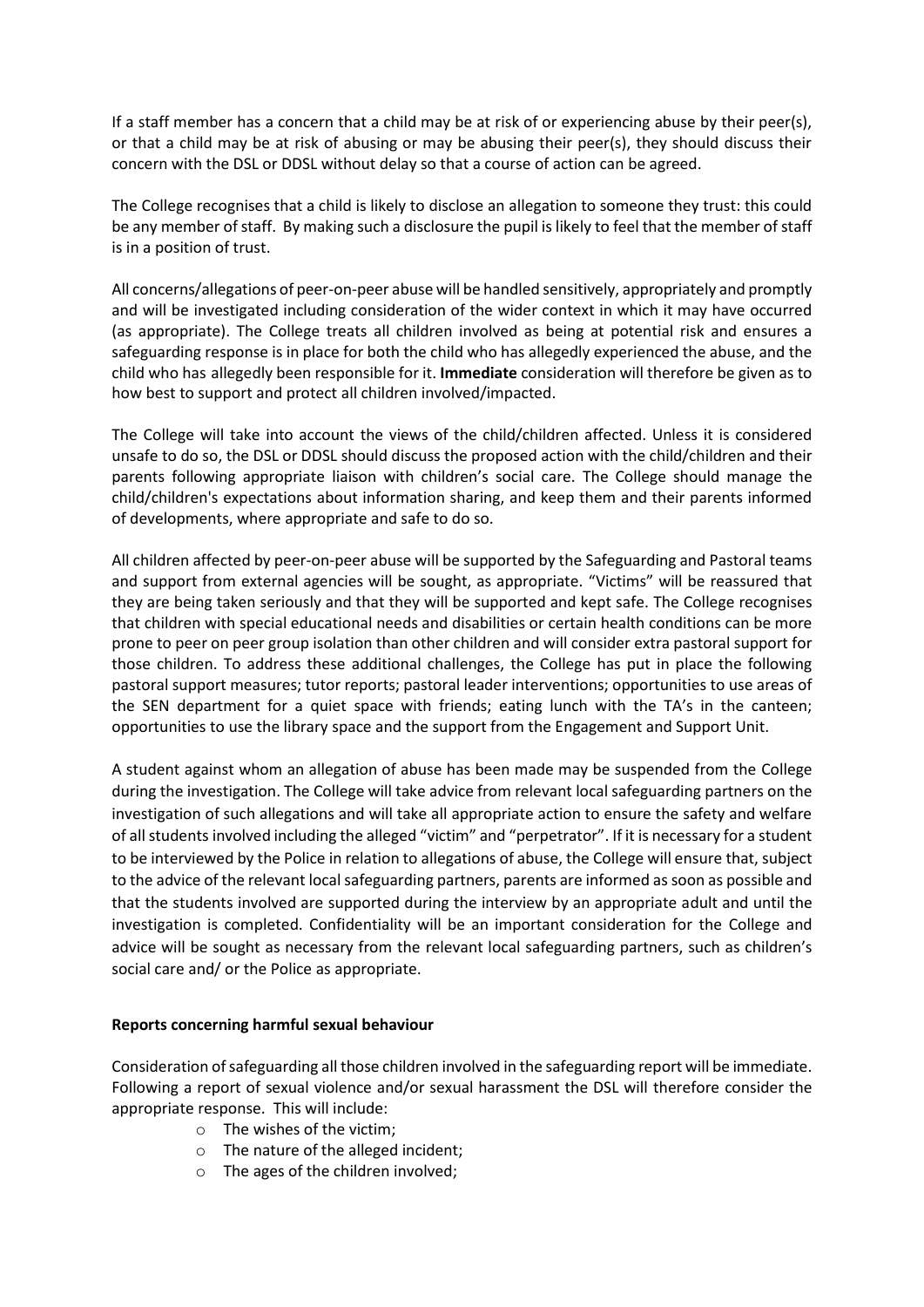If a staff member has a concern that a child may be at risk of or experiencing abuse by their peer(s), or that a child may be at risk of abusing or may be abusing their peer(s), they should discuss their concern with the DSL or DDSL without delay so that a course of action can be agreed.

The College recognises that a child is likely to disclose an allegation to someone they trust: this could be any member of staff. By making such a disclosure the pupil is likely to feel that the member of staff is in a position of trust.

All concerns/allegations of peer-on-peer abuse will be handled sensitively, appropriately and promptly and will be investigated including consideration of the wider context in which it may have occurred (as appropriate). The College treats all children involved as being at potential risk and ensures a safeguarding response is in place for both the child who has allegedly experienced the abuse, and the child who has allegedly been responsible for it. **Immediate** consideration will therefore be given as to how best to support and protect all children involved/impacted.

The College will take into account the views of the child/children affected. Unless it is considered unsafe to do so, the DSL or DDSL should discuss the proposed action with the child/children and their parents following appropriate liaison with children's social care. The College should manage the child/children's expectations about information sharing, and keep them and their parents informed of developments, where appropriate and safe to do so.

All children affected by peer-on-peer abuse will be supported by the Safeguarding and Pastoral teams and support from external agencies will be sought, as appropriate. "Victims" will be reassured that they are being taken seriously and that they will be supported and kept safe. The College recognises that children with special educational needs and disabilities or certain health conditions can be more prone to peer on peer group isolation than other children and will consider extra pastoral support for those children. To address these additional challenges, the College has put in place the following pastoral support measures; tutor reports; pastoral leader interventions; opportunities to use areas of the SEN department for a quiet space with friends; eating lunch with the TA's in the canteen; opportunities to use the library space and the support from the Engagement and Support Unit.

A student against whom an allegation of abuse has been made may be suspended from the College during the investigation. The College will take advice from relevant local safeguarding partners on the investigation of such allegations and will take all appropriate action to ensure the safety and welfare of all students involved including the alleged "victim" and "perpetrator". If it is necessary for a student to be interviewed by the Police in relation to allegations of abuse, the College will ensure that, subject to the advice of the relevant local safeguarding partners, parents are informed as soon as possible and that the students involved are supported during the interview by an appropriate adult and until the investigation is completed. Confidentiality will be an important consideration for the College and advice will be sought as necessary from the relevant local safeguarding partners, such as children's social care and/ or the Police as appropriate.

#### **Reports concerning harmful sexual behaviour**

Consideration of safeguarding all those children involved in the safeguarding report will be immediate. Following a report of sexual violence and/or sexual harassment the DSL will therefore consider the appropriate response. This will include:

- o The wishes of the victim;
- o The nature of the alleged incident;
- o The ages of the children involved;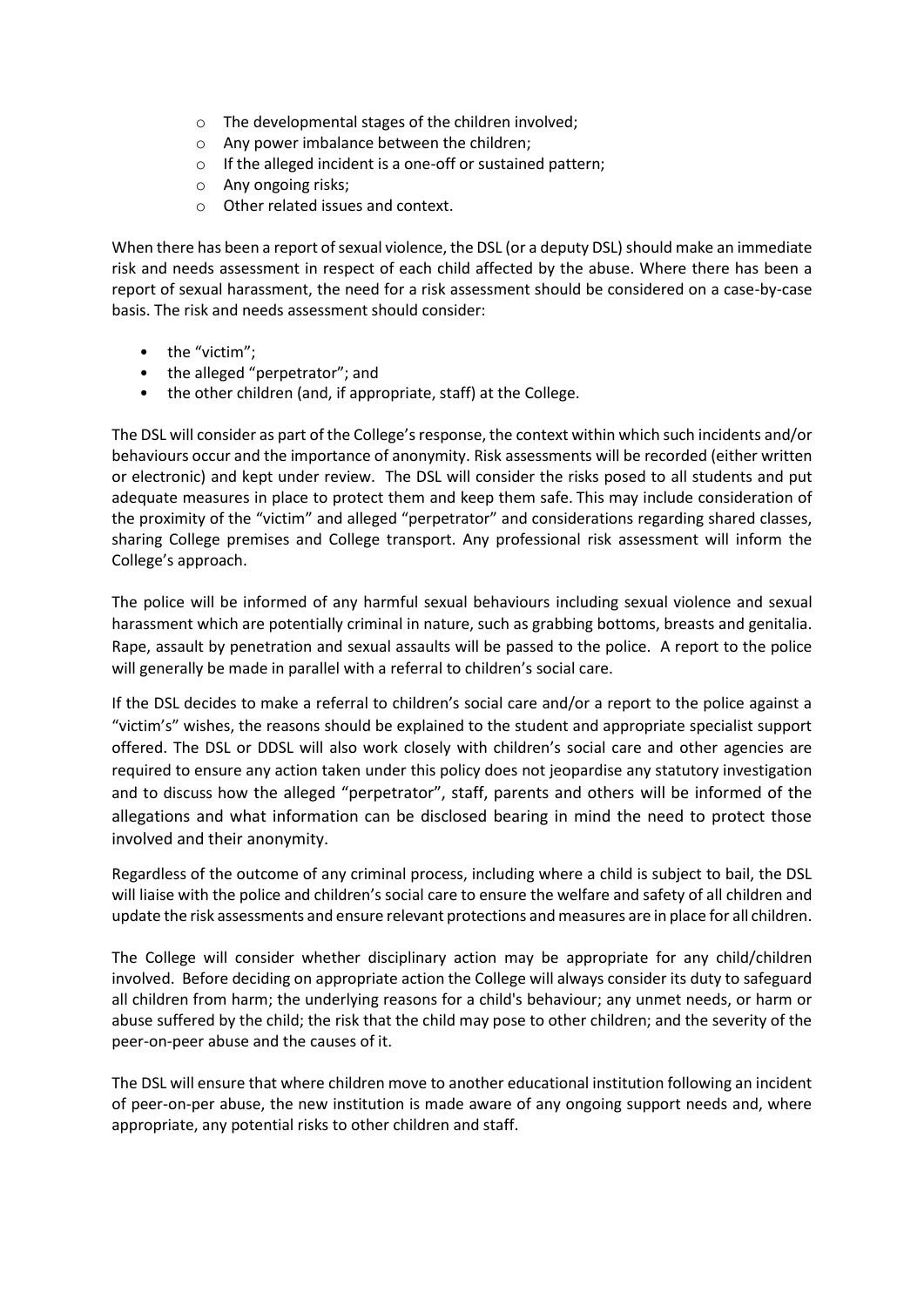- o The developmental stages of the children involved;
- o Any power imbalance between the children;
- o If the alleged incident is a one-off or sustained pattern;
- o Any ongoing risks;
- o Other related issues and context.

When there has been a report of sexual violence, the DSL (or a deputy DSL) should make an immediate risk and needs assessment in respect of each child affected by the abuse. Where there has been a report of sexual harassment, the need for a risk assessment should be considered on a case-by-case basis. The risk and needs assessment should consider:

- the "victim";
- the alleged "perpetrator"; and
- the other children (and, if appropriate, staff) at the College.

The DSL will consider as part of the College's response, the context within which such incidents and/or behaviours occur and the importance of anonymity. Risk assessments will be recorded (either written or electronic) and kept under review. The DSL will consider the risks posed to all students and put adequate measures in place to protect them and keep them safe. This may include consideration of the proximity of the "victim" and alleged "perpetrator" and considerations regarding shared classes, sharing College premises and College transport. Any professional risk assessment will inform the College's approach.

The police will be informed of any harmful sexual behaviours including sexual violence and sexual harassment which are potentially criminal in nature, such as grabbing bottoms, breasts and genitalia. Rape, assault by penetration and sexual assaults will be passed to the police. A report to the police will generally be made in parallel with a referral to children's social care.

If the DSL decides to make a referral to children's social care and/or a report to the police against a "victim's" wishes, the reasons should be explained to the student and appropriate specialist support offered. The DSL or DDSL will also work closely with children's social care and other agencies are required to ensure any action taken under this policy does not jeopardise any statutory investigation and to discuss how the alleged "perpetrator", staff, parents and others will be informed of the allegations and what information can be disclosed bearing in mind the need to protect those involved and their anonymity.

Regardless of the outcome of any criminal process, including where a child is subject to bail, the DSL will liaise with the police and children's social care to ensure the welfare and safety of all children and update the risk assessments and ensure relevant protections and measures are in place for all children.

The College will consider whether disciplinary action may be appropriate for any child/children involved. Before deciding on appropriate action the College will always consider its duty to safeguard all children from harm; the underlying reasons for a child's behaviour; any unmet needs, or harm or abuse suffered by the child; the risk that the child may pose to other children; and the severity of the peer-on-peer abuse and the causes of it.

The DSL will ensure that where children move to another educational institution following an incident of peer-on-per abuse, the new institution is made aware of any ongoing support needs and, where appropriate, any potential risks to other children and staff.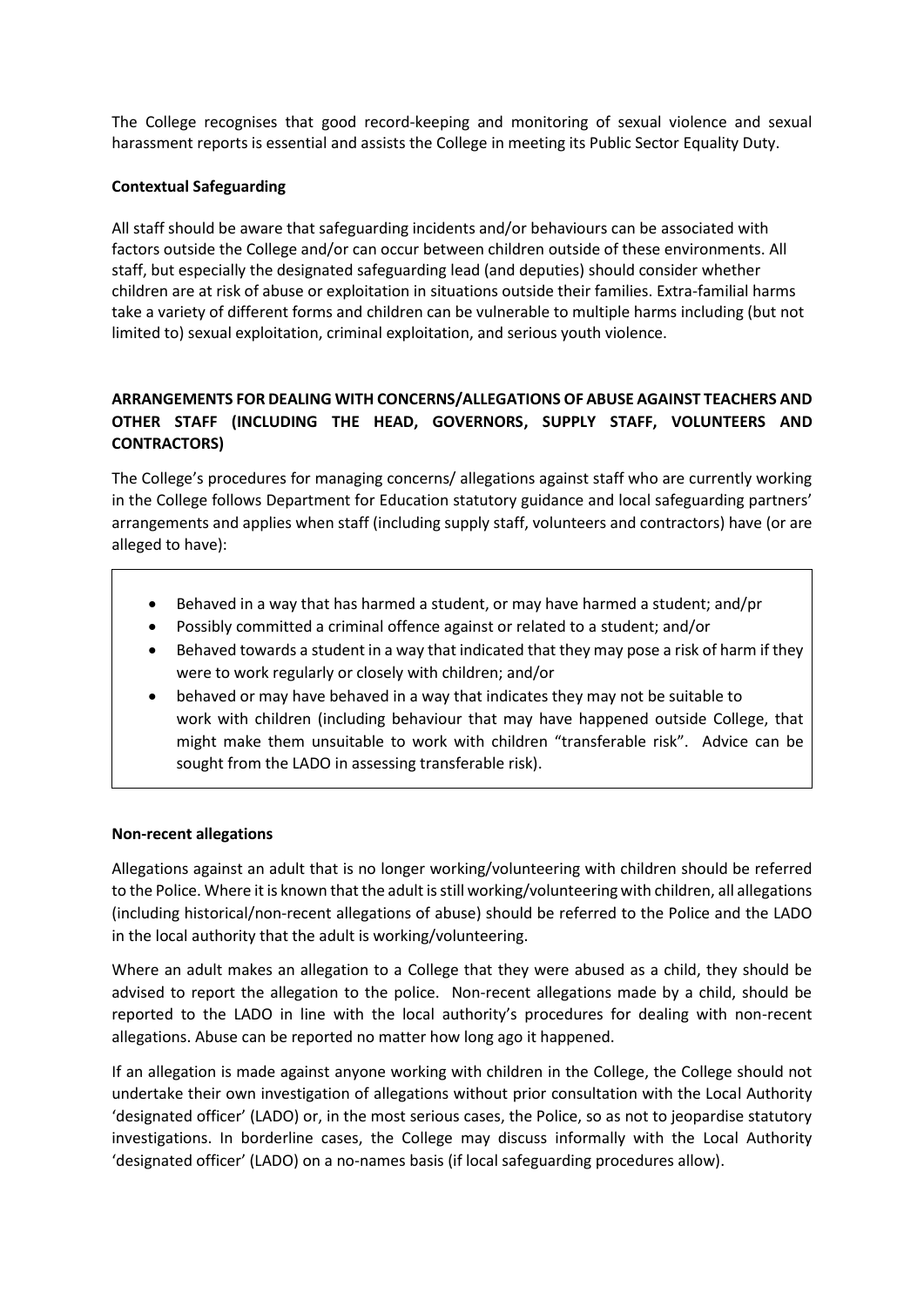The College recognises that good record-keeping and monitoring of sexual violence and sexual harassment reports is essential and assists the College in meeting its Public Sector Equality Duty.

#### **Contextual Safeguarding**

All staff should be aware that safeguarding incidents and/or behaviours can be associated with factors outside the College and/or can occur between children outside of these environments. All staff, but especially the designated safeguarding lead (and deputies) should consider whether children are at risk of abuse or exploitation in situations outside their families. Extra-familial harms take a variety of different forms and children can be vulnerable to multiple harms including (but not limited to) sexual exploitation, criminal exploitation, and serious youth violence.

### **ARRANGEMENTS FOR DEALING WITH CONCERNS/ALLEGATIONS OF ABUSE AGAINST TEACHERS AND OTHER STAFF (INCLUDING THE HEAD, GOVERNORS, SUPPLY STAFF, VOLUNTEERS AND CONTRACTORS)**

The College's procedures for managing concerns/ allegations against staff who are currently working in the College follows Department for Education statutory guidance and local safeguarding partners' arrangements and applies when staff (including supply staff, volunteers and contractors) have (or are alleged to have):

- Behaved in a way that has harmed a student, or may have harmed a student; and/pr
- Possibly committed a criminal offence against or related to a student; and/or
- Behaved towards a student in a way that indicated that they may pose a risk of harm if they were to work regularly or closely with children; and/or
- behaved or may have behaved in a way that indicates they may not be suitable to work with children (including behaviour that may have happened outside College, that might make them unsuitable to work with children "transferable risk". Advice can be sought from the LADO in assessing transferable risk).

#### **Non-recent allegations**

Allegations against an adult that is no longer working/volunteering with children should be referred to the Police. Where it is known that the adult is still working/volunteering with children, all allegations (including historical/non-recent allegations of abuse) should be referred to the Police and the LADO in the local authority that the adult is working/volunteering.

Where an adult makes an allegation to a College that they were abused as a child, they should be advised to report the allegation to the police. Non-recent allegations made by a child, should be reported to the LADO in line with the local authority's procedures for dealing with non-recent allegations. Abuse can be reported no matter how long ago it happened.

If an allegation is made against anyone working with children in the College, the College should not undertake their own investigation of allegations without prior consultation with the Local Authority 'designated officer' (LADO) or, in the most serious cases, the Police, so as not to jeopardise statutory investigations. In borderline cases, the College may discuss informally with the Local Authority 'designated officer' (LADO) on a no-names basis (if local safeguarding procedures allow).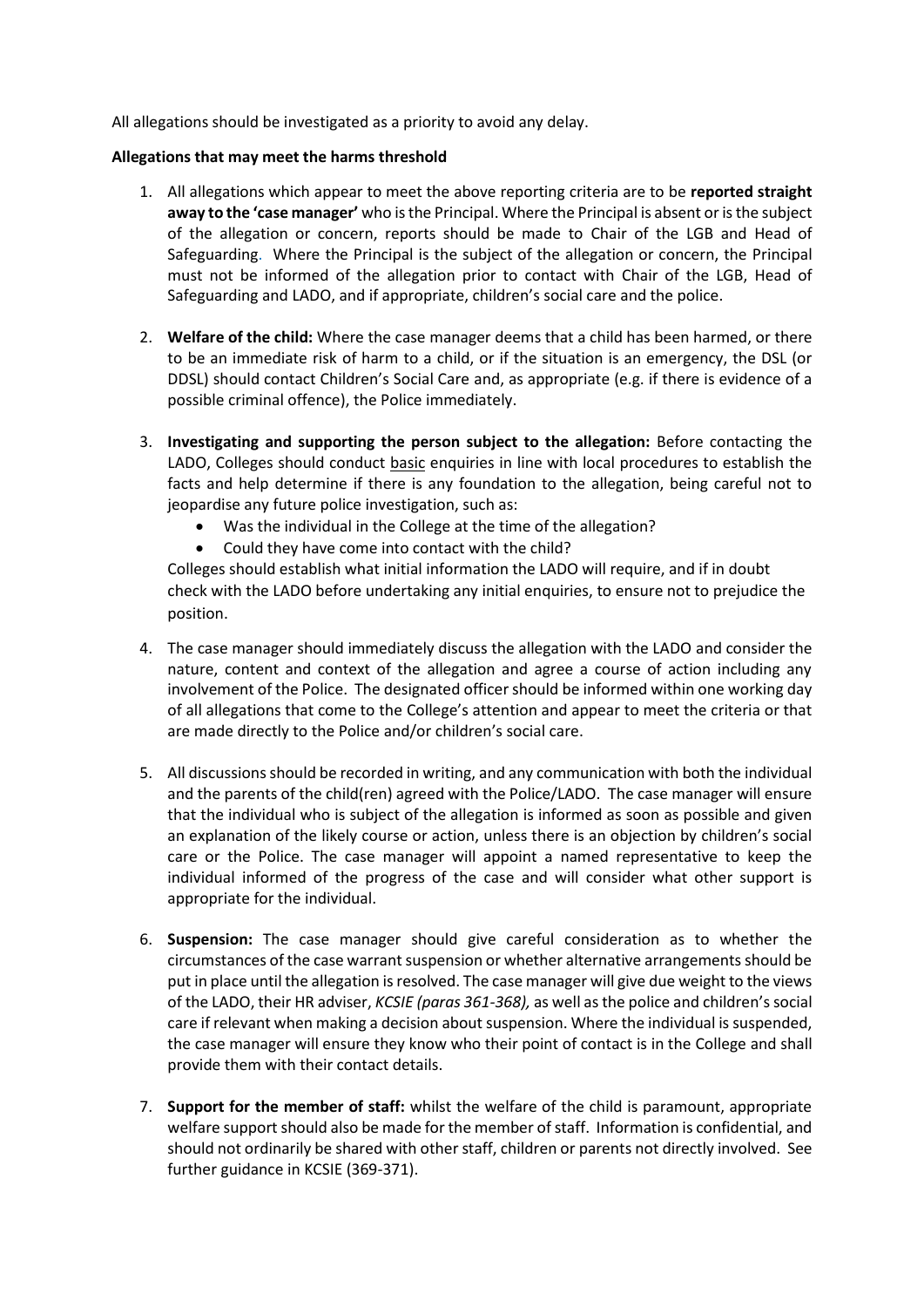All allegations should be investigated as a priority to avoid any delay.

#### **Allegations that may meet the harms threshold**

- 1. All allegations which appear to meet the above reporting criteria are to be **reported straight away to the 'case manager'** who is the Principal. Where the Principal is absent or is the subject of the allegation or concern, reports should be made to Chair of the LGB and Head of Safeguarding. Where the Principal is the subject of the allegation or concern, the Principal must not be informed of the allegation prior to contact with Chair of the LGB, Head of Safeguarding and LADO, and if appropriate, children's social care and the police.
- 2. **Welfare of the child:** Where the case manager deems that a child has been harmed, or there to be an immediate risk of harm to a child, or if the situation is an emergency, the DSL (or DDSL) should contact Children's Social Care and, as appropriate (e.g. if there is evidence of a possible criminal offence), the Police immediately.
- 3. **Investigating and supporting the person subject to the allegation:** Before contacting the LADO, Colleges should conduct basic enquiries in line with local procedures to establish the facts and help determine if there is any foundation to the allegation, being careful not to jeopardise any future police investigation, such as:
	- Was the individual in the College at the time of the allegation?
	- Could they have come into contact with the child?

Colleges should establish what initial information the LADO will require, and if in doubt check with the LADO before undertaking any initial enquiries, to ensure not to prejudice the position.

- 4. The case manager should immediately discuss the allegation with the LADO and consider the nature, content and context of the allegation and agree a course of action including any involvement of the Police. The designated officer should be informed within one working day of all allegations that come to the College's attention and appear to meet the criteria or that are made directly to the Police and/or children's social care.
- 5. All discussions should be recorded in writing, and any communication with both the individual and the parents of the child(ren) agreed with the Police/LADO. The case manager will ensure that the individual who is subject of the allegation is informed as soon as possible and given an explanation of the likely course or action, unless there is an objection by children's social care or the Police. The case manager will appoint a named representative to keep the individual informed of the progress of the case and will consider what other support is appropriate for the individual.
- 6. **Suspension:** The case manager should give careful consideration as to whether the circumstances of the case warrant suspension or whether alternative arrangements should be put in place until the allegation is resolved. The case manager will give due weight to the views of the LADO, their HR adviser, *KCSIE (paras 361-368),* as well as the police and children's social care if relevant when making a decision about suspension. Where the individual is suspended, the case manager will ensure they know who their point of contact is in the College and shall provide them with their contact details.
- 7. **Support for the member of staff:** whilst the welfare of the child is paramount, appropriate welfare support should also be made for the member of staff. Information is confidential, and should not ordinarily be shared with other staff, children or parents not directly involved. See further guidance in KCSIE (369-371).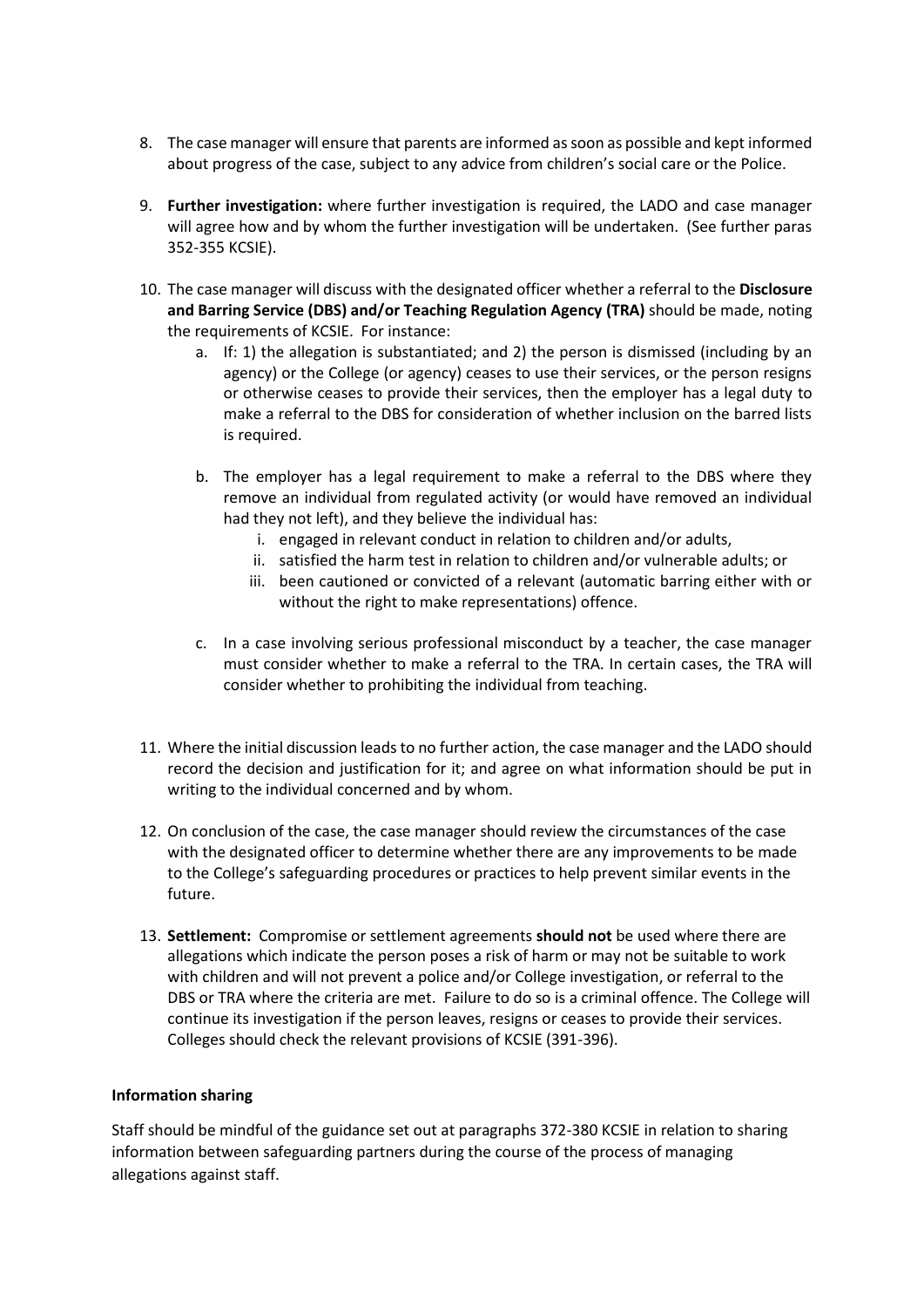- 8. The case manager will ensure that parents are informed as soon as possible and kept informed about progress of the case, subject to any advice from children's social care or the Police.
- 9. **Further investigation:** where further investigation is required, the LADO and case manager will agree how and by whom the further investigation will be undertaken. (See further paras 352-355 KCSIE).
- 10. The case manager will discuss with the designated officer whether a referral to the **Disclosure and Barring Service (DBS) and/or Teaching Regulation Agency (TRA)** should be made, noting the requirements of KCSIE. For instance:
	- a. If: 1) the allegation is substantiated; and 2) the person is dismissed (including by an agency) or the College (or agency) ceases to use their services, or the person resigns or otherwise ceases to provide their services, then the employer has a legal duty to make a referral to the DBS for consideration of whether inclusion on the barred lists is required.
	- b. The employer has a legal requirement to make a referral to the DBS where they remove an individual from regulated activity (or would have removed an individual had they not left), and they believe the individual has:
		- i. engaged in relevant conduct in relation to children and/or adults,
		- ii. satisfied the harm test in relation to children and/or vulnerable adults; or
		- iii. been cautioned or convicted of a relevant (automatic barring either with or without the right to make representations) offence.
	- c. In a case involving serious professional misconduct by a teacher, the case manager must consider whether to make a referral to the TRA. In certain cases, the TRA will consider whether to prohibiting the individual from teaching.
- 11. Where the initial discussion leads to no further action, the case manager and the LADO should record the decision and justification for it; and agree on what information should be put in writing to the individual concerned and by whom.
- 12. On conclusion of the case, the case manager should review the circumstances of the case with the designated officer to determine whether there are any improvements to be made to the College's safeguarding procedures or practices to help prevent similar events in the future.
- 13. **Settlement:** Compromise or settlement agreements **should not** be used where there are allegations which indicate the person poses a risk of harm or may not be suitable to work with children and will not prevent a police and/or College investigation, or referral to the DBS or TRA where the criteria are met. Failure to do so is a criminal offence. The College will continue its investigation if the person leaves, resigns or ceases to provide their services. Colleges should check the relevant provisions of KCSIE (391-396).

#### **Information sharing**

Staff should be mindful of the guidance set out at paragraphs 372-380 KCSIE in relation to sharing information between safeguarding partners during the course of the process of managing allegations against staff.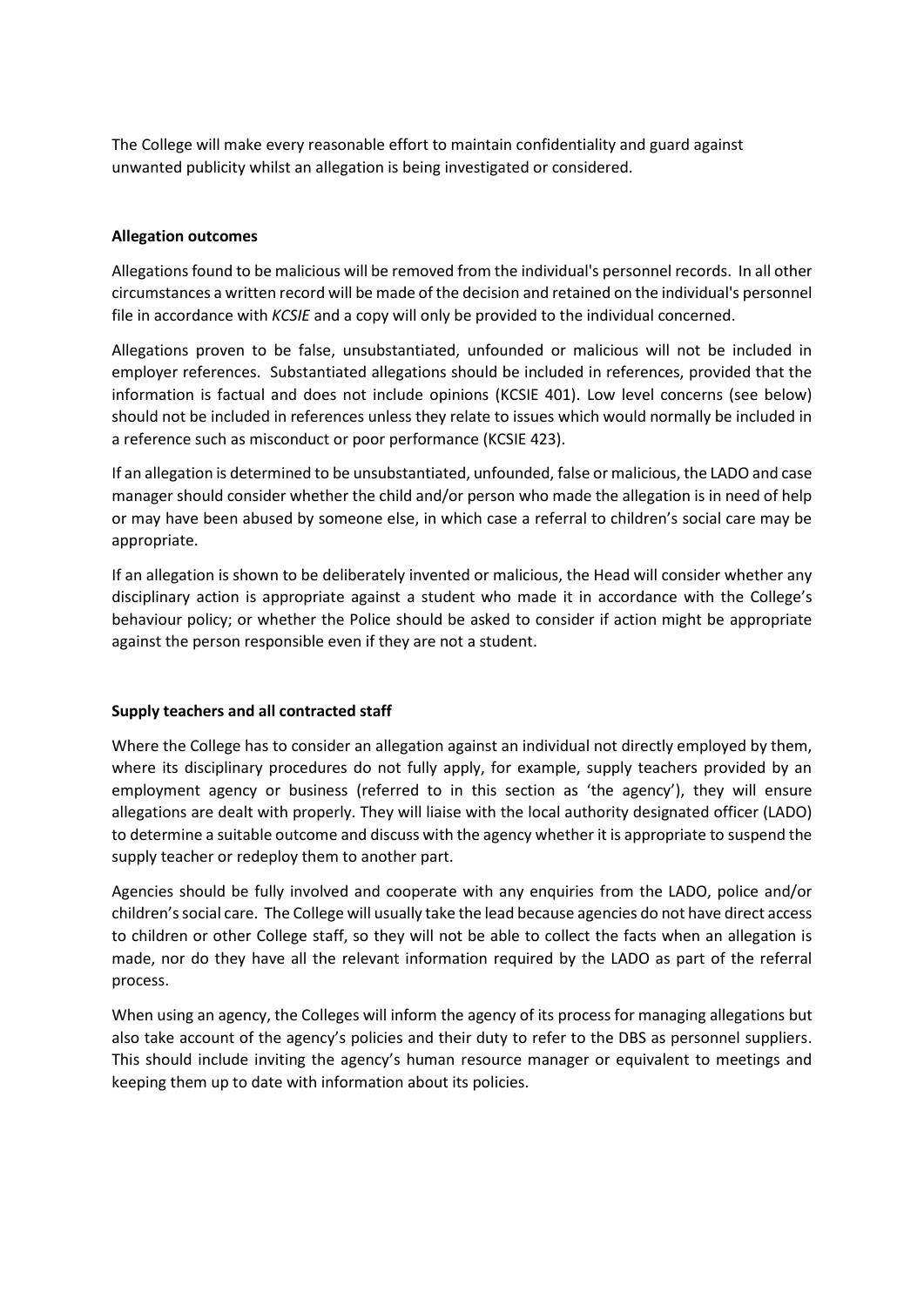The College will make every reasonable effort to maintain confidentiality and guard against unwanted publicity whilst an allegation is being investigated or considered.

#### **Allegation outcomes**

Allegations found to be malicious will be removed from the individual's personnel records. In all other circumstances a written record will be made of the decision and retained on the individual's personnel file in accordance with *KCSIE* and a copy will only be provided to the individual concerned.

Allegations proven to be false, unsubstantiated, unfounded or malicious will not be included in employer references. Substantiated allegations should be included in references, provided that the information is factual and does not include opinions (KCSIE 401). Low level concerns (see below) should not be included in references unless they relate to issues which would normally be included in a reference such as misconduct or poor performance (KCSIE 423).

If an allegation is determined to be unsubstantiated, unfounded, false or malicious, the LADO and case manager should consider whether the child and/or person who made the allegation is in need of help or may have been abused by someone else, in which case a referral to children's social care may be appropriate.

If an allegation is shown to be deliberately invented or malicious, the Head will consider whether any disciplinary action is appropriate against a student who made it in accordance with the College's behaviour policy; or whether the Police should be asked to consider if action might be appropriate against the person responsible even if they are not a student.

#### **Supply teachers and all contracted staff**

Where the College has to consider an allegation against an individual not directly employed by them, where its disciplinary procedures do not fully apply, for example, supply teachers provided by an employment agency or business (referred to in this section as 'the agency'), they will ensure allegations are dealt with properly. They will liaise with the local authority designated officer (LADO) to determine a suitable outcome and discuss with the agency whether it is appropriate to suspend the supply teacher or redeploy them to another part.

Agencies should be fully involved and cooperate with any enquiries from the LADO, police and/or children's social care. The College will usually take the lead because agencies do not have direct access to children or other College staff, so they will not be able to collect the facts when an allegation is made, nor do they have all the relevant information required by the LADO as part of the referral process.

When using an agency, the Colleges will inform the agency of its process for managing allegations but also take account of the agency's policies and their duty to refer to the DBS as personnel suppliers. This should include inviting the agency's human resource manager or equivalent to meetings and keeping them up to date with information about its policies.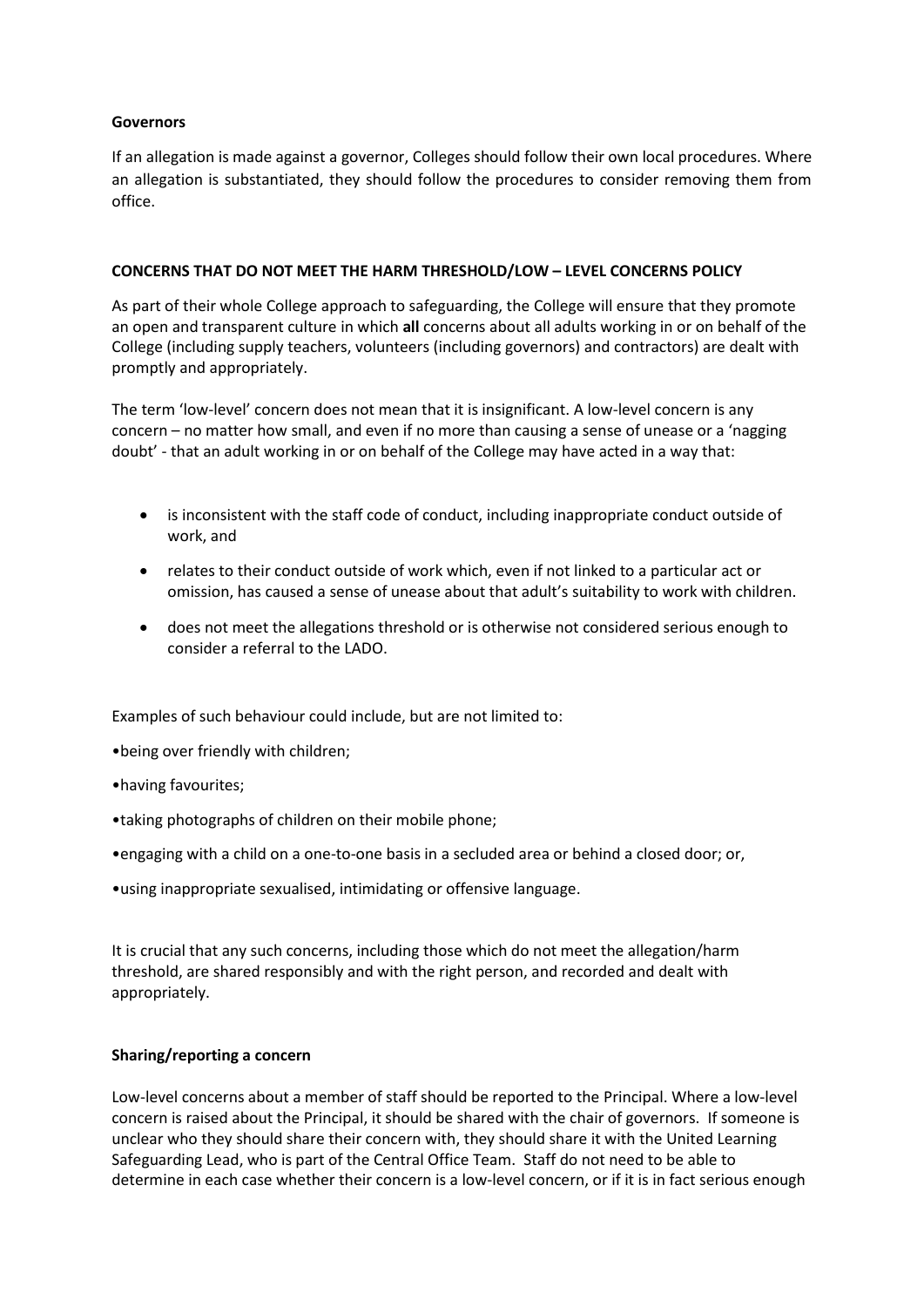#### **Governors**

If an allegation is made against a governor, Colleges should follow their own local procedures. Where an allegation is substantiated, they should follow the procedures to consider removing them from office.

#### **CONCERNS THAT DO NOT MEET THE HARM THRESHOLD/LOW – LEVEL CONCERNS POLICY**

As part of their whole College approach to safeguarding, the College will ensure that they promote an open and transparent culture in which **all** concerns about all adults working in or on behalf of the College (including supply teachers, volunteers (including governors) and contractors) are dealt with promptly and appropriately.

The term 'low-level' concern does not mean that it is insignificant. A low-level concern is any concern – no matter how small, and even if no more than causing a sense of unease or a 'nagging doubt' - that an adult working in or on behalf of the College may have acted in a way that:

- is inconsistent with the staff code of conduct, including inappropriate conduct outside of work, and
- relates to their conduct outside of work which, even if not linked to a particular act or omission, has caused a sense of unease about that adult's suitability to work with children.
- does not meet the allegations threshold or is otherwise not considered serious enough to consider a referral to the LADO.

Examples of such behaviour could include, but are not limited to:

- •being over friendly with children;
- •having favourites;
- •taking photographs of children on their mobile phone;
- •engaging with a child on a one-to-one basis in a secluded area or behind a closed door; or,
- •using inappropriate sexualised, intimidating or offensive language.

It is crucial that any such concerns, including those which do not meet the allegation/harm threshold, are shared responsibly and with the right person, and recorded and dealt with appropriately.

#### **Sharing/reporting a concern**

Low-level concerns about a member of staff should be reported to the Principal. Where a low-level concern is raised about the Principal, it should be shared with the chair of governors. If someone is unclear who they should share their concern with, they should share it with the United Learning Safeguarding Lead, who is part of the Central Office Team. Staff do not need to be able to determine in each case whether their concern is a low-level concern, or if it is in fact serious enough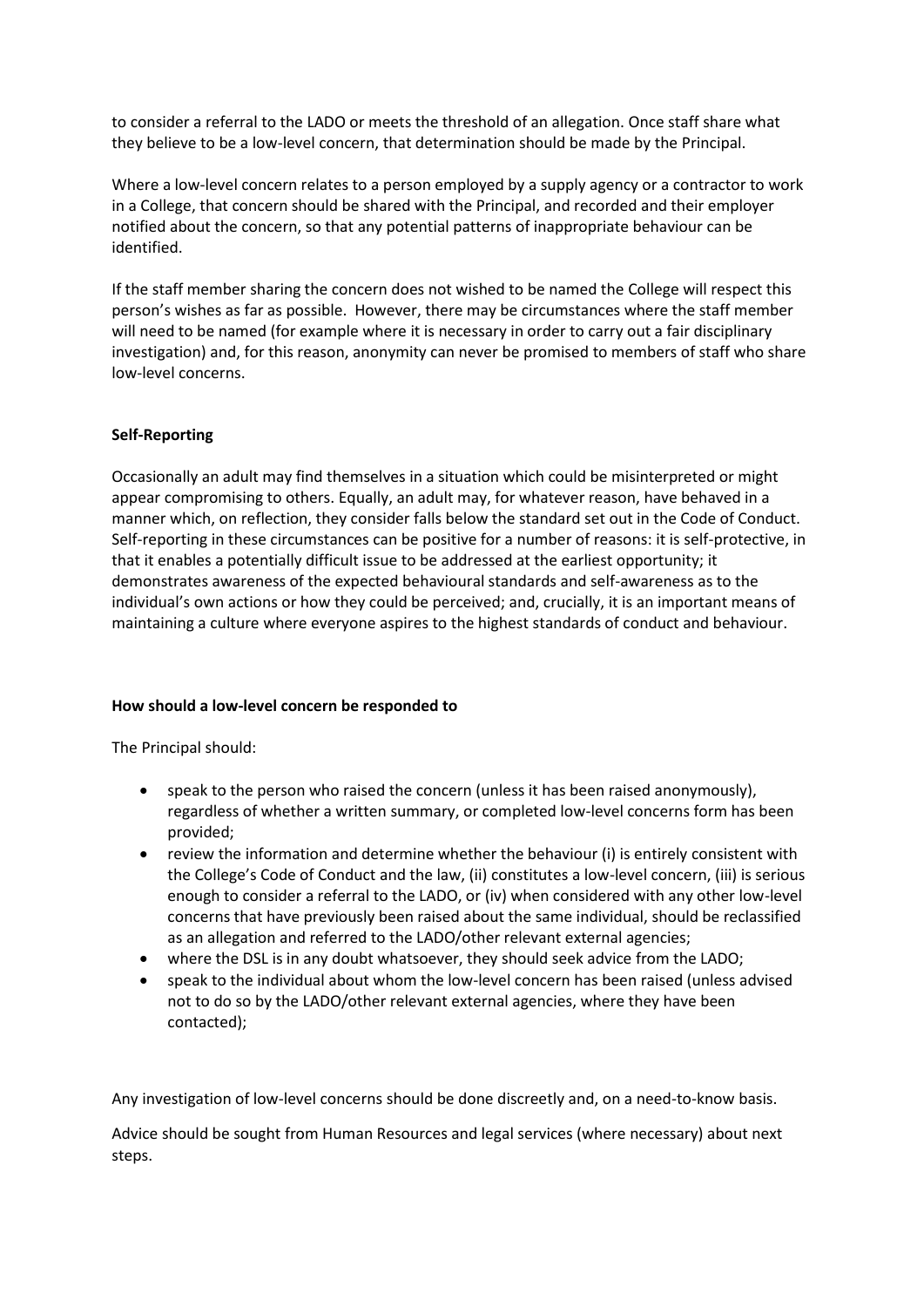to consider a referral to the LADO or meets the threshold of an allegation. Once staff share what they believe to be a low-level concern, that determination should be made by the Principal.

Where a low-level concern relates to a person employed by a supply agency or a contractor to work in a College, that concern should be shared with the Principal, and recorded and their employer notified about the concern, so that any potential patterns of inappropriate behaviour can be identified.

If the staff member sharing the concern does not wished to be named the College will respect this person's wishes as far as possible. However, there may be circumstances where the staff member will need to be named (for example where it is necessary in order to carry out a fair disciplinary investigation) and, for this reason, anonymity can never be promised to members of staff who share low-level concerns.

#### **Self-Reporting**

Occasionally an adult may find themselves in a situation which could be misinterpreted or might appear compromising to others. Equally, an adult may, for whatever reason, have behaved in a manner which, on reflection, they consider falls below the standard set out in the Code of Conduct. Self-reporting in these circumstances can be positive for a number of reasons: it is self-protective, in that it enables a potentially difficult issue to be addressed at the earliest opportunity; it demonstrates awareness of the expected behavioural standards and self-awareness as to the individual's own actions or how they could be perceived; and, crucially, it is an important means of maintaining a culture where everyone aspires to the highest standards of conduct and behaviour.

#### **How should a low-level concern be responded to**

The Principal should:

- speak to the person who raised the concern (unless it has been raised anonymously), regardless of whether a written summary, or completed low-level concerns form has been provided;
- review the information and determine whether the behaviour (i) is entirely consistent with the College's Code of Conduct and the law, (ii) constitutes a low-level concern, (iii) is serious enough to consider a referral to the LADO, or (iv) when considered with any other low-level concerns that have previously been raised about the same individual, should be reclassified as an allegation and referred to the LADO/other relevant external agencies;
- where the DSL is in any doubt whatsoever, they should seek advice from the LADO;
- speak to the individual about whom the low-level concern has been raised (unless advised not to do so by the LADO/other relevant external agencies, where they have been contacted);

Any investigation of low-level concerns should be done discreetly and, on a need-to-know basis.

Advice should be sought from Human Resources and legal services (where necessary) about next steps.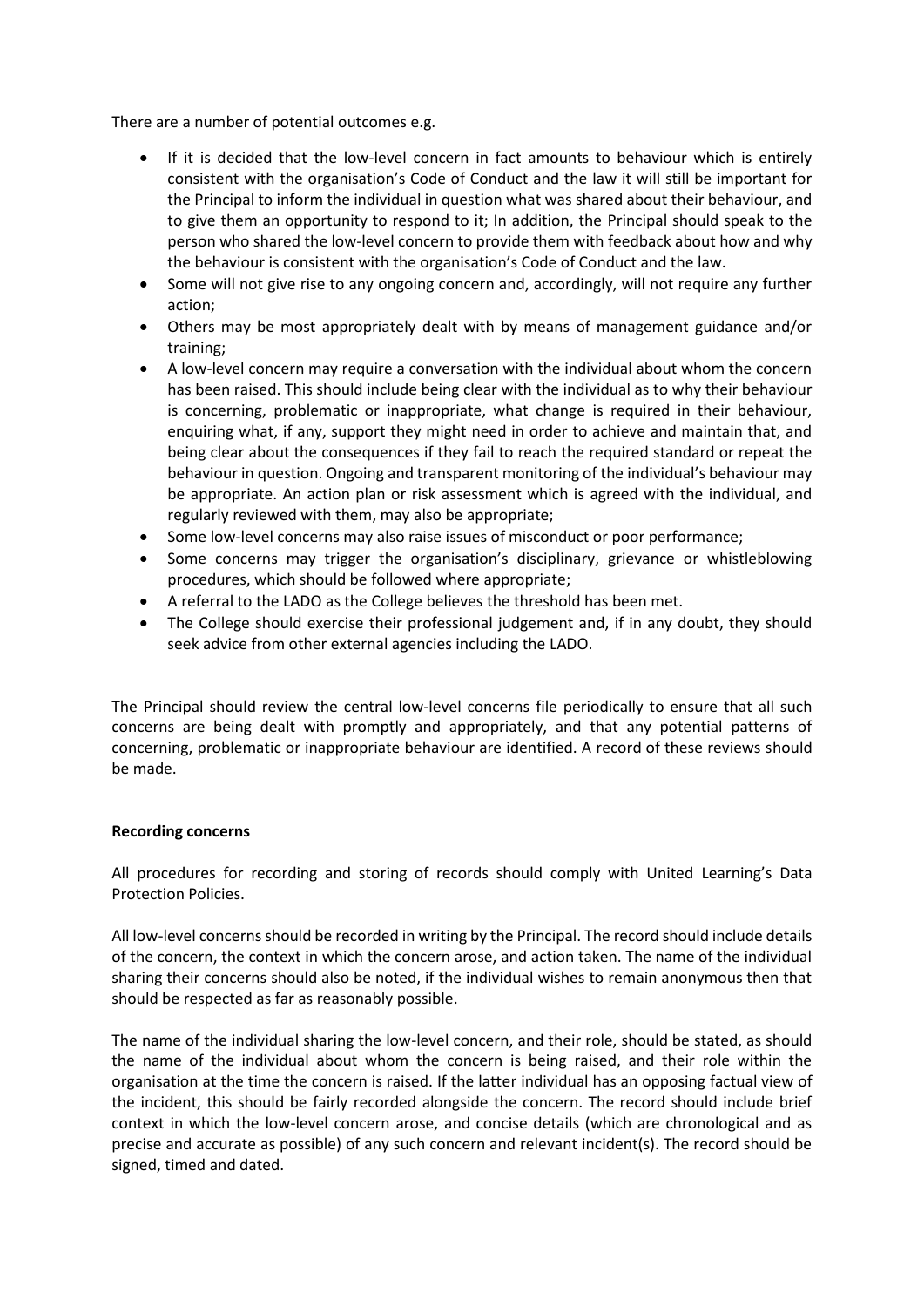There are a number of potential outcomes e.g.

- If it is decided that the low-level concern in fact amounts to behaviour which is entirely consistent with the organisation's Code of Conduct and the law it will still be important for the Principal to inform the individual in question what was shared about their behaviour, and to give them an opportunity to respond to it; In addition, the Principal should speak to the person who shared the low-level concern to provide them with feedback about how and why the behaviour is consistent with the organisation's Code of Conduct and the law.
- Some will not give rise to any ongoing concern and, accordingly, will not require any further action;
- Others may be most appropriately dealt with by means of management guidance and/or training;
- A low-level concern may require a conversation with the individual about whom the concern has been raised. This should include being clear with the individual as to why their behaviour is concerning, problematic or inappropriate, what change is required in their behaviour, enquiring what, if any, support they might need in order to achieve and maintain that, and being clear about the consequences if they fail to reach the required standard or repeat the behaviour in question. Ongoing and transparent monitoring of the individual's behaviour may be appropriate. An action plan or risk assessment which is agreed with the individual, and regularly reviewed with them, may also be appropriate;
- Some low-level concerns may also raise issues of misconduct or poor performance;
- Some concerns may trigger the organisation's disciplinary, grievance or whistleblowing procedures, which should be followed where appropriate;
- A referral to the LADO as the College believes the threshold has been met.
- The College should exercise their professional judgement and, if in any doubt, they should seek advice from other external agencies including the LADO.

The Principal should review the central low-level concerns file periodically to ensure that all such concerns are being dealt with promptly and appropriately, and that any potential patterns of concerning, problematic or inappropriate behaviour are identified. A record of these reviews should be made.

#### **Recording concerns**

All procedures for recording and storing of records should comply with United Learning's Data Protection Policies.

All low-level concerns should be recorded in writing by the Principal. The record should include details of the concern, the context in which the concern arose, and action taken. The name of the individual sharing their concerns should also be noted, if the individual wishes to remain anonymous then that should be respected as far as reasonably possible.

The name of the individual sharing the low-level concern, and their role, should be stated, as should the name of the individual about whom the concern is being raised, and their role within the organisation at the time the concern is raised. If the latter individual has an opposing factual view of the incident, this should be fairly recorded alongside the concern. The record should include brief context in which the low-level concern arose, and concise details (which are chronological and as precise and accurate as possible) of any such concern and relevant incident(s). The record should be signed, timed and dated.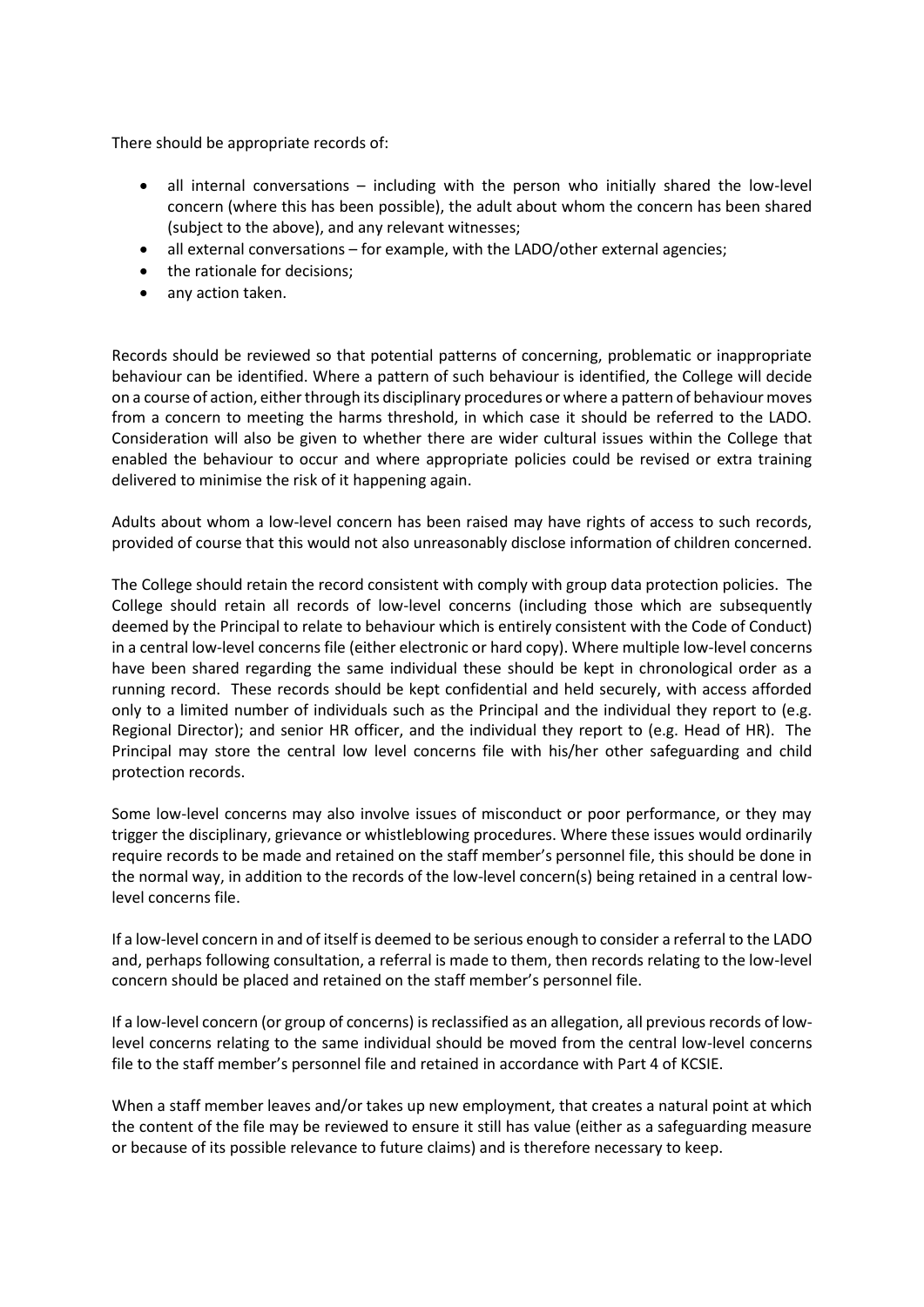There should be appropriate records of:

- all internal conversations including with the person who initially shared the low-level concern (where this has been possible), the adult about whom the concern has been shared (subject to the above), and any relevant witnesses;
- all external conversations for example, with the LADO/other external agencies;
- the rationale for decisions;
- any action taken.

Records should be reviewed so that potential patterns of concerning, problematic or inappropriate behaviour can be identified. Where a pattern of such behaviour is identified, the College will decide on a course of action, either through its disciplinary procedures or where a pattern of behaviour moves from a concern to meeting the harms threshold, in which case it should be referred to the LADO. Consideration will also be given to whether there are wider cultural issues within the College that enabled the behaviour to occur and where appropriate policies could be revised or extra training delivered to minimise the risk of it happening again.

Adults about whom a low-level concern has been raised may have rights of access to such records, provided of course that this would not also unreasonably disclose information of children concerned.

The College should retain the record consistent with comply with group data protection policies. The College should retain all records of low-level concerns (including those which are subsequently deemed by the Principal to relate to behaviour which is entirely consistent with the Code of Conduct) in a central low-level concerns file (either electronic or hard copy). Where multiple low-level concerns have been shared regarding the same individual these should be kept in chronological order as a running record. These records should be kept confidential and held securely, with access afforded only to a limited number of individuals such as the Principal and the individual they report to (e.g. Regional Director); and senior HR officer, and the individual they report to (e.g. Head of HR). The Principal may store the central low level concerns file with his/her other safeguarding and child protection records.

Some low-level concerns may also involve issues of misconduct or poor performance, or they may trigger the disciplinary, grievance or whistleblowing procedures. Where these issues would ordinarily require records to be made and retained on the staff member's personnel file, this should be done in the normal way, in addition to the records of the low-level concern(s) being retained in a central lowlevel concerns file.

If a low-level concern in and of itself is deemed to be serious enough to consider a referral to the LADO and, perhaps following consultation, a referral is made to them, then records relating to the low-level concern should be placed and retained on the staff member's personnel file.

If a low-level concern (or group of concerns) is reclassified as an allegation, all previous records of lowlevel concerns relating to the same individual should be moved from the central low-level concerns file to the staff member's personnel file and retained in accordance with Part 4 of KCSIE.

When a staff member leaves and/or takes up new employment, that creates a natural point at which the content of the file may be reviewed to ensure it still has value (either as a safeguarding measure or because of its possible relevance to future claims) and is therefore necessary to keep.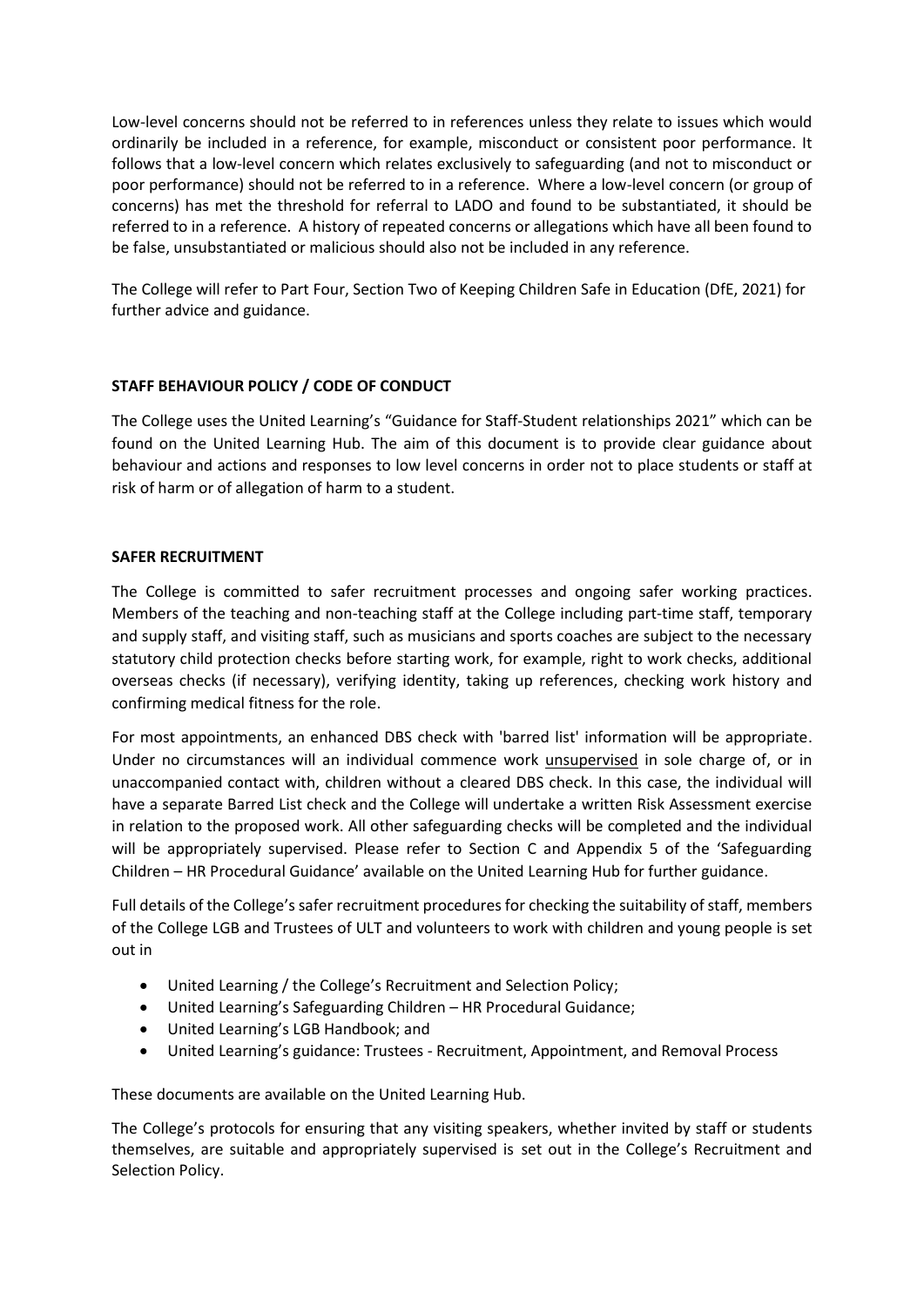Low-level concerns should not be referred to in references unless they relate to issues which would ordinarily be included in a reference, for example, misconduct or consistent poor performance. It follows that a low-level concern which relates exclusively to safeguarding (and not to misconduct or poor performance) should not be referred to in a reference. Where a low-level concern (or group of concerns) has met the threshold for referral to LADO and found to be substantiated, it should be referred to in a reference. A history of repeated concerns or allegations which have all been found to be false, unsubstantiated or malicious should also not be included in any reference.

The College will refer to Part Four, Section Two of Keeping Children Safe in Education (DfE, 2021) for further advice and guidance.

#### **STAFF BEHAVIOUR POLICY / CODE OF CONDUCT**

The College uses the United Learning's "Guidance for Staff-Student relationships 2021" which can be found on the United Learning Hub. The aim of this document is to provide clear guidance about behaviour and actions and responses to low level concerns in order not to place students or staff at risk of harm or of allegation of harm to a student.

#### **SAFER RECRUITMENT**

The College is committed to safer recruitment processes and ongoing safer working practices. Members of the teaching and non-teaching staff at the College including part-time staff, temporary and supply staff, and visiting staff, such as musicians and sports coaches are subject to the necessary statutory child protection checks before starting work, for example, right to work checks, additional overseas checks (if necessary), verifying identity, taking up references, checking work history and confirming medical fitness for the role.

For most appointments, an enhanced DBS check with 'barred list' information will be appropriate. Under no circumstances will an individual commence work **unsupervised** in sole charge of, or in unaccompanied contact with, children without a cleared DBS check. In this case, the individual will have a separate Barred List check and the College will undertake a written Risk Assessment exercise in relation to the proposed work. All other safeguarding checks will be completed and the individual will be appropriately supervised. Please refer to Section C and Appendix 5 of the 'Safeguarding Children – HR Procedural Guidance' available on the United Learning Hub for further guidance.

Full details of the College's safer recruitment procedures for checking the suitability of staff, members of the College LGB and Trustees of ULT and volunteers to work with children and young people is set out in

- United Learning / the College's Recruitment and Selection Policy;
- United Learning's Safeguarding Children HR Procedural Guidance;
- United Learning's LGB Handbook; and
- United Learning's guidance: Trustees Recruitment, Appointment, and Removal Process

These documents are available on the United Learning Hub.

The College's protocols for ensuring that any visiting speakers, whether invited by staff or students themselves, are suitable and appropriately supervised is set out in the College's Recruitment and Selection Policy.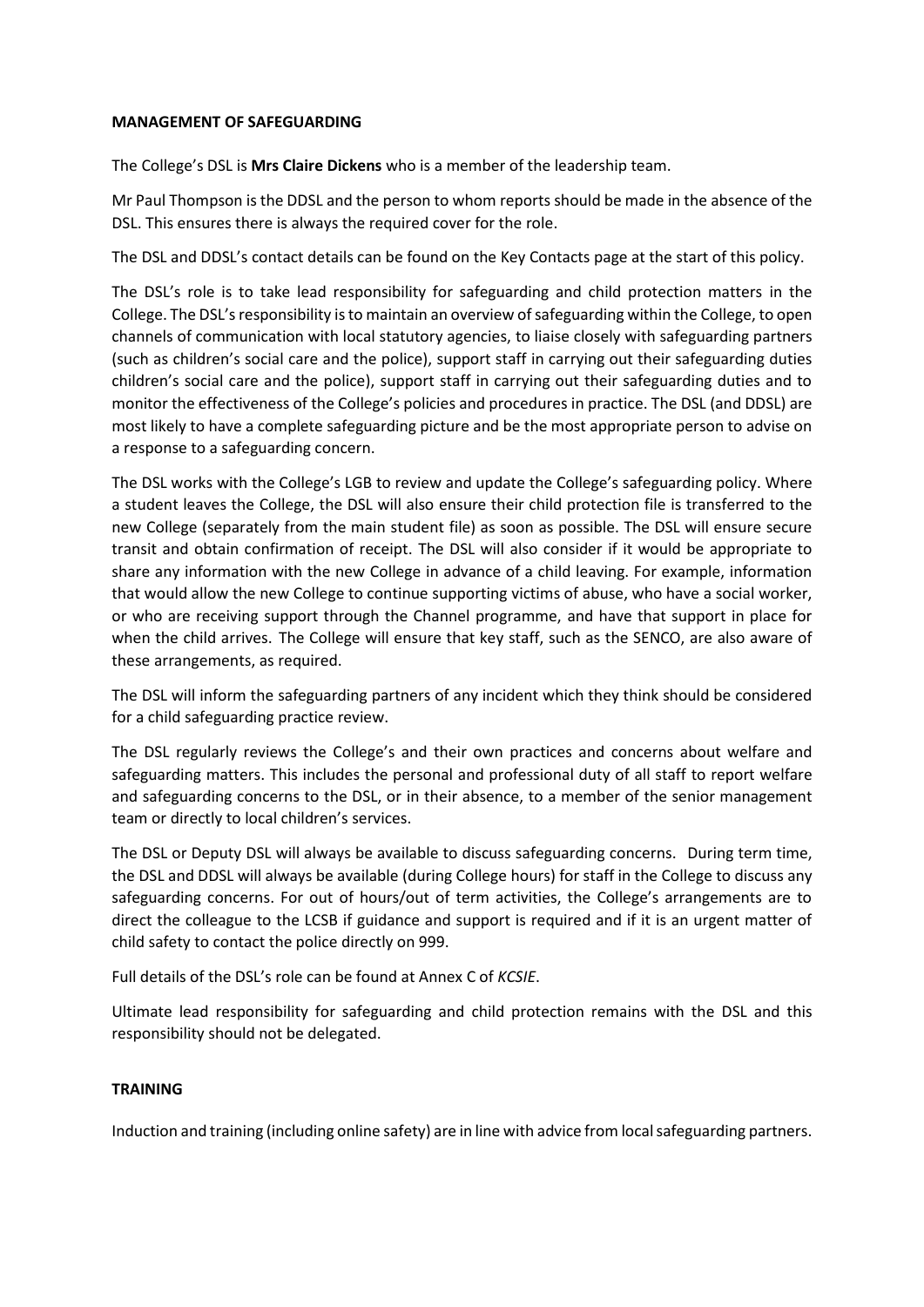#### **MANAGEMENT OF SAFEGUARDING**

The College's DSL is **Mrs Claire Dickens** who is a member of the leadership team.

Mr Paul Thompson is the DDSL and the person to whom reports should be made in the absence of the DSL. This ensures there is always the required cover for the role.

The DSL and DDSL's contact details can be found on the Key Contacts page at the start of this policy.

The DSL's role is to take lead responsibility for safeguarding and child protection matters in the College. The DSL's responsibility is to maintain an overview of safeguarding within the College, to open channels of communication with local statutory agencies, to liaise closely with safeguarding partners (such as children's social care and the police), support staff in carrying out their safeguarding duties children's social care and the police), support staff in carrying out their safeguarding duties and to monitor the effectiveness of the College's policies and procedures in practice. The DSL (and DDSL) are most likely to have a complete safeguarding picture and be the most appropriate person to advise on a response to a safeguarding concern.

The DSL works with the College's LGB to review and update the College's safeguarding policy. Where a student leaves the College, the DSL will also ensure their child protection file is transferred to the new College (separately from the main student file) as soon as possible. The DSL will ensure secure transit and obtain confirmation of receipt. The DSL will also consider if it would be appropriate to share any information with the new College in advance of a child leaving. For example, information that would allow the new College to continue supporting victims of abuse, who have a social worker, or who are receiving support through the Channel programme, and have that support in place for when the child arrives. The College will ensure that key staff, such as the SENCO, are also aware of these arrangements, as required.

The DSL will inform the safeguarding partners of any incident which they think should be considered for a child safeguarding practice review.

The DSL regularly reviews the College's and their own practices and concerns about welfare and safeguarding matters. This includes the personal and professional duty of all staff to report welfare and safeguarding concerns to the DSL, or in their absence, to a member of the senior management team or directly to local children's services.

The DSL or Deputy DSL will always be available to discuss safeguarding concerns. During term time, the DSL and DDSL will always be available (during College hours) for staff in the College to discuss any safeguarding concerns. For out of hours/out of term activities, the College's arrangements are to direct the colleague to the LCSB if guidance and support is required and if it is an urgent matter of child safety to contact the police directly on 999.

Full details of the DSL's role can be found at Annex C of *KCSIE*.

Ultimate lead responsibility for safeguarding and child protection remains with the DSL and this responsibility should not be delegated.

#### **TRAINING**

Induction and training (including online safety) are in line with advice from local safeguarding partners.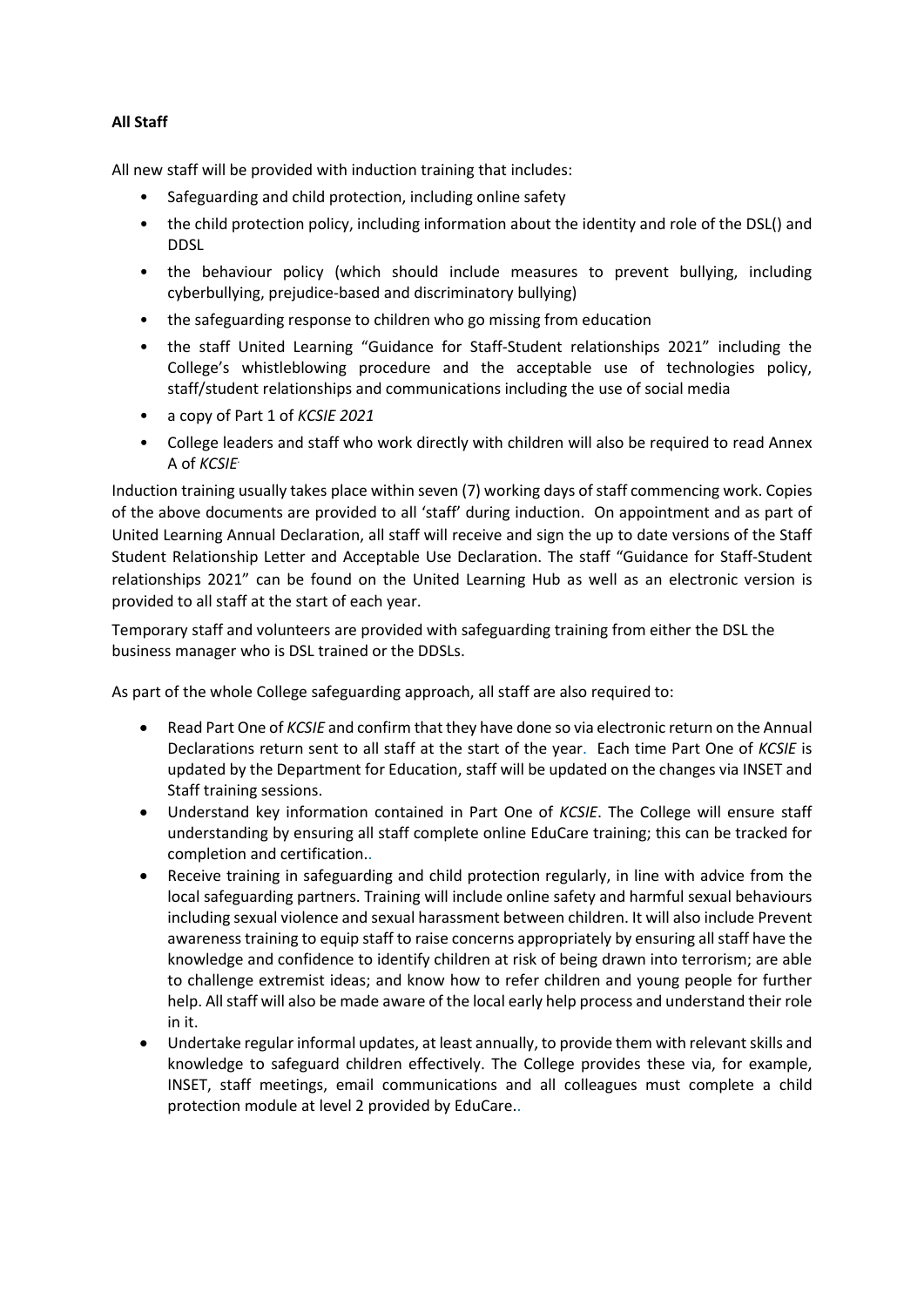#### **All Staff**

All new staff will be provided with induction training that includes:

- Safeguarding and child protection, including online safety
- the child protection policy, including information about the identity and role of the DSL() and DDSL
- the behaviour policy (which should include measures to prevent bullying, including cyberbullying, prejudice-based and discriminatory bullying)
- the safeguarding response to children who go missing from education
- the staff United Learning "Guidance for Staff-Student relationships 2021" including the College's whistleblowing procedure and the acceptable use of technologies policy, staff/student relationships and communications including the use of social media
- a copy of Part 1 of *KCSIE 2021*
- College leaders and staff who work directly with children will also be required to read Annex A of *KCSIE.*

Induction training usually takes place within seven (7) working days of staff commencing work. Copies of the above documents are provided to all 'staff' during induction. On appointment and as part of United Learning Annual Declaration, all staff will receive and sign the up to date versions of the Staff Student Relationship Letter and Acceptable Use Declaration. The staff "Guidance for Staff-Student relationships 2021" can be found on the United Learning Hub as well as an electronic version is provided to all staff at the start of each year.

Temporary staff and volunteers are provided with safeguarding training from either the DSL the business manager who is DSL trained or the DDSLs.

As part of the whole College safeguarding approach, all staff are also required to:

- Read Part One of *KCSIE* and confirm that they have done so via electronic return on the Annual Declarations return sent to all staff at the start of the year. Each time Part One of *KCSIE* is updated by the Department for Education, staff will be updated on the changes via INSET and Staff training sessions.
- Understand key information contained in Part One of *KCSIE*. The College will ensure staff understanding by ensuring all staff complete online EduCare training; this can be tracked for completion and certification..
- Receive training in safeguarding and child protection regularly, in line with advice from the local safeguarding partners. Training will include online safety and harmful sexual behaviours including sexual violence and sexual harassment between children. It will also include Prevent awareness training to equip staff to raise concerns appropriately by ensuring all staff have the knowledge and confidence to identify children at risk of being drawn into terrorism; are able to challenge extremist ideas; and know how to refer children and young people for further help. All staff will also be made aware of the local early help process and understand their role in it.
- Undertake regular informal updates, at least annually, to provide them with relevant skills and knowledge to safeguard children effectively. The College provides these via, for example, INSET, staff meetings, email communications and all colleagues must complete a child protection module at level 2 provided by EduCare..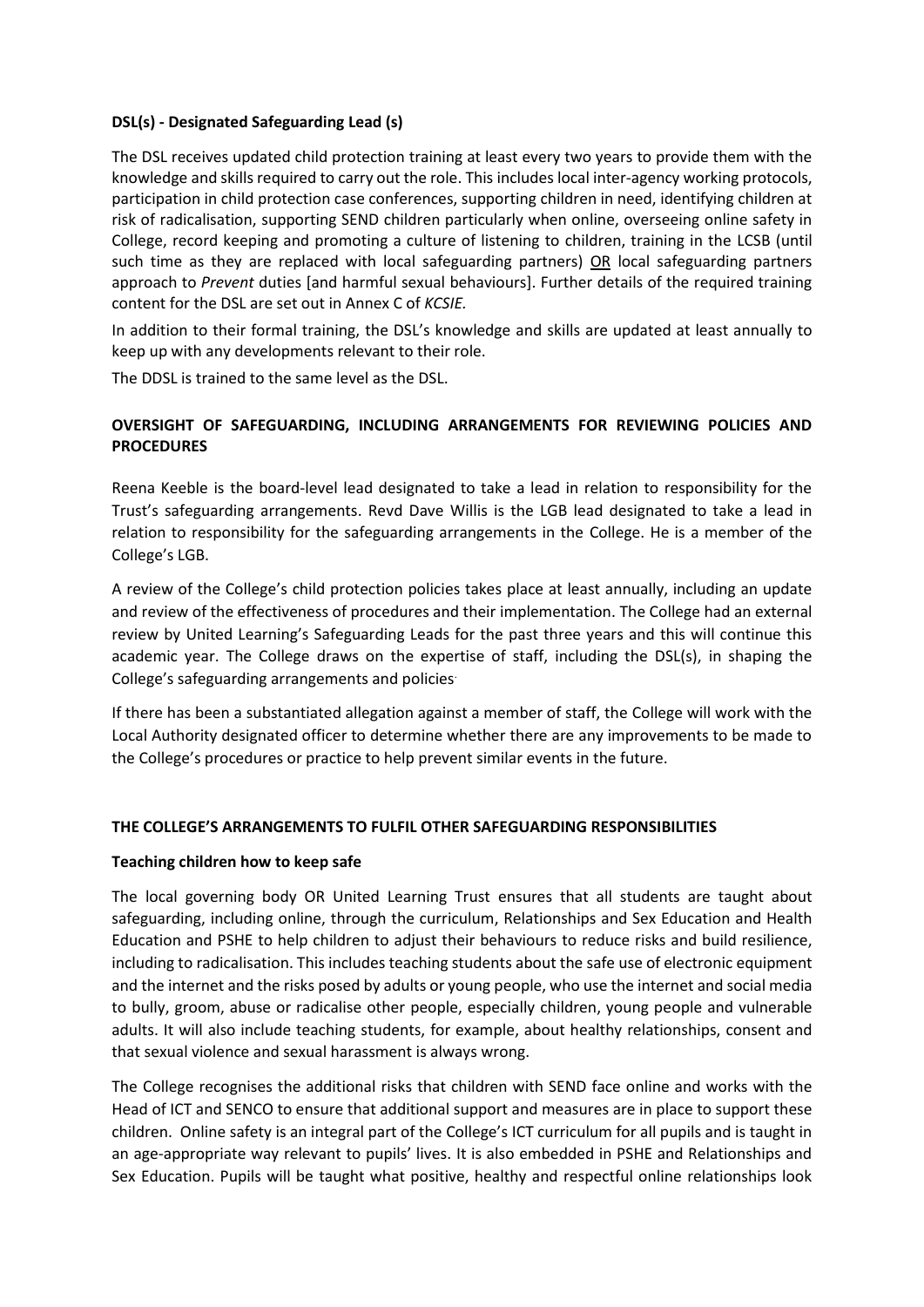#### **DSL(s) - Designated Safeguarding Lead (s)**

The DSL receives updated child protection training at least every two years to provide them with the knowledge and skills required to carry out the role. This includes local inter-agency working protocols, participation in child protection case conferences, supporting children in need, identifying children at risk of radicalisation, supporting SEND children particularly when online, overseeing online safety in College, record keeping and promoting a culture of listening to children, training in the LCSB (until such time as they are replaced with local safeguarding partners) OR local safeguarding partners approach to *Prevent* duties [and harmful sexual behaviours]. Further details of the required training content for the DSL are set out in Annex C of *KCSIE.*

In addition to their formal training, the DSL's knowledge and skills are updated at least annually to keep up with any developments relevant to their role.

The DDSL is trained to the same level as the DSL.

### **OVERSIGHT OF SAFEGUARDING, INCLUDING ARRANGEMENTS FOR REVIEWING POLICIES AND PROCEDURES**

Reena Keeble is the board-level lead designated to take a lead in relation to responsibility for the Trust's safeguarding arrangements. Revd Dave Willis is the LGB lead designated to take a lead in relation to responsibility for the safeguarding arrangements in the College. He is a member of the College's LGB.

A review of the College's child protection policies takes place at least annually, including an update and review of the effectiveness of procedures and their implementation. The College had an external review by United Learning's Safeguarding Leads for the past three years and this will continue this academic year. The College draws on the expertise of staff, including the DSL(s), in shaping the College's safeguarding arrangements and policies.

If there has been a substantiated allegation against a member of staff, the College will work with the Local Authority designated officer to determine whether there are any improvements to be made to the College's procedures or practice to help prevent similar events in the future.

#### **THE COLLEGE'S ARRANGEMENTS TO FULFIL OTHER SAFEGUARDING RESPONSIBILITIES**

#### **Teaching children how to keep safe**

The local governing body OR United Learning Trust ensures that all students are taught about safeguarding, including online, through the curriculum, Relationships and Sex Education and Health Education and PSHE to help children to adjust their behaviours to reduce risks and build resilience, including to radicalisation. This includes teaching students about the safe use of electronic equipment and the internet and the risks posed by adults or young people, who use the internet and social media to bully, groom, abuse or radicalise other people, especially children, young people and vulnerable adults. It will also include teaching students, for example, about healthy relationships, consent and that sexual violence and sexual harassment is always wrong.

The College recognises the additional risks that children with SEND face online and works with the Head of ICT and SENCO to ensure that additional support and measures are in place to support these children. Online safety is an integral part of the College's ICT curriculum for all pupils and is taught in an age-appropriate way relevant to pupils' lives. It is also embedded in PSHE and Relationships and Sex Education. Pupils will be taught what positive, healthy and respectful online relationships look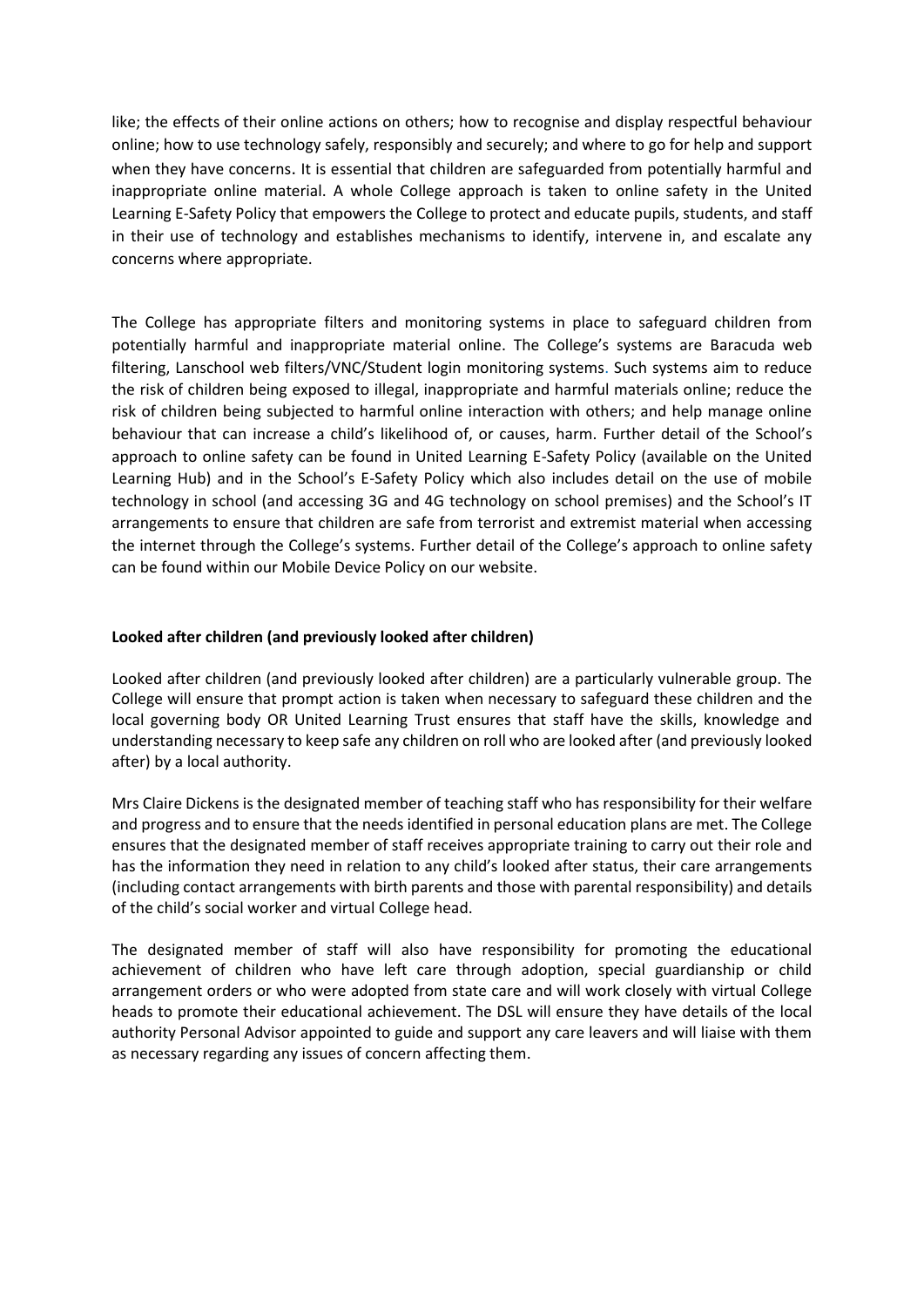like; the effects of their online actions on others; how to recognise and display respectful behaviour online; how to use technology safely, responsibly and securely; and where to go for help and support when they have concerns. It is essential that children are safeguarded from potentially harmful and inappropriate online material. A whole College approach is taken to online safety in the United Learning E-Safety Policy that empowers the College to protect and educate pupils, students, and staff in their use of technology and establishes mechanisms to identify, intervene in, and escalate any concerns where appropriate.

The College has appropriate filters and monitoring systems in place to safeguard children from potentially harmful and inappropriate material online. The College's systems are Baracuda web filtering, Lanschool web filters/VNC/Student login monitoring systems. Such systems aim to reduce the risk of children being exposed to illegal, inappropriate and harmful materials online; reduce the risk of children being subjected to harmful online interaction with others; and help manage online behaviour that can increase a child's likelihood of, or causes, harm. Further detail of the School's approach to online safety can be found in United Learning E-Safety Policy (available on the United Learning Hub) and in the School's E-Safety Policy which also includes detail on the use of mobile technology in school (and accessing 3G and 4G technology on school premises) and the School's IT arrangements to ensure that children are safe from terrorist and extremist material when accessing the internet through the College's systems. Further detail of the College's approach to online safety can be found within our Mobile Device Policy on our website.

#### **Looked after children (and previously looked after children)**

Looked after children (and previously looked after children) are a particularly vulnerable group. The College will ensure that prompt action is taken when necessary to safeguard these children and the local governing body OR United Learning Trust ensures that staff have the skills, knowledge and understanding necessary to keep safe any children on roll who are looked after (and previously looked after) by a local authority.

Mrs Claire Dickens is the designated member of teaching staff who has responsibility for their welfare and progress and to ensure that the needs identified in personal education plans are met. The College ensures that the designated member of staff receives appropriate training to carry out their role and has the information they need in relation to any child's looked after status, their care arrangements (including contact arrangements with birth parents and those with parental responsibility) and details of the child's social worker and virtual College head.

The designated member of staff will also have responsibility for promoting the educational achievement of children who have left care through adoption, special guardianship or child arrangement orders or who were adopted from state care and will work closely with virtual College heads to promote their educational achievement. The DSL will ensure they have details of the local authority Personal Advisor appointed to guide and support any care leavers and will liaise with them as necessary regarding any issues of concern affecting them.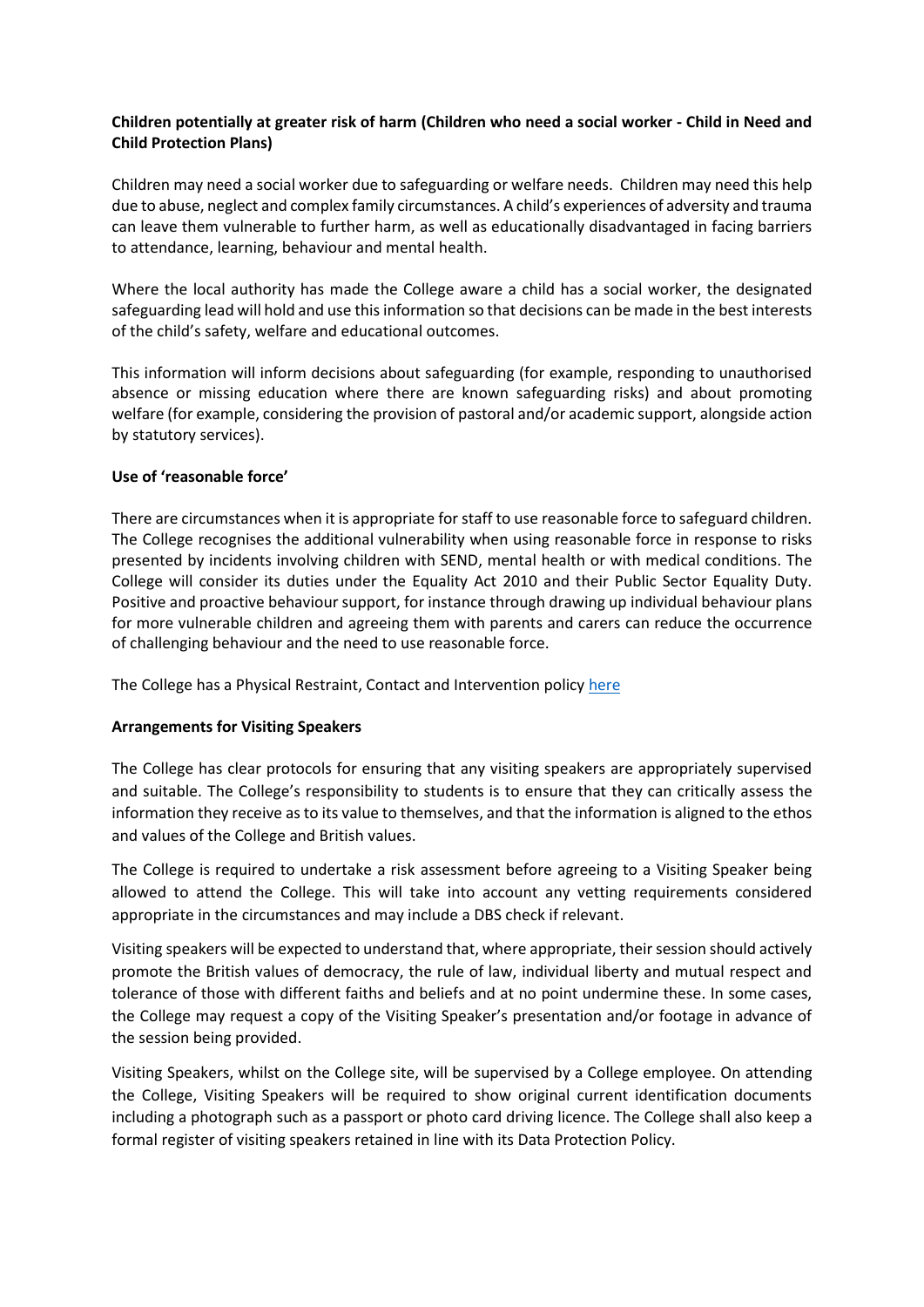#### **Children potentially at greater risk of harm (Children who need a social worker - Child in Need and Child Protection Plans)**

Children may need a social worker due to safeguarding or welfare needs. Children may need this help due to abuse, neglect and complex family circumstances. A child's experiences of adversity and trauma can leave them vulnerable to further harm, as well as educationally disadvantaged in facing barriers to attendance, learning, behaviour and mental health.

Where the local authority has made the College aware a child has a social worker, the designated safeguarding lead will hold and use this information so that decisions can be made in the best interests of the child's safety, welfare and educational outcomes.

This information will inform decisions about safeguarding (for example, responding to unauthorised absence or missing education where there are known safeguarding risks) and about promoting welfare (for example, considering the provision of pastoral and/or academic support, alongside action by statutory services).

#### **Use of 'reasonable force'**

There are circumstances when it is appropriate for staff to use reasonable force to safeguard children. The College recognises the additional vulnerability when using reasonable force in response to risks presented by incidents involving children with SEND, mental health or with medical conditions. The College will consider its duties under the Equality Act 2010 and their Public Sector Equality Duty. Positive and proactive behaviour support, for instance through drawing up individual behaviour plans for more vulnerable children and agreeing them with parents and carers can reduce the occurrence of challenging behaviour and the need to use reasonable force.

The College has a Physical Restraint, Contact and Intervention policy [here](https://www.mrc-academy.org/portals/0/information/policies/behaviour%20and%20attitudes/Physical%20Restraint%20Contact%20and%20Intervention%20Policy.pdf)

#### **Arrangements for Visiting Speakers**

The College has clear protocols for ensuring that any visiting speakers are appropriately supervised and suitable. The College's responsibility to students is to ensure that they can critically assess the information they receive as to its value to themselves, and that the information is aligned to the ethos and values of the College and British values.

The College is required to undertake a risk assessment before agreeing to a Visiting Speaker being allowed to attend the College. This will take into account any vetting requirements considered appropriate in the circumstances and may include a DBS check if relevant.

Visiting speakers will be expected to understand that, where appropriate, their session should actively promote the British values of democracy, the rule of law, individual liberty and mutual respect and tolerance of those with different faiths and beliefs and at no point undermine these. In some cases, the College may request a copy of the Visiting Speaker's presentation and/or footage in advance of the session being provided.

Visiting Speakers, whilst on the College site, will be supervised by a College employee. On attending the College, Visiting Speakers will be required to show original current identification documents including a photograph such as a passport or photo card driving licence. The College shall also keep a formal register of visiting speakers retained in line with its Data Protection Policy.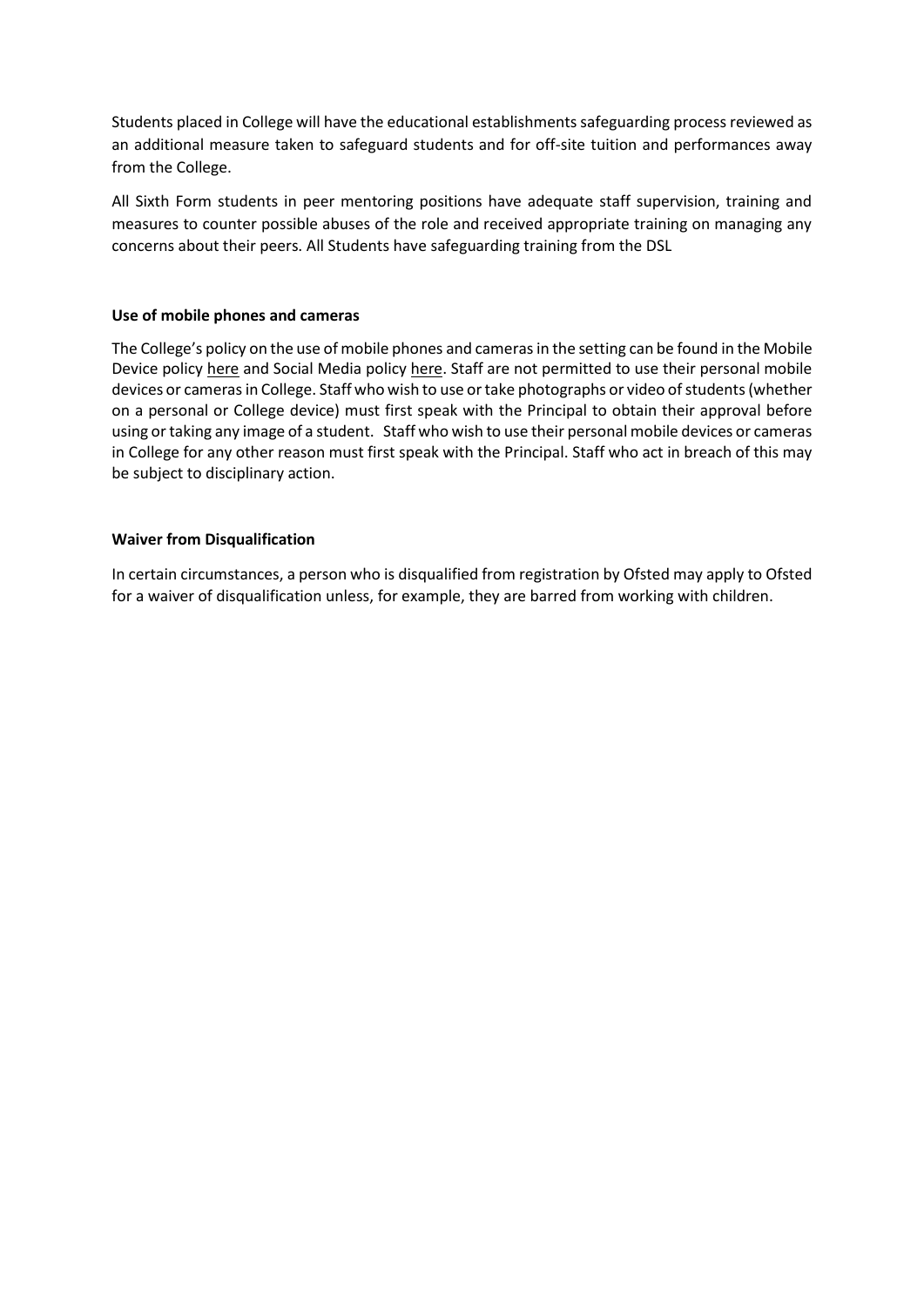Students placed in College will have the educational establishments safeguarding process reviewed as an additional measure taken to safeguard students and for off-site tuition and performances away from the College.

All Sixth Form students in peer mentoring positions have adequate staff supervision, training and measures to counter possible abuses of the role and received appropriate training on managing any concerns about their peers. All Students have safeguarding training from the DSL

#### **Use of mobile phones and cameras**

The College's policy on the use of mobile phones and cameras in the setting can be found in the Mobile Device policy [here](https://www.mrc-academy.org/portals/0/information/policies/behaviour%20and%20attitudes/Mobile%20Device%20Policy.pdf) and Social Media polic[y here.](https://www.mrc-academy.org/portals/0/information/policies/behaviour%20and%20attitudes/Social%20Media%20Policy.pdf) Staff are not permitted to use their personal mobile devices or cameras in College. Staff who wish to use ortake photographs or video of students (whether on a personal or College device) must first speak with the Principal to obtain their approval before using or taking any image of a student. Staff who wish to use their personal mobile devices or cameras in College for any other reason must first speak with the Principal. Staff who act in breach of this may be subject to disciplinary action.

#### **Waiver from Disqualification**

In certain circumstances, a person who is disqualified from registration by Ofsted may apply to Ofsted for a waiver of disqualification unless, for example, they are barred from working with children.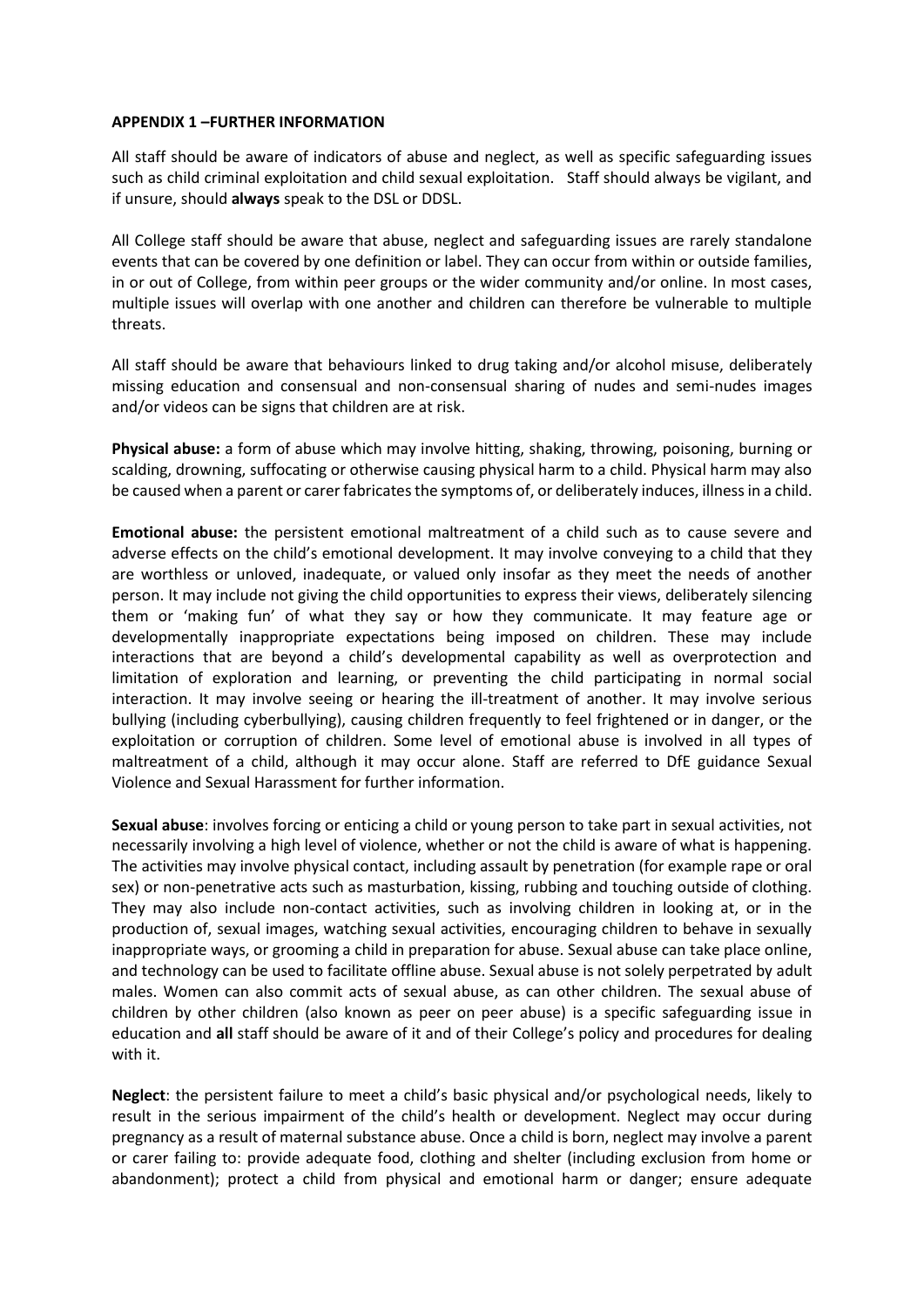#### **APPENDIX 1 –FURTHER INFORMATION**

All staff should be aware of indicators of abuse and neglect, as well as specific safeguarding issues such as child criminal exploitation and child sexual exploitation. Staff should always be vigilant, and if unsure, should **always** speak to the DSL or DDSL.

All College staff should be aware that abuse, neglect and safeguarding issues are rarely standalone events that can be covered by one definition or label. They can occur from within or outside families, in or out of College, from within peer groups or the wider community and/or online. In most cases, multiple issues will overlap with one another and children can therefore be vulnerable to multiple threats.

All staff should be aware that behaviours linked to drug taking and/or alcohol misuse, deliberately missing education and consensual and non-consensual sharing of nudes and semi-nudes images and/or videos can be signs that children are at risk.

**Physical abuse:** a form of abuse which may involve hitting, shaking, throwing, poisoning, burning or scalding, drowning, suffocating or otherwise causing physical harm to a child. Physical harm may also be caused when a parent or carer fabricates the symptoms of, or deliberately induces, illness in a child.

**Emotional abuse:** the persistent emotional maltreatment of a child such as to cause severe and adverse effects on the child's emotional development. It may involve conveying to a child that they are worthless or unloved, inadequate, or valued only insofar as they meet the needs of another person. It may include not giving the child opportunities to express their views, deliberately silencing them or 'making fun' of what they say or how they communicate. It may feature age or developmentally inappropriate expectations being imposed on children. These may include interactions that are beyond a child's developmental capability as well as overprotection and limitation of exploration and learning, or preventing the child participating in normal social interaction. It may involve seeing or hearing the ill-treatment of another. It may involve serious bullying (including cyberbullying), causing children frequently to feel frightened or in danger, or the exploitation or corruption of children. Some level of emotional abuse is involved in all types of maltreatment of a child, although it may occur alone. Staff are referred to DfE guidance Sexual Violence and Sexual Harassment for further information.

**Sexual abuse**: involves forcing or enticing a child or young person to take part in sexual activities, not necessarily involving a high level of violence, whether or not the child is aware of what is happening. The activities may involve physical contact, including assault by penetration (for example rape or oral sex) or non-penetrative acts such as masturbation, kissing, rubbing and touching outside of clothing. They may also include non-contact activities, such as involving children in looking at, or in the production of, sexual images, watching sexual activities, encouraging children to behave in sexually inappropriate ways, or grooming a child in preparation for abuse. Sexual abuse can take place online, and technology can be used to facilitate offline abuse. Sexual abuse is not solely perpetrated by adult males. Women can also commit acts of sexual abuse, as can other children. The sexual abuse of children by other children (also known as peer on peer abuse) is a specific safeguarding issue in education and **all** staff should be aware of it and of their College's policy and procedures for dealing with it.

**Neglect**: the persistent failure to meet a child's basic physical and/or psychological needs, likely to result in the serious impairment of the child's health or development. Neglect may occur during pregnancy as a result of maternal substance abuse. Once a child is born, neglect may involve a parent or carer failing to: provide adequate food, clothing and shelter (including exclusion from home or abandonment); protect a child from physical and emotional harm or danger; ensure adequate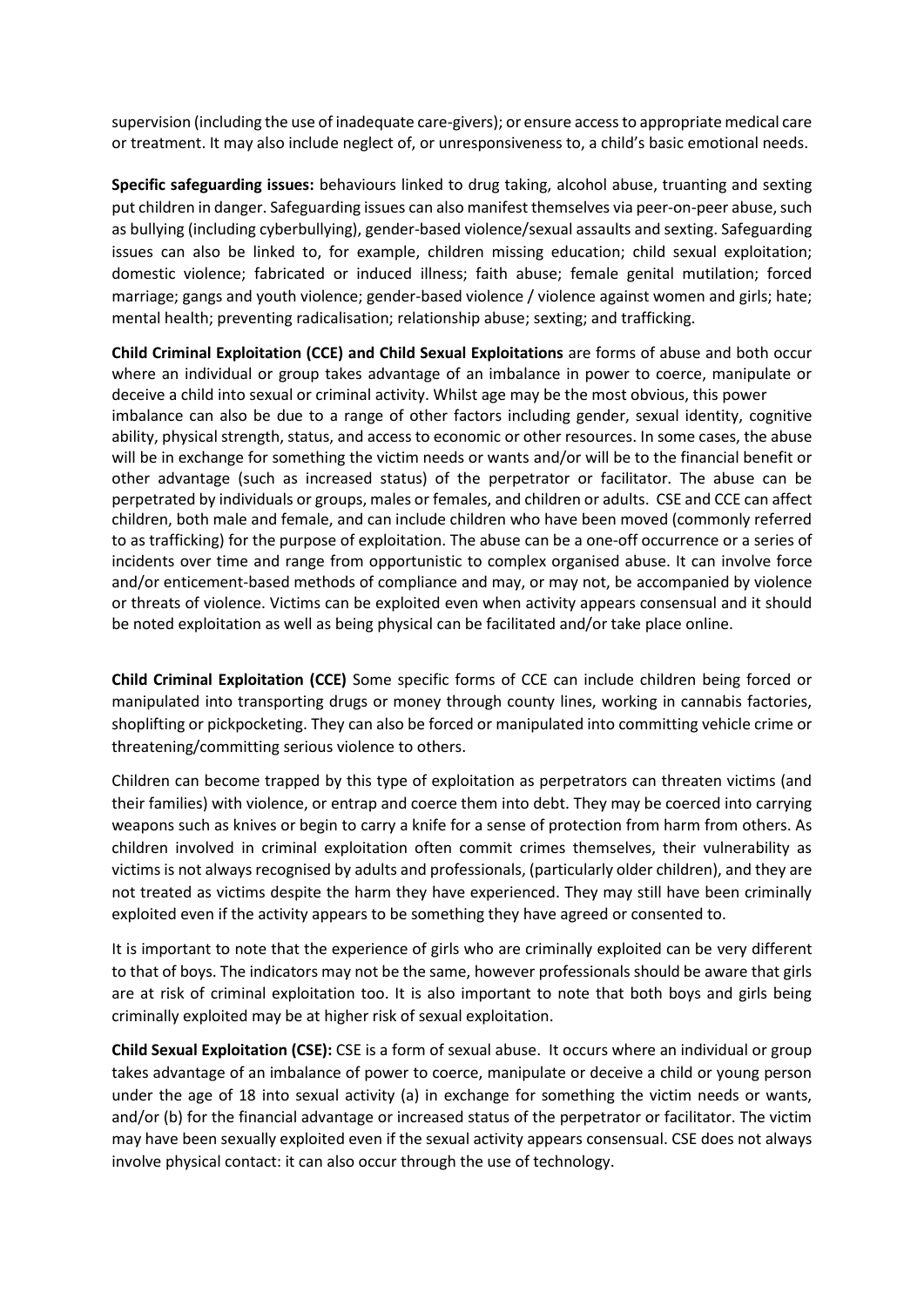supervision (including the use of inadequate care-givers); or ensure access to appropriate medical care or treatment. It may also include neglect of, or unresponsiveness to, a child's basic emotional needs.

**Specific safeguarding issues:** behaviours linked to drug taking, alcohol abuse, truanting and sexting put children in danger. Safeguarding issues can also manifest themselves via peer-on-peer abuse, such as bullying (including cyberbullying), gender-based violence/sexual assaults and sexting. Safeguarding issues can also be linked to, for example, children missing education; child sexual exploitation; domestic violence; fabricated or induced illness; faith abuse; female genital mutilation; forced marriage; gangs and youth violence; gender-based violence / violence against women and girls; hate; mental health; preventing radicalisation; relationship abuse; sexting; and trafficking.

**Child Criminal Exploitation (CCE) and Child Sexual Exploitations** are forms of abuse and both occur where an individual or group takes advantage of an imbalance in power to coerce, manipulate or deceive a child into sexual or criminal activity. Whilst age may be the most obvious, this power imbalance can also be due to a range of other factors including gender, sexual identity, cognitive ability, physical strength, status, and access to economic or other resources. In some cases, the abuse will be in exchange for something the victim needs or wants and/or will be to the financial benefit or other advantage (such as increased status) of the perpetrator or facilitator. The abuse can be perpetrated by individuals or groups, males or females, and children or adults. CSE and CCE can affect children, both male and female, and can include children who have been moved (commonly referred to as trafficking) for the purpose of exploitation. The abuse can be a one-off occurrence or a series of incidents over time and range from opportunistic to complex organised abuse. It can involve force and/or enticement-based methods of compliance and may, or may not, be accompanied by violence or threats of violence. Victims can be exploited even when activity appears consensual and it should be noted exploitation as well as being physical can be facilitated and/or take place online.

**Child Criminal Exploitation (CCE)** Some specific forms of CCE can include children being forced or manipulated into transporting drugs or money through county lines, working in cannabis factories, shoplifting or pickpocketing. They can also be forced or manipulated into committing vehicle crime or threatening/committing serious violence to others.

Children can become trapped by this type of exploitation as perpetrators can threaten victims (and their families) with violence, or entrap and coerce them into debt. They may be coerced into carrying weapons such as knives or begin to carry a knife for a sense of protection from harm from others. As children involved in criminal exploitation often commit crimes themselves, their vulnerability as victims is not always recognised by adults and professionals, (particularly older children), and they are not treated as victims despite the harm they have experienced. They may still have been criminally exploited even if the activity appears to be something they have agreed or consented to.

It is important to note that the experience of girls who are criminally exploited can be very different to that of boys. The indicators may not be the same, however professionals should be aware that girls are at risk of criminal exploitation too. It is also important to note that both boys and girls being criminally exploited may be at higher risk of sexual exploitation.

**Child Sexual Exploitation (CSE):** CSE is a form of sexual abuse. It occurs where an individual or group takes advantage of an imbalance of power to coerce, manipulate or deceive a child or young person under the age of 18 into sexual activity (a) in exchange for something the victim needs or wants, and/or (b) for the financial advantage or increased status of the perpetrator or facilitator. The victim may have been sexually exploited even if the sexual activity appears consensual. CSE does not always involve physical contact: it can also occur through the use of technology.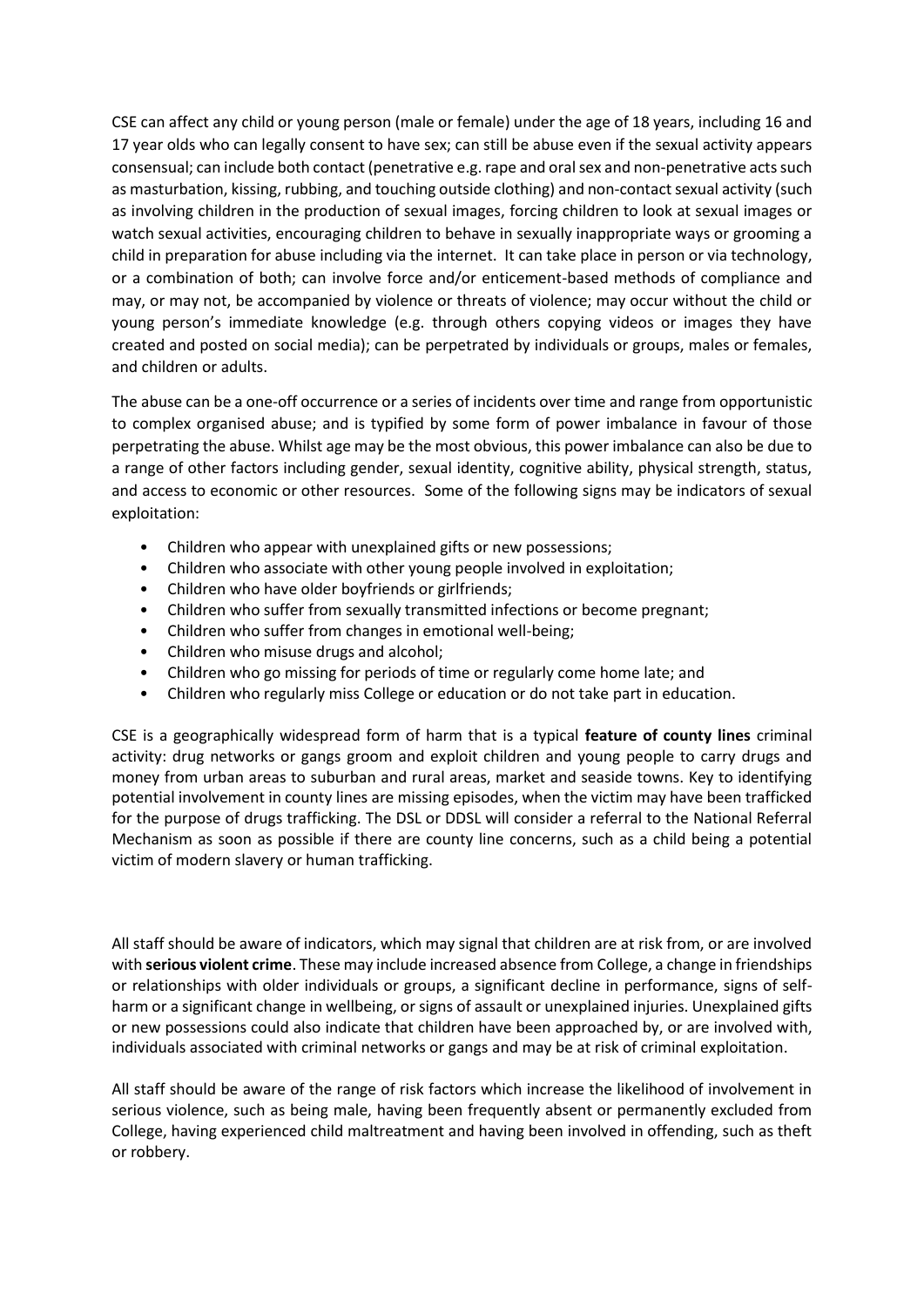CSE can affect any child or young person (male or female) under the age of 18 years, including 16 and 17 year olds who can legally consent to have sex; can still be abuse even if the sexual activity appears consensual; can include both contact (penetrative e.g. rape and oral sex and non-penetrative actssuch as masturbation, kissing, rubbing, and touching outside clothing) and non-contact sexual activity (such as involving children in the production of sexual images, forcing children to look at sexual images or watch sexual activities, encouraging children to behave in sexually inappropriate ways or grooming a child in preparation for abuse including via the internet. It can take place in person or via technology, or a combination of both; can involve force and/or enticement-based methods of compliance and may, or may not, be accompanied by violence or threats of violence; may occur without the child or young person's immediate knowledge (e.g. through others copying videos or images they have created and posted on social media); can be perpetrated by individuals or groups, males or females, and children or adults.

The abuse can be a one-off occurrence or a series of incidents over time and range from opportunistic to complex organised abuse; and is typified by some form of power imbalance in favour of those perpetrating the abuse. Whilst age may be the most obvious, this power imbalance can also be due to a range of other factors including gender, sexual identity, cognitive ability, physical strength, status, and access to economic or other resources. Some of the following signs may be indicators of sexual exploitation:

- Children who appear with unexplained gifts or new possessions;
- Children who associate with other young people involved in exploitation;
- Children who have older boyfriends or girlfriends;
- Children who suffer from sexually transmitted infections or become pregnant;
- Children who suffer from changes in emotional well-being;
- Children who misuse drugs and alcohol;
- Children who go missing for periods of time or regularly come home late; and
- Children who regularly miss College or education or do not take part in education.

CSE is a geographically widespread form of harm that is a typical **feature of county lines** criminal activity: drug networks or gangs groom and exploit children and young people to carry drugs and money from urban areas to suburban and rural areas, market and seaside towns. Key to identifying potential involvement in county lines are missing episodes, when the victim may have been trafficked for the purpose of drugs trafficking. The DSL or DDSL will consider a referral to the National Referral Mechanism as soon as possible if there are county line concerns, such as a child being a potential victim of modern slavery or human trafficking.

All staff should be aware of indicators, which may signal that children are at risk from, or are involved with **serious violent crime**. These may include increased absence from College, a change in friendships or relationships with older individuals or groups, a significant decline in performance, signs of selfharm or a significant change in wellbeing, or signs of assault or unexplained injuries. Unexplained gifts or new possessions could also indicate that children have been approached by, or are involved with, individuals associated with criminal networks or gangs and may be at risk of criminal exploitation.

All staff should be aware of the range of risk factors which increase the likelihood of involvement in serious violence, such as being male, having been frequently absent or permanently excluded from College, having experienced child maltreatment and having been involved in offending, such as theft or robbery.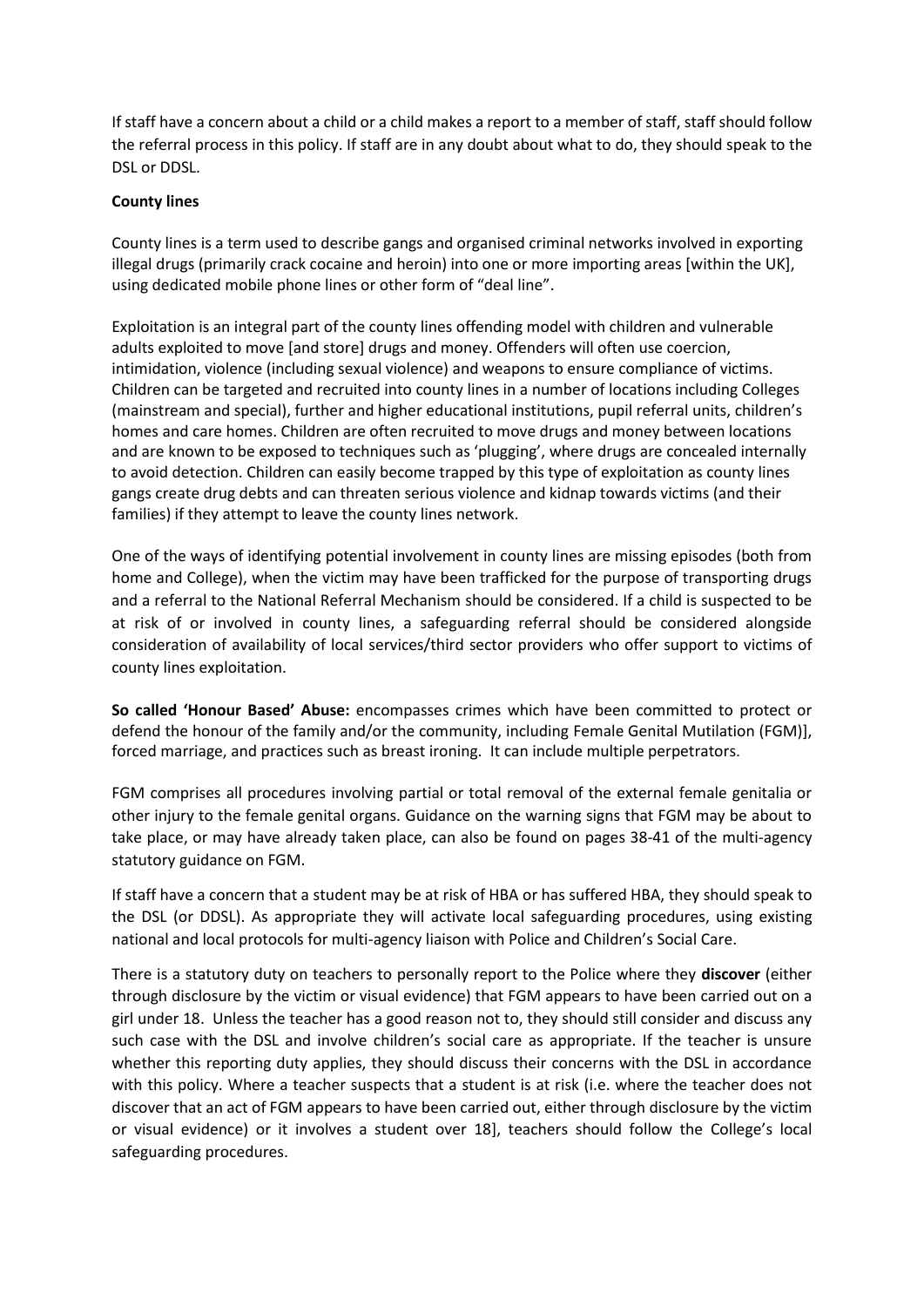If staff have a concern about a child or a child makes a report to a member of staff, staff should follow the referral process in this policy. If staff are in any doubt about what to do, they should speak to the DSL or DDSL.

#### **County lines**

County lines is a term used to describe gangs and organised criminal networks involved in exporting illegal drugs (primarily crack cocaine and heroin) into one or more importing areas [within the UK], using dedicated mobile phone lines or other form of "deal line".

Exploitation is an integral part of the county lines offending model with children and vulnerable adults exploited to move [and store] drugs and money. Offenders will often use coercion, intimidation, violence (including sexual violence) and weapons to ensure compliance of victims. Children can be targeted and recruited into county lines in a number of locations including Colleges (mainstream and special), further and higher educational institutions, pupil referral units, children's homes and care homes. Children are often recruited to move drugs and money between locations and are known to be exposed to techniques such as 'plugging', where drugs are concealed internally to avoid detection. Children can easily become trapped by this type of exploitation as county lines gangs create drug debts and can threaten serious violence and kidnap towards victims (and their families) if they attempt to leave the county lines network.

One of the ways of identifying potential involvement in county lines are missing episodes (both from home and College), when the victim may have been trafficked for the purpose of transporting drugs and a referral to the National Referral Mechanism should be considered. If a child is suspected to be at risk of or involved in county lines, a safeguarding referral should be considered alongside consideration of availability of local services/third sector providers who offer support to victims of county lines exploitation.

**So called 'Honour Based' Abuse:** encompasses crimes which have been committed to protect or defend the honour of the family and/or the community, including Female Genital Mutilation (FGM)], forced marriage, and practices such as breast ironing.It can include multiple perpetrators.

FGM comprises all procedures involving partial or total removal of the external female genitalia or other injury to the female genital organs. Guidance on the warning signs that FGM may be about to take place, or may have already taken place, can also be found on pages 38-41 of the multi-agency statutory guidance on FGM.

If staff have a concern that a student may be at risk of HBA or has suffered HBA, they should speak to the DSL (or DDSL). As appropriate they will activate local safeguarding procedures, using existing national and local protocols for multi-agency liaison with Police and Children's Social Care.

There is a statutory duty on teachers to personally report to the Police where they **discover** (either through disclosure by the victim or visual evidence) that FGM appears to have been carried out on a girl under 18. Unless the teacher has a good reason not to, they should still consider and discuss any such case with the DSL and involve children's social care as appropriate. If the teacher is unsure whether this reporting duty applies, they should discuss their concerns with the DSL in accordance with this policy. Where a teacher suspects that a student is at risk (i.e. where the teacher does not discover that an act of FGM appears to have been carried out, either through disclosure by the victim or visual evidence) or it involves a student over 18], teachers should follow the College's local safeguarding procedures.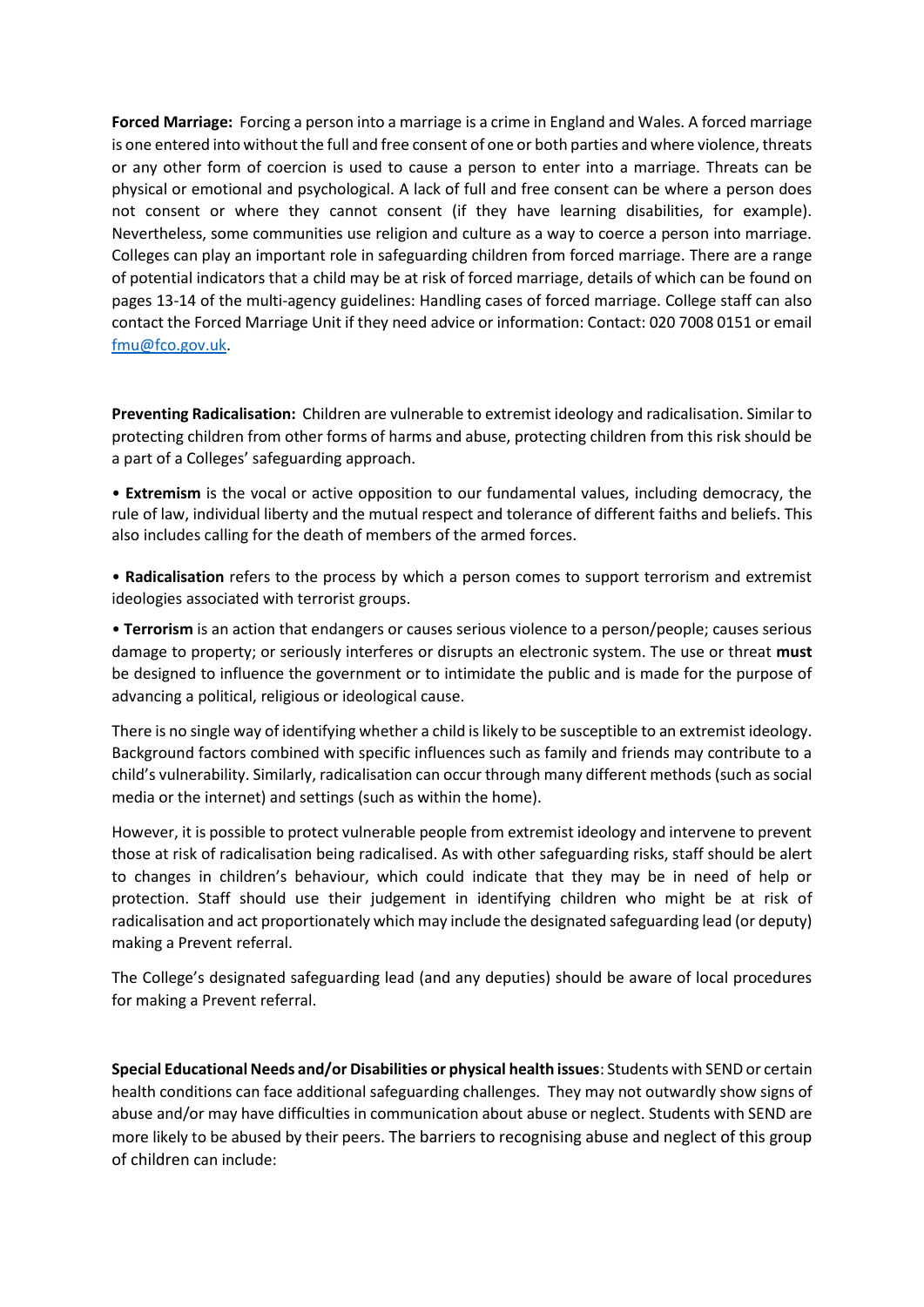**Forced Marriage:** Forcing a person into a marriage is a crime in England and Wales. A forced marriage is one entered into without the full and free consent of one or both parties and where violence, threats or any other form of coercion is used to cause a person to enter into a marriage. Threats can be physical or emotional and psychological. A lack of full and free consent can be where a person does not consent or where they cannot consent (if they have learning disabilities, for example). Nevertheless, some communities use religion and culture as a way to coerce a person into marriage. Colleges can play an important role in safeguarding children from forced marriage. There are a range of potential indicators that a child may be at risk of forced marriage, details of which can be found on pages 13-14 of the multi-agency guidelines: Handling cases of forced marriage. College staff can also contact the Forced Marriage Unit if they need advice or information: Contact: 020 7008 0151 or email [fmu@fco.gov.uk.](mailto:fmu@fco.gov.uk)

**Preventing Radicalisation:** Children are vulnerable to extremist ideology and radicalisation. Similar to protecting children from other forms of harms and abuse, protecting children from this risk should be a part of a Colleges' safeguarding approach.

• **Extremism** is the vocal or active opposition to our fundamental values, including democracy, the rule of law, individual liberty and the mutual respect and tolerance of different faiths and beliefs. This also includes calling for the death of members of the armed forces.

• **Radicalisation** refers to the process by which a person comes to support terrorism and extremist ideologies associated with terrorist groups.

• **Terrorism** is an action that endangers or causes serious violence to a person/people; causes serious damage to property; or seriously interferes or disrupts an electronic system. The use or threat **must**  be designed to influence the government or to intimidate the public and is made for the purpose of advancing a political, religious or ideological cause.

There is no single way of identifying whether a child is likely to be susceptible to an extremist ideology. Background factors combined with specific influences such as family and friends may contribute to a child's vulnerability. Similarly, radicalisation can occur through many different methods (such as social media or the internet) and settings (such as within the home).

However, it is possible to protect vulnerable people from extremist ideology and intervene to prevent those at risk of radicalisation being radicalised. As with other safeguarding risks, staff should be alert to changes in children's behaviour, which could indicate that they may be in need of help or protection. Staff should use their judgement in identifying children who might be at risk of radicalisation and act proportionately which may include the designated safeguarding lead (or deputy) making a Prevent referral.

The College's designated safeguarding lead (and any deputies) should be aware of local procedures for making a Prevent referral.

**Special Educational Needs and/or Disabilities or physical health issues**: Students with SEND or certain health conditions can face additional safeguarding challenges. They may not outwardly show signs of abuse and/or may have difficulties in communication about abuse or neglect. Students with SEND are more likely to be abused by their peers. The barriers to recognising abuse and neglect of this group of children can include: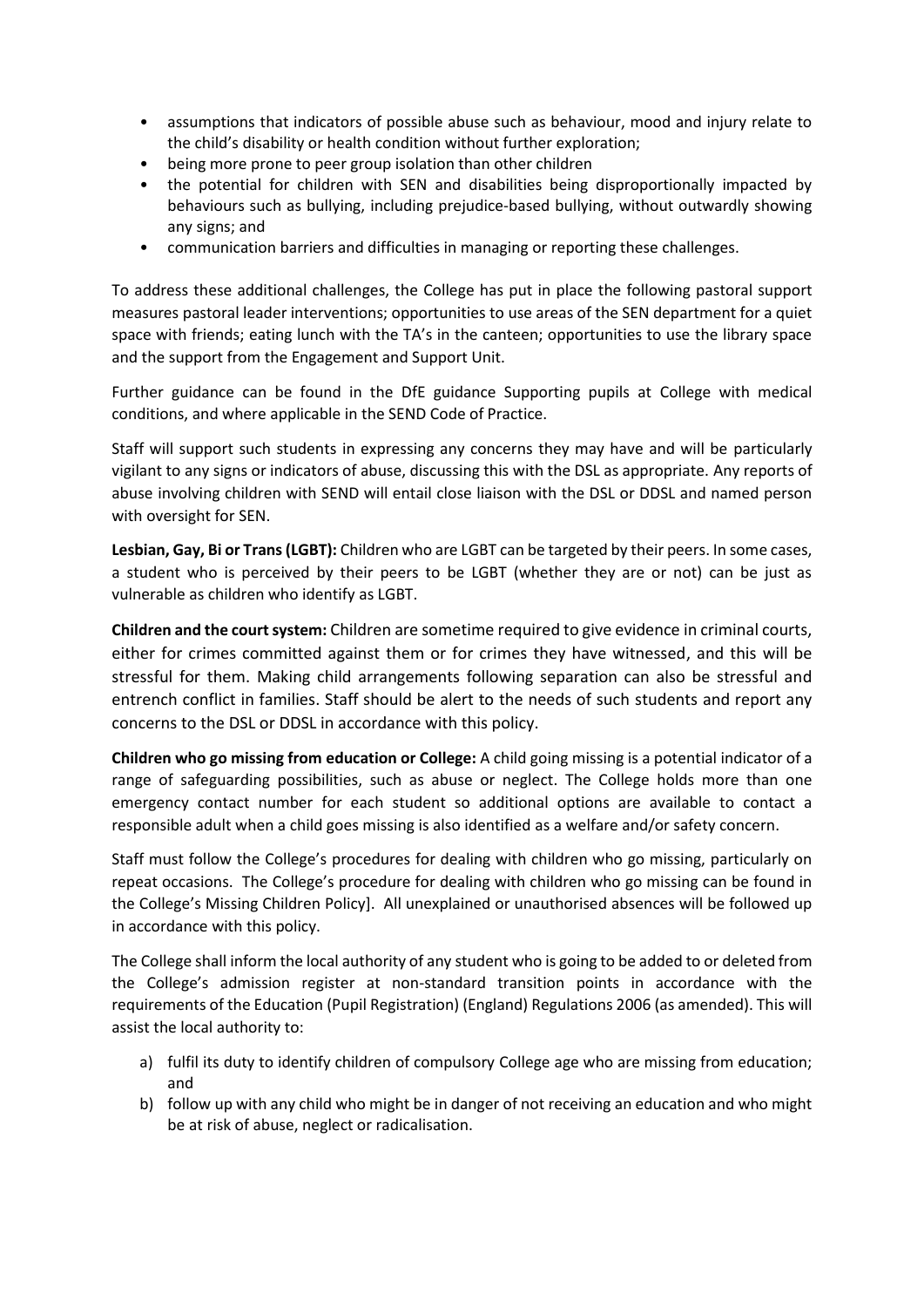- assumptions that indicators of possible abuse such as behaviour, mood and injury relate to the child's disability or health condition without further exploration;
- being more prone to peer group isolation than other children
- the potential for children with SEN and disabilities being disproportionally impacted by behaviours such as bullying, including prejudice-based bullying, without outwardly showing any signs; and
- communication barriers and difficulties in managing or reporting these challenges.

To address these additional challenges, the College has put in place the following pastoral support measures pastoral leader interventions; opportunities to use areas of the SEN department for a quiet space with friends; eating lunch with the TA's in the canteen; opportunities to use the library space and the support from the Engagement and Support Unit.

Further guidance can be found in the DfE guidance Supporting pupils at College with medical conditions, and where applicable in the SEND Code of Practice.

Staff will support such students in expressing any concerns they may have and will be particularly vigilant to any signs or indicators of abuse, discussing this with the DSL as appropriate. Any reports of abuse involving children with SEND will entail close liaison with the DSL or DDSL and named person with oversight for SEN.

**Lesbian, Gay, Bi or Trans (LGBT):** Children who are LGBT can be targeted by their peers. In some cases, a student who is perceived by their peers to be LGBT (whether they are or not) can be just as vulnerable as children who identify as LGBT.

**Children and the court system:** Children are sometime required to give evidence in criminal courts, either for crimes committed against them or for crimes they have witnessed, and this will be stressful for them. Making child arrangements following separation can also be stressful and entrench conflict in families. Staff should be alert to the needs of such students and report any concerns to the DSL or DDSL in accordance with this policy.

**Children who go missing from education or College:** A child going missing is a potential indicator of a range of safeguarding possibilities, such as abuse or neglect. The College holds more than one emergency contact number for each student so additional options are available to contact a responsible adult when a child goes missing is also identified as a welfare and/or safety concern.

Staff must follow the College's procedures for dealing with children who go missing, particularly on repeat occasions.The College's procedure for dealing with children who go missing can be found in the College's Missing Children Policy]. All unexplained or unauthorised absences will be followed up in accordance with this policy.

The College shall inform the local authority of any student who is going to be added to or deleted from the College's admission register at non-standard transition points in accordance with the requirements of the Education (Pupil Registration) (England) Regulations 2006 (as amended). This will assist the local authority to:

- a) fulfil its duty to identify children of compulsory College age who are missing from education; and
- b) follow up with any child who might be in danger of not receiving an education and who might be at risk of abuse, neglect or radicalisation.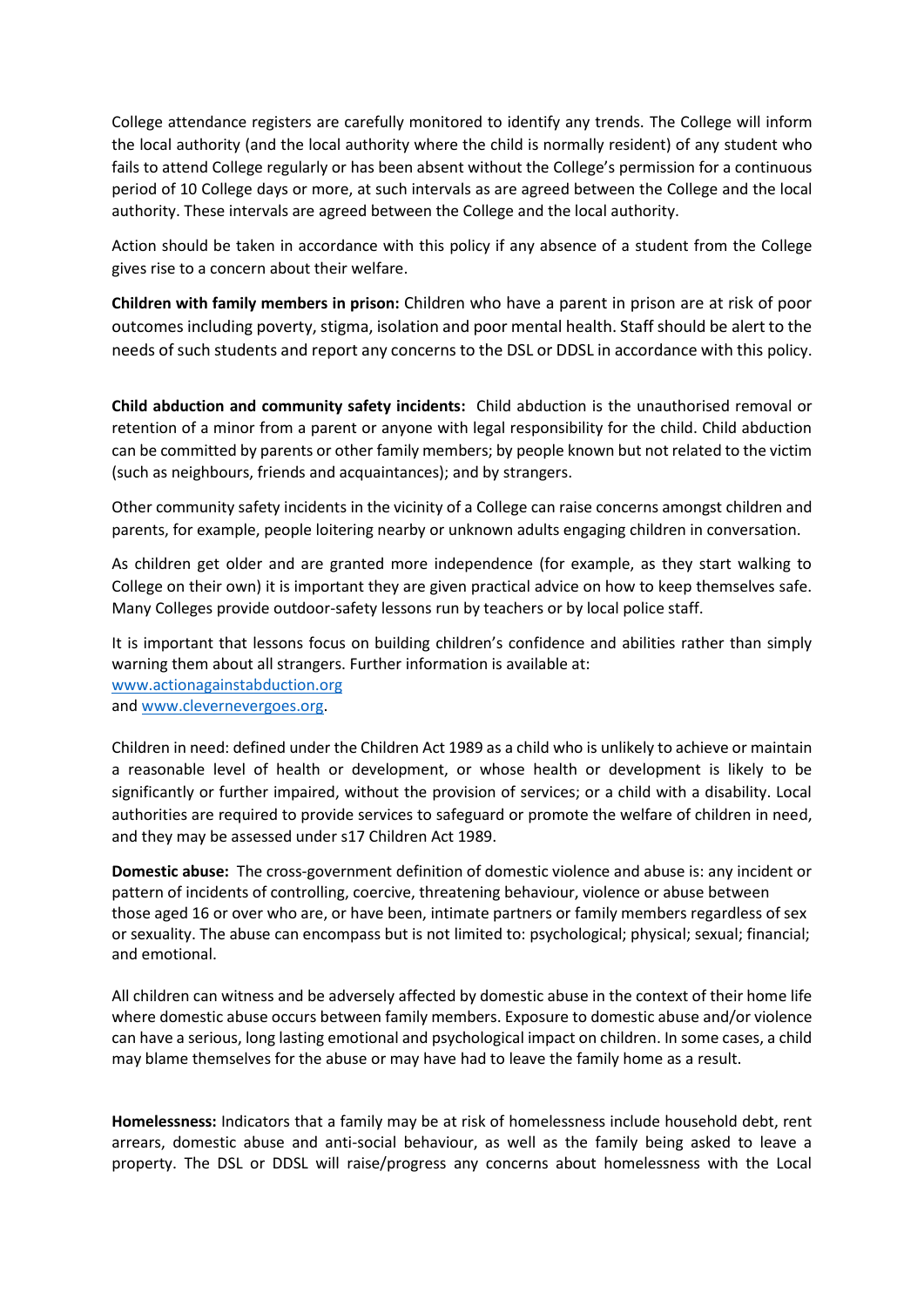College attendance registers are carefully monitored to identify any trends. The College will inform the local authority (and the local authority where the child is normally resident) of any student who fails to attend College regularly or has been absent without the College's permission for a continuous period of 10 College days or more, at such intervals as are agreed between the College and the local authority. These intervals are agreed between the College and the local authority.

Action should be taken in accordance with this policy if any absence of a student from the College gives rise to a concern about their welfare.

**Children with family members in prison:** Children who have a parent in prison are at risk of poor outcomes including poverty, stigma, isolation and poor mental health. Staff should be alert to the needs of such students and report any concerns to the DSL or DDSL in accordance with this policy.

**Child abduction and community safety incidents:** Child abduction is the unauthorised removal or retention of a minor from a parent or anyone with legal responsibility for the child. Child abduction can be committed by parents or other family members; by people known but not related to the victim (such as neighbours, friends and acquaintances); and by strangers.

Other community safety incidents in the vicinity of a College can raise concerns amongst children and parents, for example, people loitering nearby or unknown adults engaging children in conversation.

As children get older and are granted more independence (for example, as they start walking to College on their own) it is important they are given practical advice on how to keep themselves safe. Many Colleges provide outdoor-safety lessons run by teachers or by local police staff.

It is important that lessons focus on building children's confidence and abilities rather than simply warning them about all strangers. Further information is available at: [www.actionagainstabduction.org](http://www.actionagainstabduction.org/) and [www.clevernevergoes.org.](http://www.clevernevergoes.org/)

Children in need: defined under the Children Act 1989 as a child who is unlikely to achieve or maintain a reasonable level of health or development, or whose health or development is likely to be significantly or further impaired, without the provision of services; or a child with a disability. Local authorities are required to provide services to safeguard or promote the welfare of children in need, and they may be assessed under s17 Children Act 1989.

**Domestic abuse:** The cross-government definition of domestic violence and abuse is: any incident or pattern of incidents of controlling, coercive, threatening behaviour, violence or abuse between those aged 16 or over who are, or have been, intimate partners or family members regardless of sex or sexuality. The abuse can encompass but is not limited to: psychological; physical; sexual; financial; and emotional.

All children can witness and be adversely affected by domestic abuse in the context of their home life where domestic abuse occurs between family members. Exposure to domestic abuse and/or violence can have a serious, long lasting emotional and psychological impact on children. In some cases, a child may blame themselves for the abuse or may have had to leave the family home as a result.

**Homelessness:** Indicators that a family may be at risk of homelessness include household debt, rent arrears, domestic abuse and anti-social behaviour, as well as the family being asked to leave a property. The DSL or DDSL will raise/progress any concerns about homelessness with the Local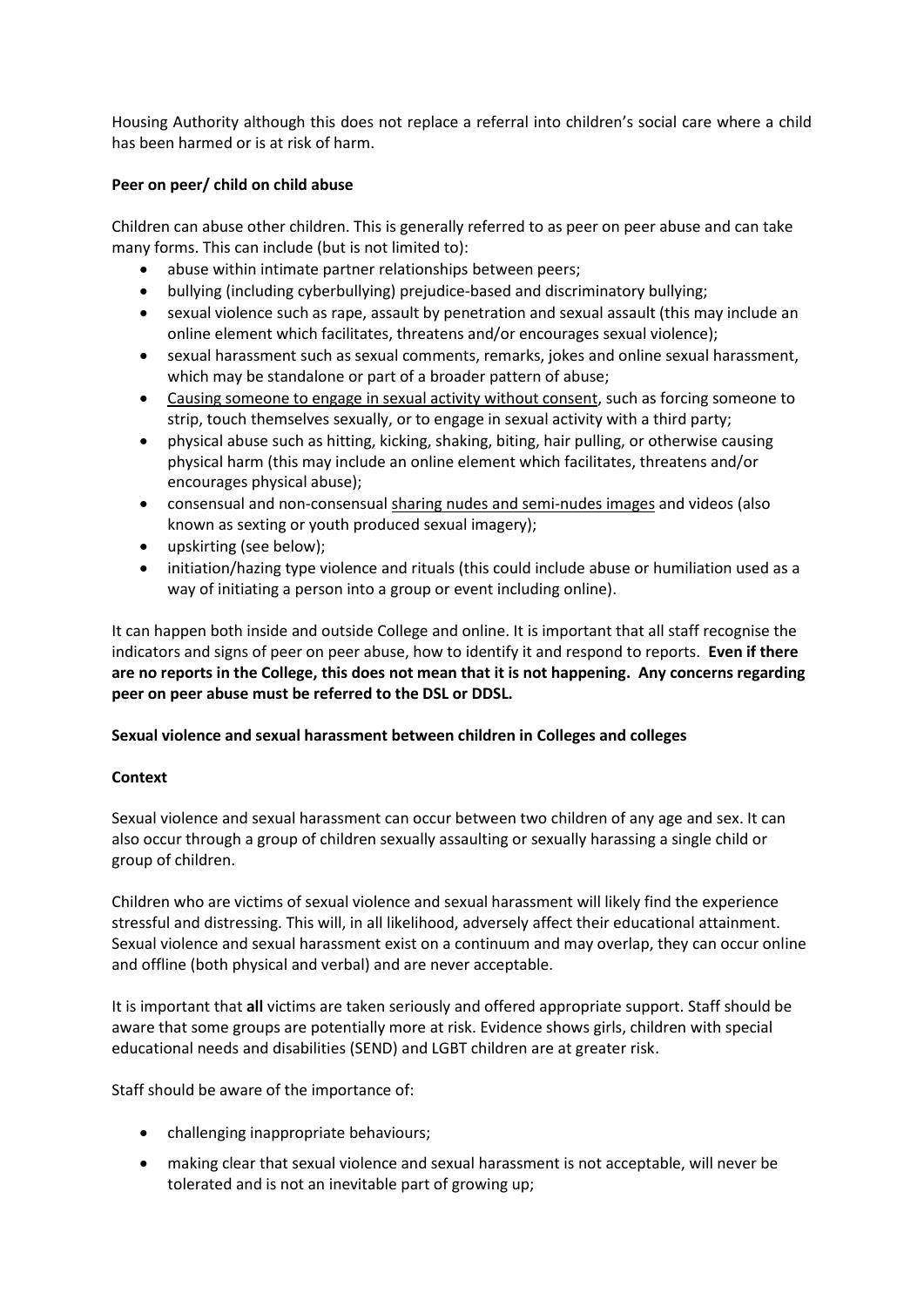Housing Authority although this does not replace a referral into children's social care where a child has been harmed or is at risk of harm.

#### **Peer on peer/ child on child abuse**

Children can abuse other children. This is generally referred to as peer on peer abuse and can take many forms. This can include (but is not limited to):

- abuse within intimate partner relationships between peers;
- bullying (including cyberbullying) prejudice-based and discriminatory bullying;
- sexual violence such as rape, assault by penetration and sexual assault (this may include an online element which facilitates, threatens and/or encourages sexual violence);
- sexual harassment such as sexual comments, remarks, jokes and online sexual harassment, which may be standalone or part of a broader pattern of abuse;
- Causing someone to engage in sexual activity without consent, such as forcing someone to strip, touch themselves sexually, or to engage in sexual activity with a third party;
- physical abuse such as hitting, kicking, shaking, biting, hair pulling, or otherwise causing physical harm (this may include an online element which facilitates, threatens and/or encourages physical abuse);
- consensual and non-consensual sharing nudes and semi-nudes images and videos (also known as sexting or youth produced sexual imagery);
- upskirting (see below);
- initiation/hazing type violence and rituals (this could include abuse or humiliation used as a way of initiating a person into a group or event including online).

It can happen both inside and outside College and online. It is important that all staff recognise the indicators and signs of peer on peer abuse, how to identify it and respond to reports. **Even if there are no reports in the College, this does not mean that it is not happening. Any concerns regarding peer on peer abuse must be referred to the DSL or DDSL.** 

#### **Sexual violence and sexual harassment between children in Colleges and colleges**

#### **Context**

Sexual violence and sexual harassment can occur between two children of any age and sex. It can also occur through a group of children sexually assaulting or sexually harassing a single child or group of children.

Children who are victims of sexual violence and sexual harassment will likely find the experience stressful and distressing. This will, in all likelihood, adversely affect their educational attainment. Sexual violence and sexual harassment exist on a continuum and may overlap, they can occur online and offline (both physical and verbal) and are never acceptable.

It is important that **all** victims are taken seriously and offered appropriate support. Staff should be aware that some groups are potentially more at risk. Evidence shows girls, children with special educational needs and disabilities (SEND) and LGBT children are at greater risk.

Staff should be aware of the importance of:

- challenging inappropriate behaviours;
- making clear that sexual violence and sexual harassment is not acceptable, will never be tolerated and is not an inevitable part of growing up;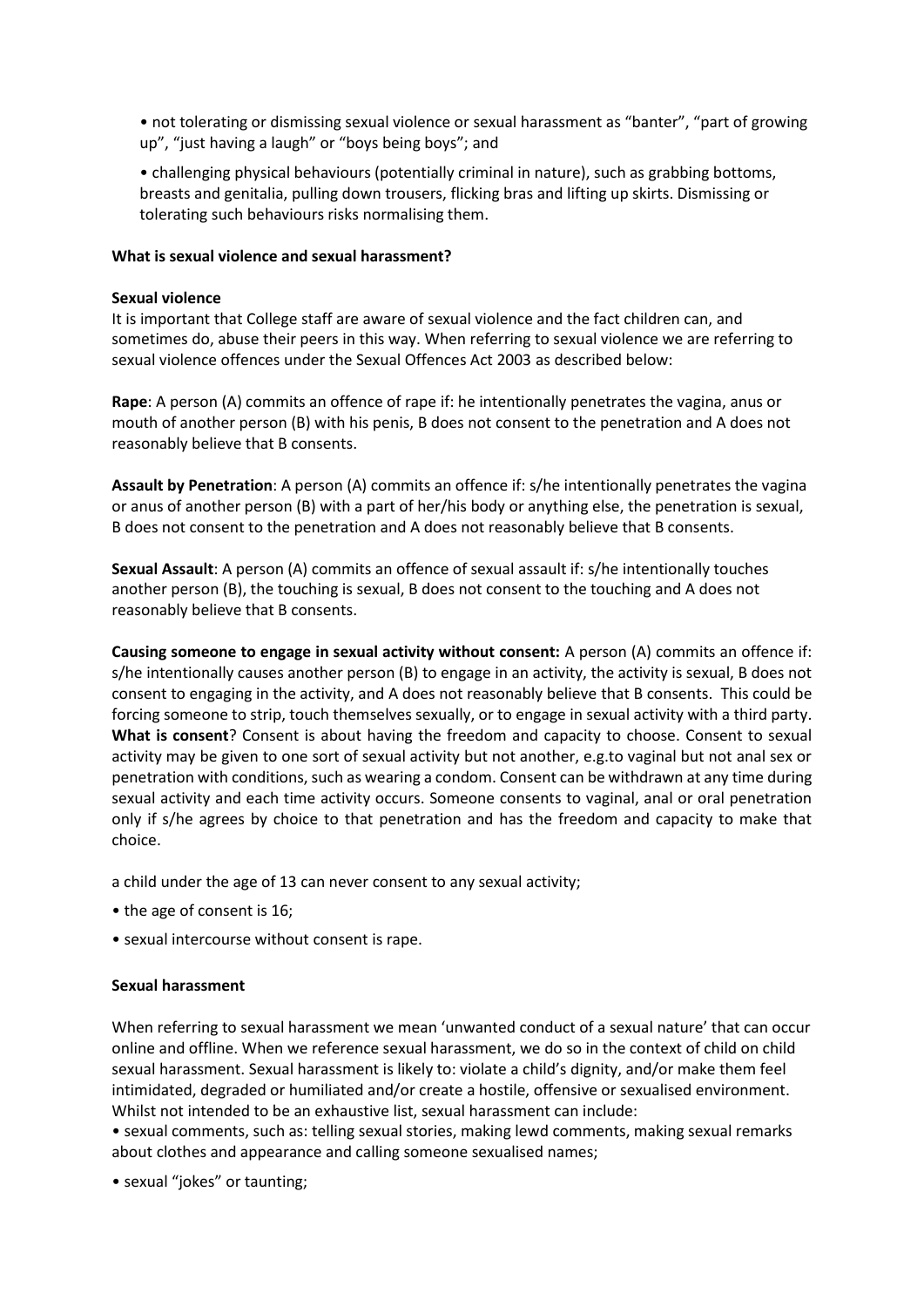• not tolerating or dismissing sexual violence or sexual harassment as "banter", "part of growing up", "just having a laugh" or "boys being boys"; and

• challenging physical behaviours (potentially criminal in nature), such as grabbing bottoms, breasts and genitalia, pulling down trousers, flicking bras and lifting up skirts. Dismissing or tolerating such behaviours risks normalising them.

#### **What is sexual violence and sexual harassment?**

#### **Sexual violence**

It is important that College staff are aware of sexual violence and the fact children can, and sometimes do, abuse their peers in this way. When referring to sexual violence we are referring to sexual violence offences under the Sexual Offences Act 2003 as described below:

**Rape**: A person (A) commits an offence of rape if: he intentionally penetrates the vagina, anus or mouth of another person (B) with his penis, B does not consent to the penetration and A does not reasonably believe that B consents.

**Assault by Penetration**: A person (A) commits an offence if: s/he intentionally penetrates the vagina or anus of another person (B) with a part of her/his body or anything else, the penetration is sexual, B does not consent to the penetration and A does not reasonably believe that B consents.

**Sexual Assault**: A person (A) commits an offence of sexual assault if: s/he intentionally touches another person (B), the touching is sexual, B does not consent to the touching and A does not reasonably believe that B consents.

**Causing someone to engage in sexual activity without consent:** A person (A) commits an offence if: s/he intentionally causes another person (B) to engage in an activity, the activity is sexual, B does not consent to engaging in the activity, and A does not reasonably believe that B consents. This could be forcing someone to strip, touch themselves sexually, or to engage in sexual activity with a third party. **What is consent**? Consent is about having the freedom and capacity to choose. Consent to sexual activity may be given to one sort of sexual activity but not another, e.g.to vaginal but not anal sex or penetration with conditions, such as wearing a condom. Consent can be withdrawn at any time during sexual activity and each time activity occurs. Someone consents to vaginal, anal or oral penetration only if s/he agrees by choice to that penetration and has the freedom and capacity to make that choice.

a child under the age of 13 can never consent to any sexual activity;

- the age of consent is 16;
- sexual intercourse without consent is rape.

#### **Sexual harassment**

When referring to sexual harassment we mean 'unwanted conduct of a sexual nature' that can occur online and offline. When we reference sexual harassment, we do so in the context of child on child sexual harassment. Sexual harassment is likely to: violate a child's dignity, and/or make them feel intimidated, degraded or humiliated and/or create a hostile, offensive or sexualised environment. Whilst not intended to be an exhaustive list, sexual harassment can include:

• sexual comments, such as: telling sexual stories, making lewd comments, making sexual remarks about clothes and appearance and calling someone sexualised names;

• sexual "jokes" or taunting;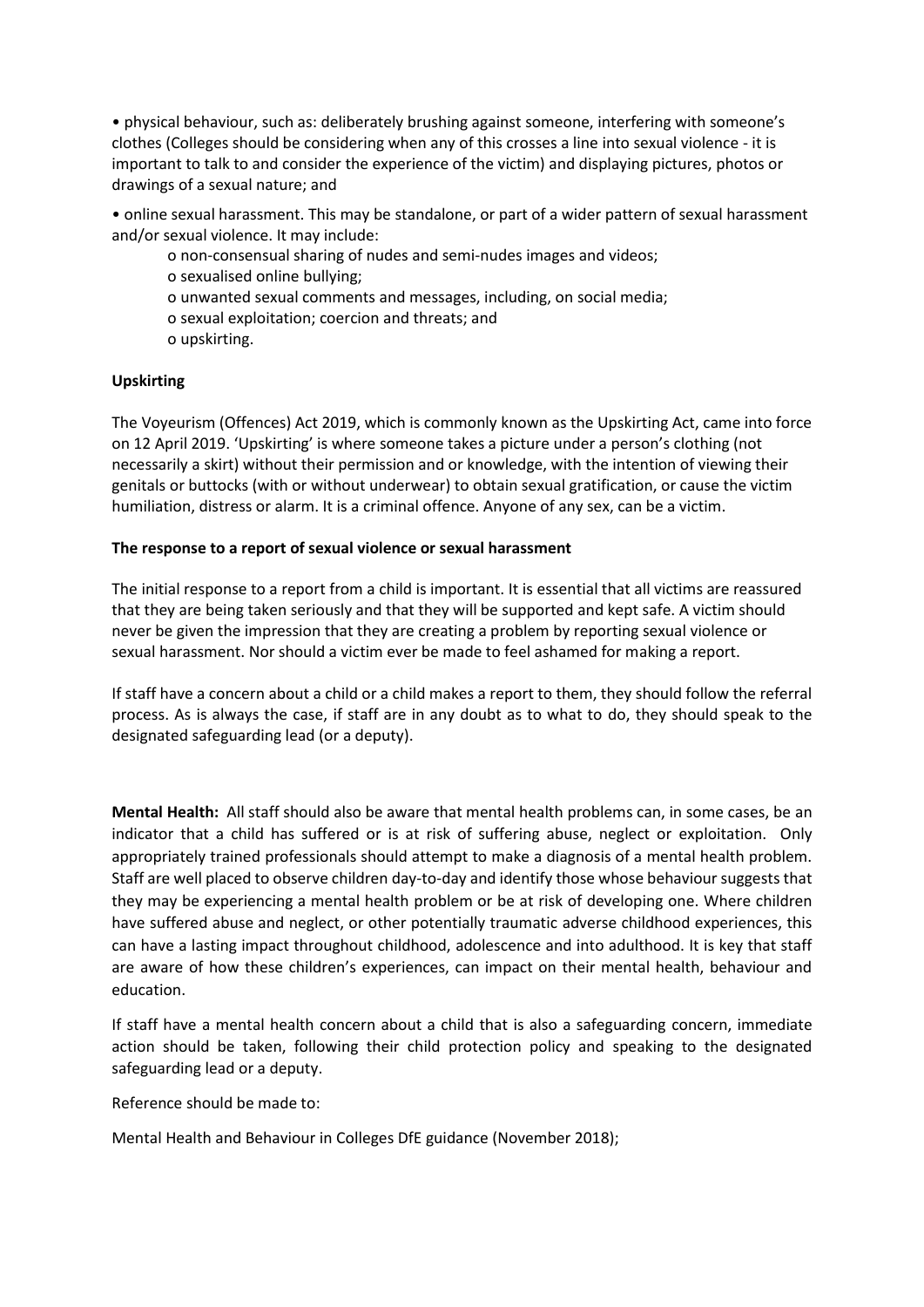• physical behaviour, such as: deliberately brushing against someone, interfering with someone's clothes (Colleges should be considering when any of this crosses a line into sexual violence - it is important to talk to and consider the experience of the victim) and displaying pictures, photos or drawings of a sexual nature; and

• online sexual harassment. This may be standalone, or part of a wider pattern of sexual harassment and/or sexual violence. It may include:

- o non-consensual sharing of nudes and semi-nudes images and videos;
- o sexualised online bullying;
- o unwanted sexual comments and messages, including, on social media;
- o sexual exploitation; coercion and threats; and
- o upskirting.

#### **Upskirting**

The Voyeurism (Offences) Act 2019, which is commonly known as the Upskirting Act, came into force on 12 April 2019. 'Upskirting' is where someone takes a picture under a person's clothing (not necessarily a skirt) without their permission and or knowledge, with the intention of viewing their genitals or buttocks (with or without underwear) to obtain sexual gratification, or cause the victim humiliation, distress or alarm. It is a criminal offence. Anyone of any sex, can be a victim.

#### **The response to a report of sexual violence or sexual harassment**

The initial response to a report from a child is important. It is essential that all victims are reassured that they are being taken seriously and that they will be supported and kept safe. A victim should never be given the impression that they are creating a problem by reporting sexual violence or sexual harassment. Nor should a victim ever be made to feel ashamed for making a report.

If staff have a concern about a child or a child makes a report to them, they should follow the referral process. As is always the case, if staff are in any doubt as to what to do, they should speak to the designated safeguarding lead (or a deputy).

**Mental Health:** All staff should also be aware that mental health problems can, in some cases, be an indicator that a child has suffered or is at risk of suffering abuse, neglect or exploitation. Only appropriately trained professionals should attempt to make a diagnosis of a mental health problem. Staff are well placed to observe children day-to-day and identify those whose behaviour suggests that they may be experiencing a mental health problem or be at risk of developing one. Where children have suffered abuse and neglect, or other potentially traumatic adverse childhood experiences, this can have a lasting impact throughout childhood, adolescence and into adulthood. It is key that staff are aware of how these children's experiences, can impact on their mental health, behaviour and education.

If staff have a mental health concern about a child that is also a safeguarding concern, immediate action should be taken, following their child protection policy and speaking to the designated safeguarding lead or a deputy.

Reference should be made to:

Mental Health and Behaviour in Colleges DfE guidance (November 2018);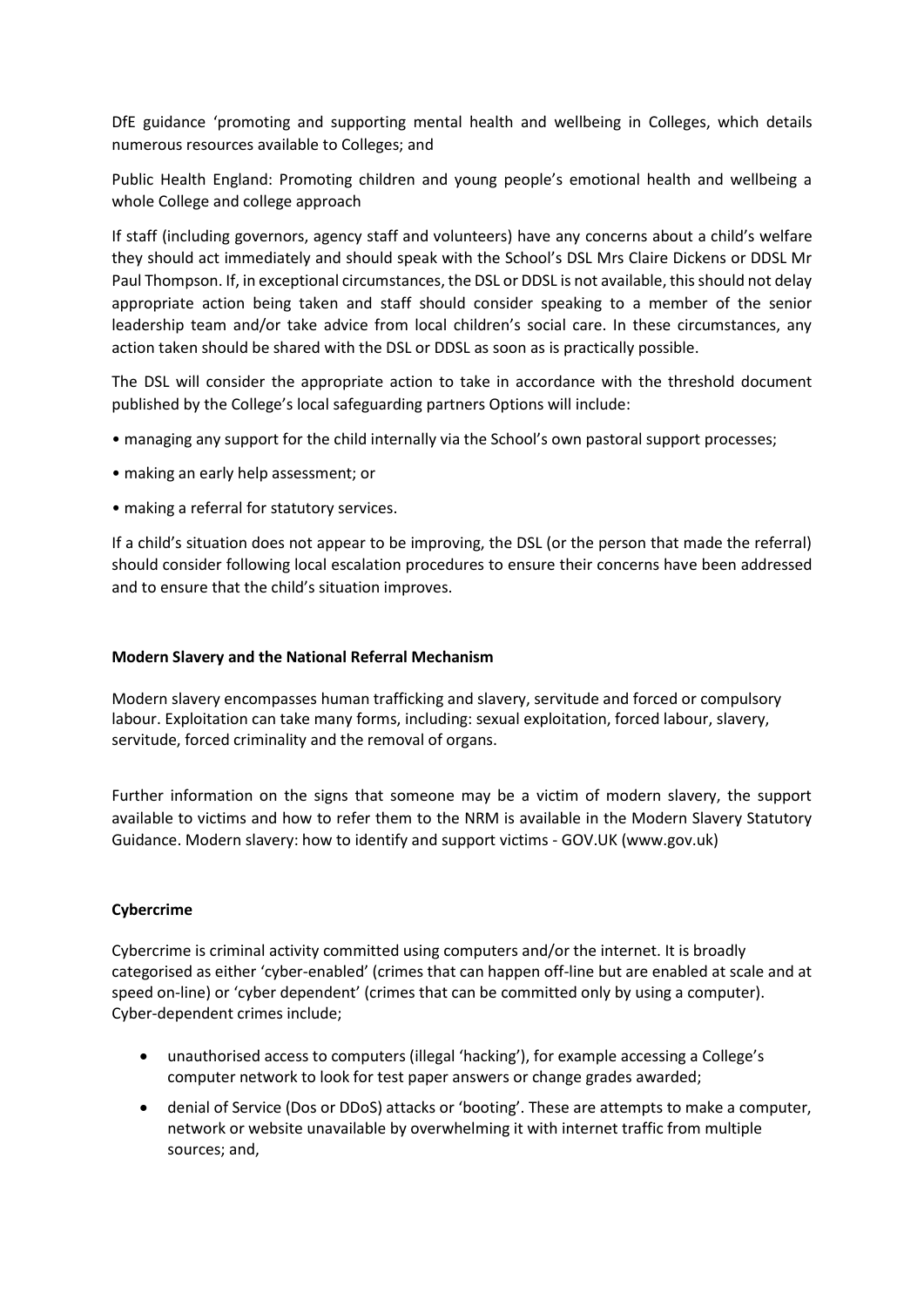DfE guidance 'promoting and supporting mental health and wellbeing in Colleges, which details numerous resources available to Colleges; and

Public Health England: Promoting children and young people's emotional health and wellbeing a whole College and college approach

If staff (including governors, agency staff and volunteers) have any concerns about a child's welfare they should act immediately and should speak with the School's DSL Mrs Claire Dickens or DDSL Mr Paul Thompson. If, in exceptional circumstances, the DSL or DDSL is not available, this should not delay appropriate action being taken and staff should consider speaking to a member of the senior leadership team and/or take advice from local children's social care. In these circumstances, any action taken should be shared with the DSL or DDSL as soon as is practically possible.

The DSL will consider the appropriate action to take in accordance with the threshold document published by the College's local safeguarding partners Options will include:

- managing any support for the child internally via the School's own pastoral support processes;
- making an early help assessment; or
- making a referral for statutory services.

If a child's situation does not appear to be improving, the DSL (or the person that made the referral) should consider following local escalation procedures to ensure their concerns have been addressed and to ensure that the child's situation improves.

#### **Modern Slavery and the National Referral Mechanism**

Modern slavery encompasses human trafficking and slavery, servitude and forced or compulsory labour. Exploitation can take many forms, including: sexual exploitation, forced labour, slavery, servitude, forced criminality and the removal of organs.

Further information on the signs that someone may be a victim of modern slavery, the support available to victims and how to refer them to the NRM is available in the Modern Slavery Statutory Guidance. Modern slavery: how to identify and support victims - GOV.UK (www.gov.uk)

#### **Cybercrime**

Cybercrime is criminal activity committed using computers and/or the internet. It is broadly categorised as either 'cyber-enabled' (crimes that can happen off-line but are enabled at scale and at speed on-line) or 'cyber dependent' (crimes that can be committed only by using a computer). Cyber-dependent crimes include;

- unauthorised access to computers (illegal 'hacking'), for example accessing a College's computer network to look for test paper answers or change grades awarded;
- denial of Service (Dos or DDoS) attacks or 'booting'. These are attempts to make a computer, network or website unavailable by overwhelming it with internet traffic from multiple sources; and,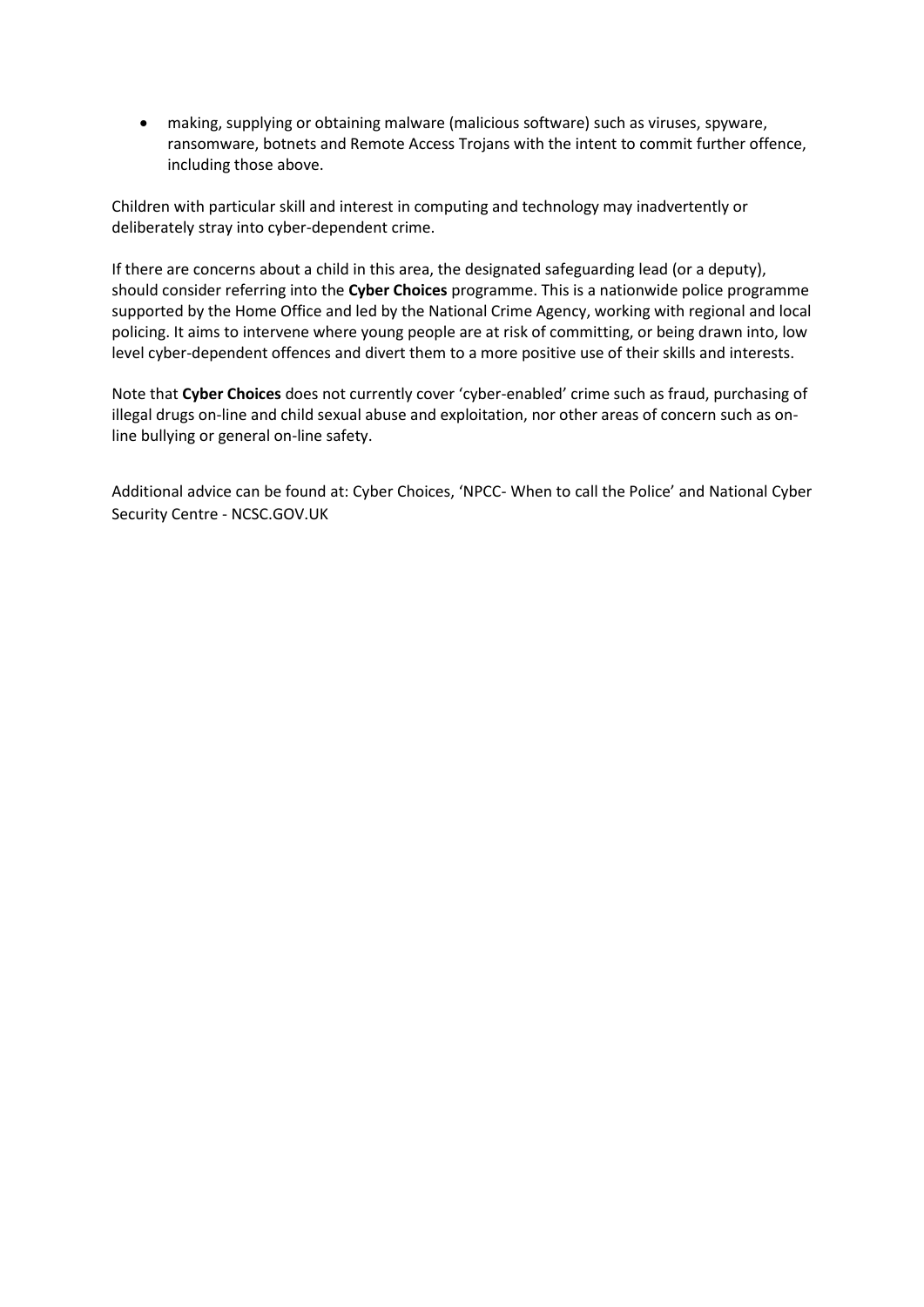• making, supplying or obtaining malware (malicious software) such as viruses, spyware, ransomware, botnets and Remote Access Trojans with the intent to commit further offence, including those above.

Children with particular skill and interest in computing and technology may inadvertently or deliberately stray into cyber-dependent crime.

If there are concerns about a child in this area, the designated safeguarding lead (or a deputy), should consider referring into the **Cyber Choices** programme. This is a nationwide police programme supported by the Home Office and led by the National Crime Agency, working with regional and local policing. It aims to intervene where young people are at risk of committing, or being drawn into, low level cyber-dependent offences and divert them to a more positive use of their skills and interests.

Note that **Cyber Choices** does not currently cover 'cyber-enabled' crime such as fraud, purchasing of illegal drugs on-line and child sexual abuse and exploitation, nor other areas of concern such as online bullying or general on-line safety.

Additional advice can be found at: Cyber Choices, 'NPCC- When to call the Police' and National Cyber Security Centre - NCSC.GOV.UK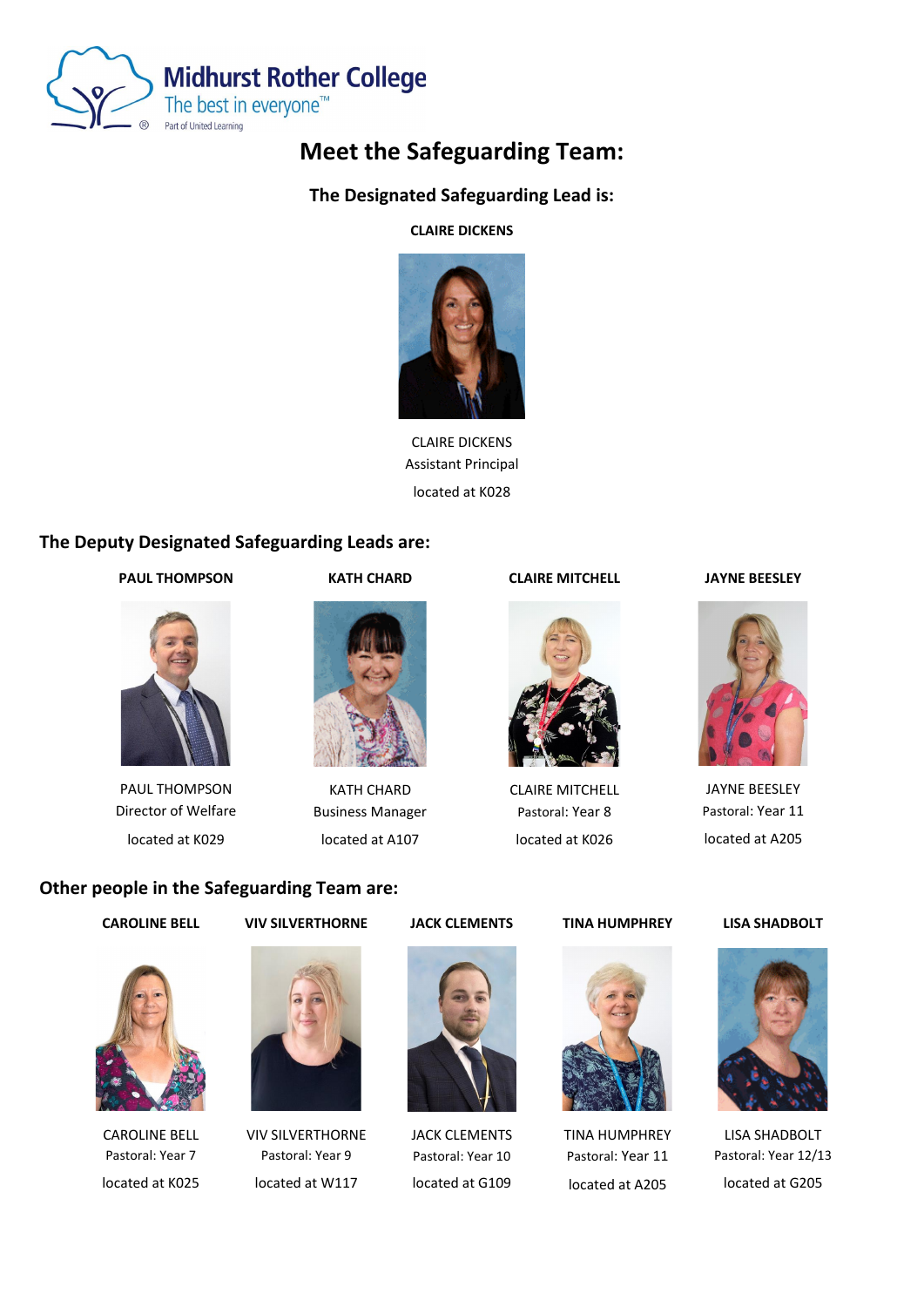

# **Meet the Safeguarding Team:**

**The Designated Safeguarding Lead is:**

**CLAIRE DICKENS**



CLAIRE DICKENS Assistant Principal located at K028

# **The Deputy Designated Safeguarding Leads are:**

**PAUL THOMPSON**



PAUL THOMPSON Director of Welfare located at K029





KATH CHARD Business Manager located at A107

**CLAIRE MITCHELL**



CLAIRE MITCHELL Pastoral: Year 8 located at K026





JAYNE BEESLEY Pastoral: Year 11 located at A205

## **Other people in the Safeguarding Team are:**

**CAROLINE BELL**

**VIV SILVERTHORNE**

## **JACK CLEMENTS**

| <b>CAROLINE BELL</b> | VIV SII VERTHORNE | JACK CLEMENTS     | TINA HUMPHREY     | TISA SHADBOLT        |
|----------------------|-------------------|-------------------|-------------------|----------------------|
| Pastoral: Year 7     | Pastoral: Year 9  | Pastoral: Year 10 | Pastoral: Year 11 | Pastoral: Year 12/13 |
| located at K025      | located at W117   | located at G109   | located at A205   | located at G205      |

**TINA HUMPHREY**

## **LISA SHADBOLT**











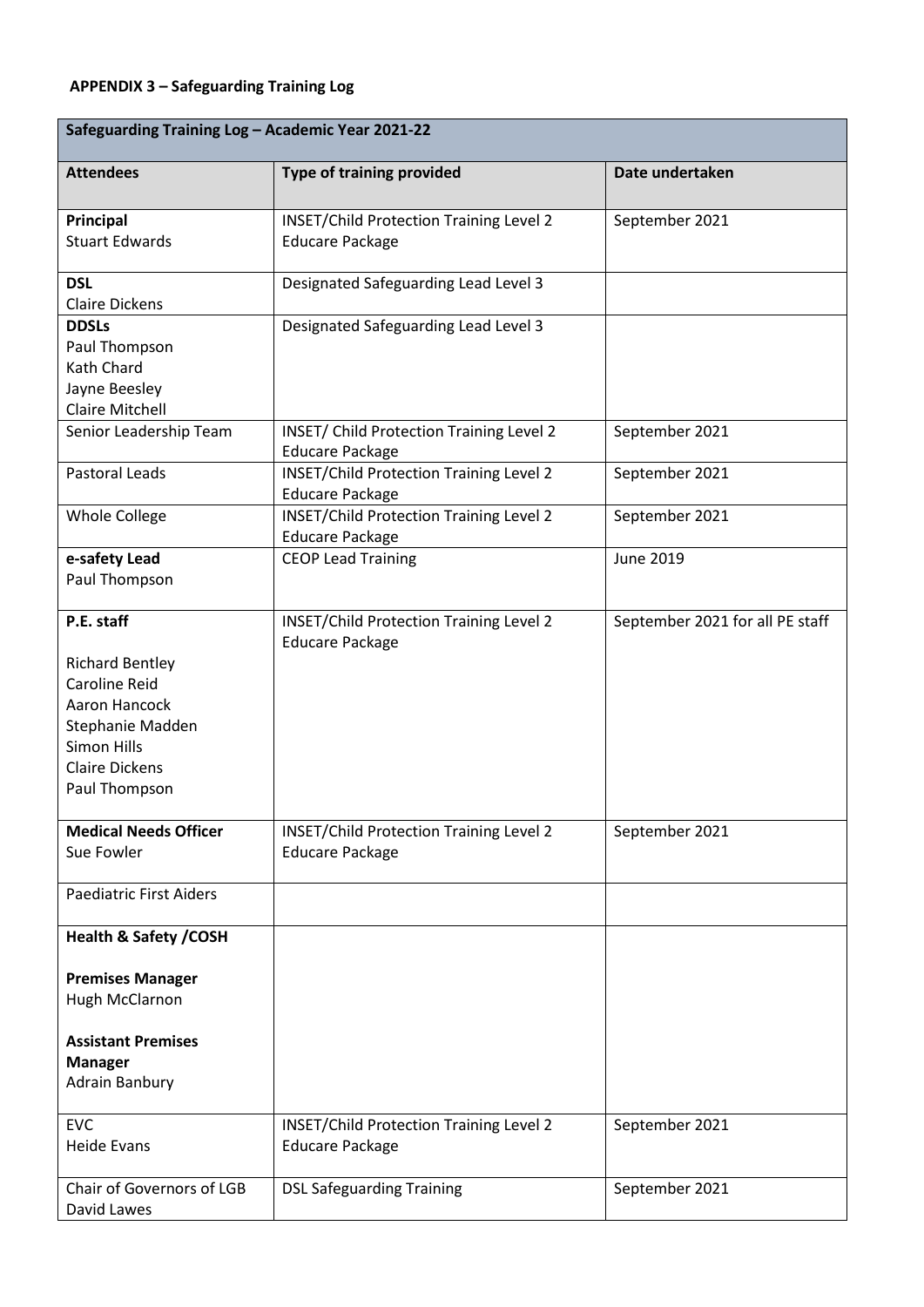| Safeguarding Training Log - Academic Year 2021-22                                                                                                          |                                                                          |                                 |  |
|------------------------------------------------------------------------------------------------------------------------------------------------------------|--------------------------------------------------------------------------|---------------------------------|--|
| <b>Attendees</b>                                                                                                                                           | Type of training provided                                                | Date undertaken                 |  |
| Principal                                                                                                                                                  | <b>INSET/Child Protection Training Level 2</b>                           | September 2021                  |  |
| <b>Stuart Edwards</b>                                                                                                                                      | <b>Educare Package</b>                                                   |                                 |  |
| <b>DSL</b><br><b>Claire Dickens</b>                                                                                                                        | Designated Safeguarding Lead Level 3                                     |                                 |  |
| <b>DDSLs</b><br>Paul Thompson<br>Kath Chard<br>Jayne Beesley<br><b>Claire Mitchell</b>                                                                     | Designated Safeguarding Lead Level 3                                     |                                 |  |
| Senior Leadership Team                                                                                                                                     | INSET/ Child Protection Training Level 2<br><b>Educare Package</b>       | September 2021                  |  |
| <b>Pastoral Leads</b>                                                                                                                                      | <b>INSET/Child Protection Training Level 2</b><br><b>Educare Package</b> | September 2021                  |  |
| Whole College                                                                                                                                              | <b>INSET/Child Protection Training Level 2</b><br><b>Educare Package</b> | September 2021                  |  |
| e-safety Lead<br>Paul Thompson                                                                                                                             | <b>CEOP Lead Training</b>                                                | <b>June 2019</b>                |  |
| P.E. staff<br><b>Richard Bentley</b><br><b>Caroline Reid</b><br>Aaron Hancock<br>Stephanie Madden<br>Simon Hills<br><b>Claire Dickens</b><br>Paul Thompson | <b>INSET/Child Protection Training Level 2</b><br><b>Educare Package</b> | September 2021 for all PE staff |  |
| <b>Medical Needs Officer</b><br>Sue Fowler                                                                                                                 | <b>INSET/Child Protection Training Level 2</b><br><b>Educare Package</b> | September 2021                  |  |
| <b>Paediatric First Aiders</b>                                                                                                                             |                                                                          |                                 |  |
| <b>Health &amp; Safety / COSH</b>                                                                                                                          |                                                                          |                                 |  |
| <b>Premises Manager</b><br>Hugh McClarnon                                                                                                                  |                                                                          |                                 |  |
| <b>Assistant Premises</b><br><b>Manager</b><br>Adrain Banbury                                                                                              |                                                                          |                                 |  |
| <b>EVC</b><br><b>Heide Evans</b>                                                                                                                           | <b>INSET/Child Protection Training Level 2</b><br><b>Educare Package</b> | September 2021                  |  |
| Chair of Governors of LGB<br>David Lawes                                                                                                                   | <b>DSL Safeguarding Training</b>                                         | September 2021                  |  |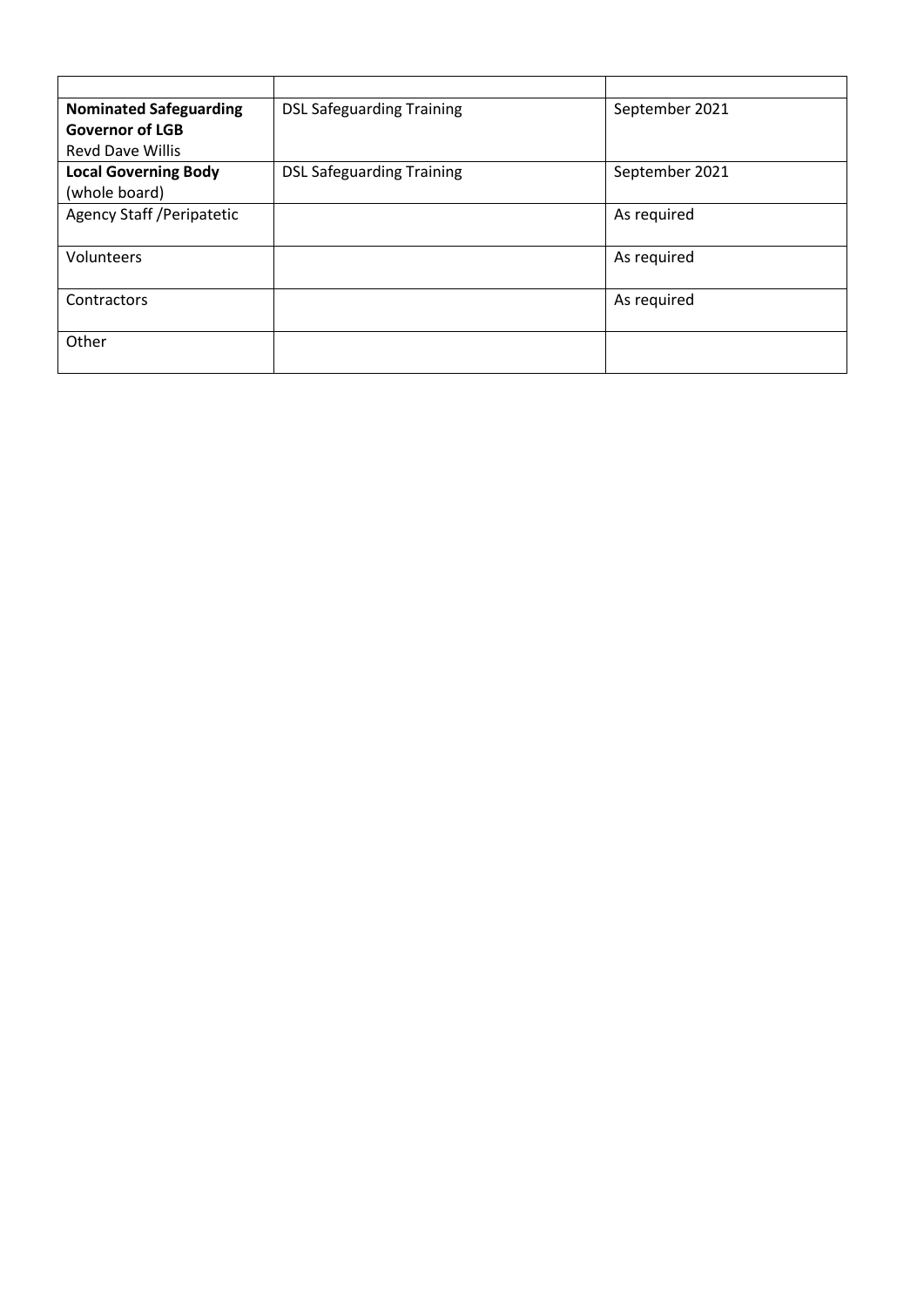| <b>Nominated Safeguarding</b>    | <b>DSL Safeguarding Training</b> | September 2021 |
|----------------------------------|----------------------------------|----------------|
| <b>Governor of LGB</b>           |                                  |                |
| <b>Revd Dave Willis</b>          |                                  |                |
| <b>Local Governing Body</b>      | <b>DSL Safeguarding Training</b> | September 2021 |
| (whole board)                    |                                  |                |
| <b>Agency Staff /Peripatetic</b> |                                  | As required    |
|                                  |                                  |                |
| Volunteers                       |                                  | As required    |
|                                  |                                  |                |
| Contractors                      |                                  | As required    |
|                                  |                                  |                |
| Other                            |                                  |                |
|                                  |                                  |                |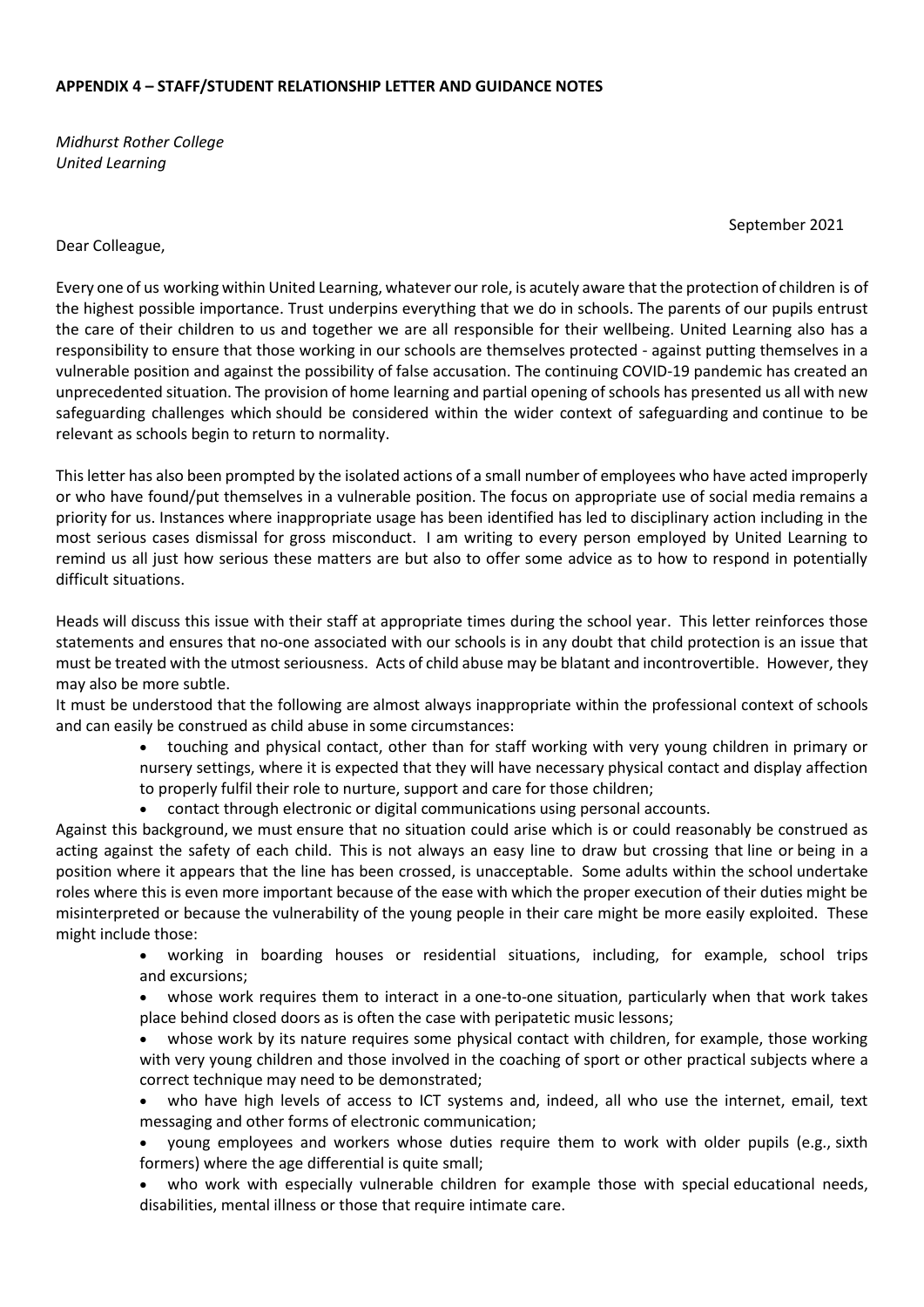#### **APPENDIX 4 – STAFF/STUDENT RELATIONSHIP LETTER AND GUIDANCE NOTES**

*Midhurst Rother College United Learning*

September 2021

#### Dear Colleague,

Every one of us working within United Learning, whatever our role, is acutely aware that the protection of children is of the highest possible importance. Trust underpins everything that we do in schools. The parents of our pupils entrust the care of their children to us and together we are all responsible for their wellbeing. United Learning also has a responsibility to ensure that those working in our schools are themselves protected - against putting themselves in a vulnerable position and against the possibility of false accusation. The continuing COVID-19 pandemic has created an unprecedented situation. The provision of home learning and partial opening of schools has presented us all with new safeguarding challenges which should be considered within the wider context of safeguarding and continue to be relevant as schools begin to return to normality.

This letter has also been prompted by the isolated actions of a small number of employees who have acted improperly or who have found/put themselves in a vulnerable position. The focus on appropriate use of social media remains a priority for us. Instances where inappropriate usage has been identified has led to disciplinary action including in the most serious cases dismissal for gross misconduct. I am writing to every person employed by United Learning to remind us all just how serious these matters are but also to offer some advice as to how to respond in potentially difficult situations.

Heads will discuss this issue with their staff at appropriate times during the school year. This letter reinforces those statements and ensures that no-one associated with our schools is in any doubt that child protection is an issue that must be treated with the utmost seriousness. Acts of child abuse may be blatant and incontrovertible. However, they may also be more subtle.

It must be understood that the following are almost always inappropriate within the professional context of schools and can easily be construed as child abuse in some circumstances:

- touching and physical contact, other than for staff working with very young children in primary or nursery settings, where it is expected that they will have necessary physical contact and display affection to properly fulfil their role to nurture, support and care for those children;
- contact through electronic or digital communications using personal accounts.

Against this background, we must ensure that no situation could arise which is or could reasonably be construed as acting against the safety of each child. This is not always an easy line to draw but crossing that line or being in a position where it appears that the line has been crossed, is unacceptable. Some adults within the school undertake roles where this is even more important because of the ease with which the proper execution of their duties might be misinterpreted or because the vulnerability of the young people in their care might be more easily exploited. These might include those:

- working in boarding houses or residential situations, including, for example, school trips and excursions;
- whose work requires them to interact in a one-to-one situation, particularly when that work takes place behind closed doors as is often the case with peripatetic music lessons;
- whose work by its nature requires some physical contact with children, for example, those working with very young children and those involved in the coaching of sport or other practical subjects where a correct technique may need to be demonstrated;
- who have high levels of access to ICT systems and, indeed, all who use the internet, email, text messaging and other forms of electronic communication;
- young employees and workers whose duties require them to work with older pupils (e.g., sixth formers) where the age differential is quite small;
- who work with especially vulnerable children for example those with special educational needs, disabilities, mental illness or those that require intimate care.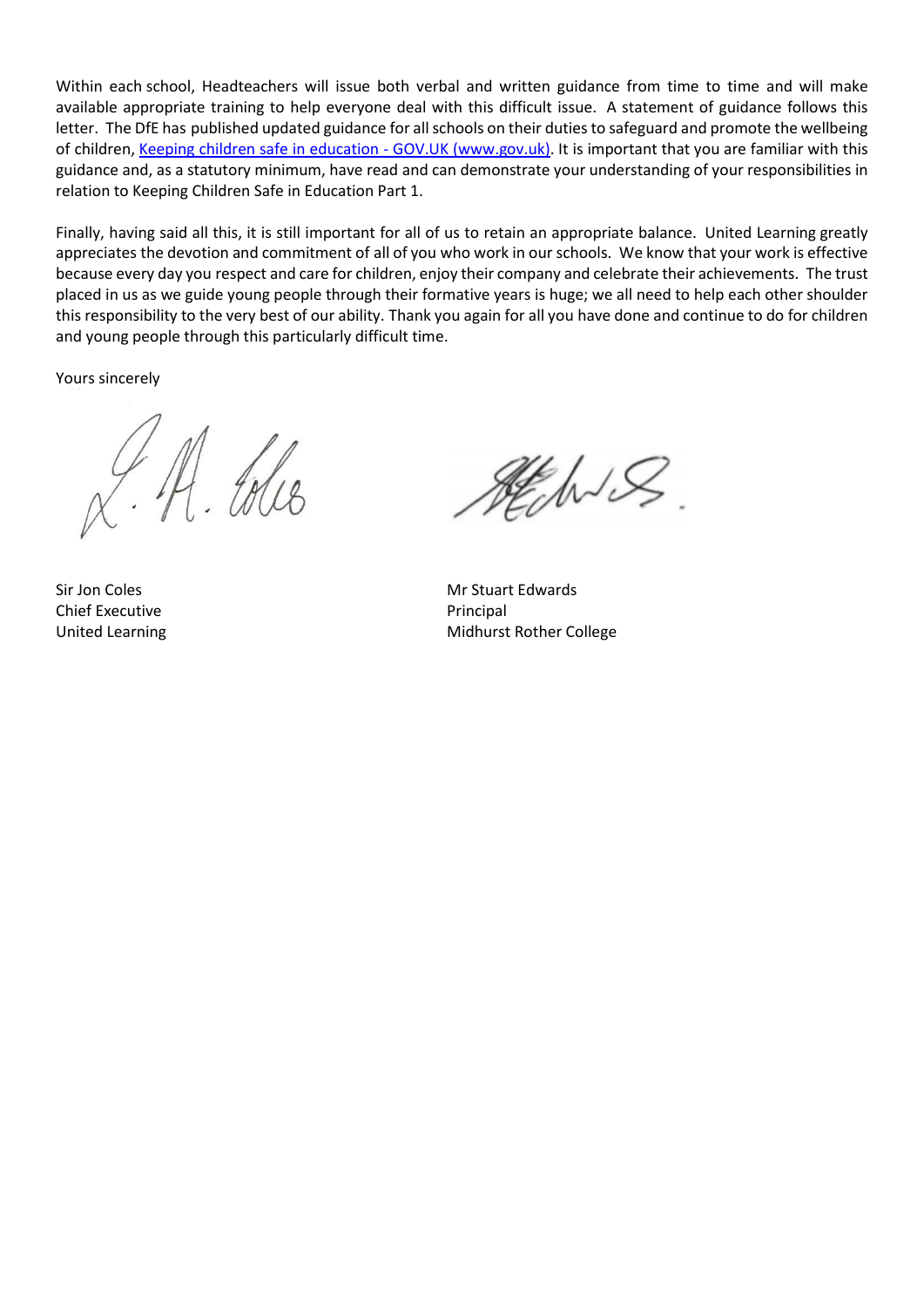Within each school, Headteachers will issue both verbal and written guidance from time to time and will make available appropriate training to help everyone deal with this difficult issue. A statement of guidance follows this letter. The DfE has published updated guidance for all schools on their duties to safeguard and promote the wellbeing of children, [Keeping children safe in education -](https://www.gov.uk/government/publications/keeping-children-safe-in-education--2) GOV.UK (www.gov.uk). It is important that you are familiar with this guidance and, as a statutory minimum, have read and can demonstrate your understanding of your responsibilities in relation to Keeping Children Safe in Education Part 1.

Finally, having said all this, it is still important for all of us to retain an appropriate balance. United Learning greatly appreciates the devotion and commitment of all of you who work in our schools. We know that your work is effective because every day you respect and care for children, enjoy their company and celebrate their achievements. The trust placed in us as we guide young people through their formative years is huge; we all need to help each other shoulder this responsibility to the very best of our ability. Thank you again for all you have done and continue to do for children and young people through this particularly difficult time.

Yours sincerely

J.A. Colis

Chief Executive **Principal** 

HelvIS.

Sir Jon Coles **Mr Stuart Edwards** United Learning **Midhurst Rother College**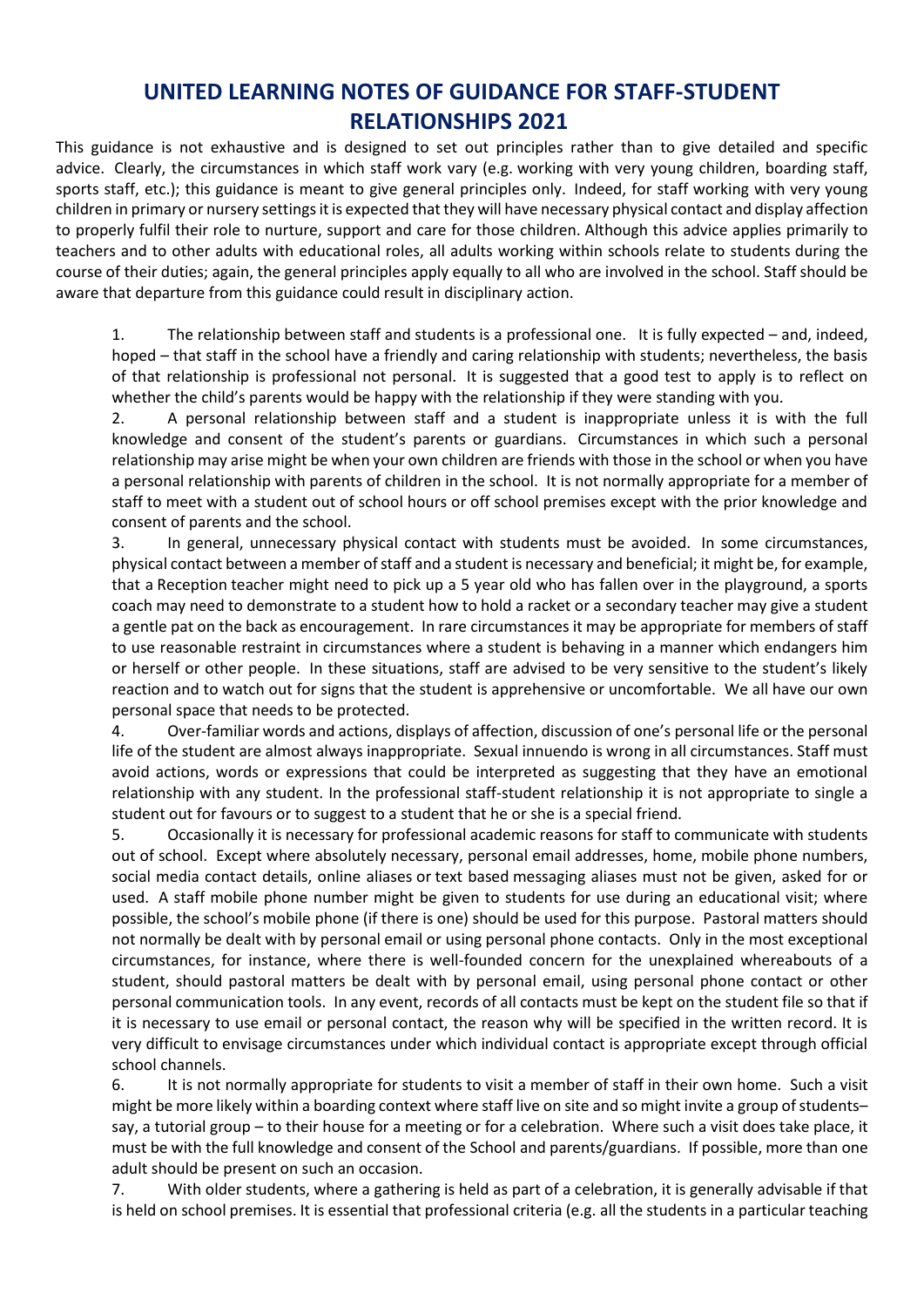## **UNITED LEARNING NOTES OF GUIDANCE FOR STAFF-STUDENT RELATIONSHIPS 2021**

This guidance is not exhaustive and is designed to set out principles rather than to give detailed and specific advice. Clearly, the circumstances in which staff work vary (e.g. working with very young children, boarding staff, sports staff, etc.); this guidance is meant to give general principles only. Indeed, for staff working with very young children in primary or nursery settings it is expected that they will have necessary physical contact and display affection to properly fulfil their role to nurture, support and care for those children. Although this advice applies primarily to teachers and to other adults with educational roles, all adults working within schools relate to students during the course of their duties; again, the general principles apply equally to all who are involved in the school. Staff should be aware that departure from this guidance could result in disciplinary action.

1. The relationship between staff and students is a professional one. It is fully expected – and, indeed, hoped – that staff in the school have a friendly and caring relationship with students; nevertheless, the basis of that relationship is professional not personal. It is suggested that a good test to apply is to reflect on whether the child's parents would be happy with the relationship if they were standing with you.

2. A personal relationship between staff and a student is inappropriate unless it is with the full knowledge and consent of the student's parents or guardians. Circumstances in which such a personal relationship may arise might be when your own children are friends with those in the school or when you have a personal relationship with parents of children in the school. It is not normally appropriate for a member of staff to meet with a student out of school hours or off school premises except with the prior knowledge and consent of parents and the school.

3. In general, unnecessary physical contact with students must be avoided. In some circumstances, physical contact between a member of staff and a student is necessary and beneficial; it might be, for example, that a Reception teacher might need to pick up a 5 year old who has fallen over in the playground, a sports coach may need to demonstrate to a student how to hold a racket or a secondary teacher may give a student a gentle pat on the back as encouragement. In rare circumstances it may be appropriate for members of staff to use reasonable restraint in circumstances where a student is behaving in a manner which endangers him or herself or other people. In these situations, staff are advised to be very sensitive to the student's likely reaction and to watch out for signs that the student is apprehensive or uncomfortable. We all have our own personal space that needs to be protected.

4. Over-familiar words and actions, displays of affection, discussion of one's personal life or the personal life of the student are almost always inappropriate. Sexual innuendo is wrong in all circumstances. Staff must avoid actions, words or expressions that could be interpreted as suggesting that they have an emotional relationship with any student. In the professional staff-student relationship it is not appropriate to single a student out for favours or to suggest to a student that he or she is a special friend.

5. Occasionally it is necessary for professional academic reasons for staff to communicate with students out of school. Except where absolutely necessary, personal email addresses, home, mobile phone numbers, social media contact details, online aliases or text based messaging aliases must not be given, asked for or used. A staff mobile phone number might be given to students for use during an educational visit; where possible, the school's mobile phone (if there is one) should be used for this purpose. Pastoral matters should not normally be dealt with by personal email or using personal phone contacts. Only in the most exceptional circumstances, for instance, where there is well-founded concern for the unexplained whereabouts of a student, should pastoral matters be dealt with by personal email, using personal phone contact or other personal communication tools. In any event, records of all contacts must be kept on the student file so that if it is necessary to use email or personal contact, the reason why will be specified in the written record. It is very difficult to envisage circumstances under which individual contact is appropriate except through official school channels.

6. It is not normally appropriate for students to visit a member of staff in their own home. Such a visit might be more likely within a boarding context where staff live on site and so might invite a group of students– say, a tutorial group – to their house for a meeting or for a celebration. Where such a visit does take place, it must be with the full knowledge and consent of the School and parents/guardians. If possible, more than one adult should be present on such an occasion.

7. With older students, where a gathering is held as part of a celebration, it is generally advisable if that is held on school premises. It is essential that professional criteria (e.g. all the students in a particular teaching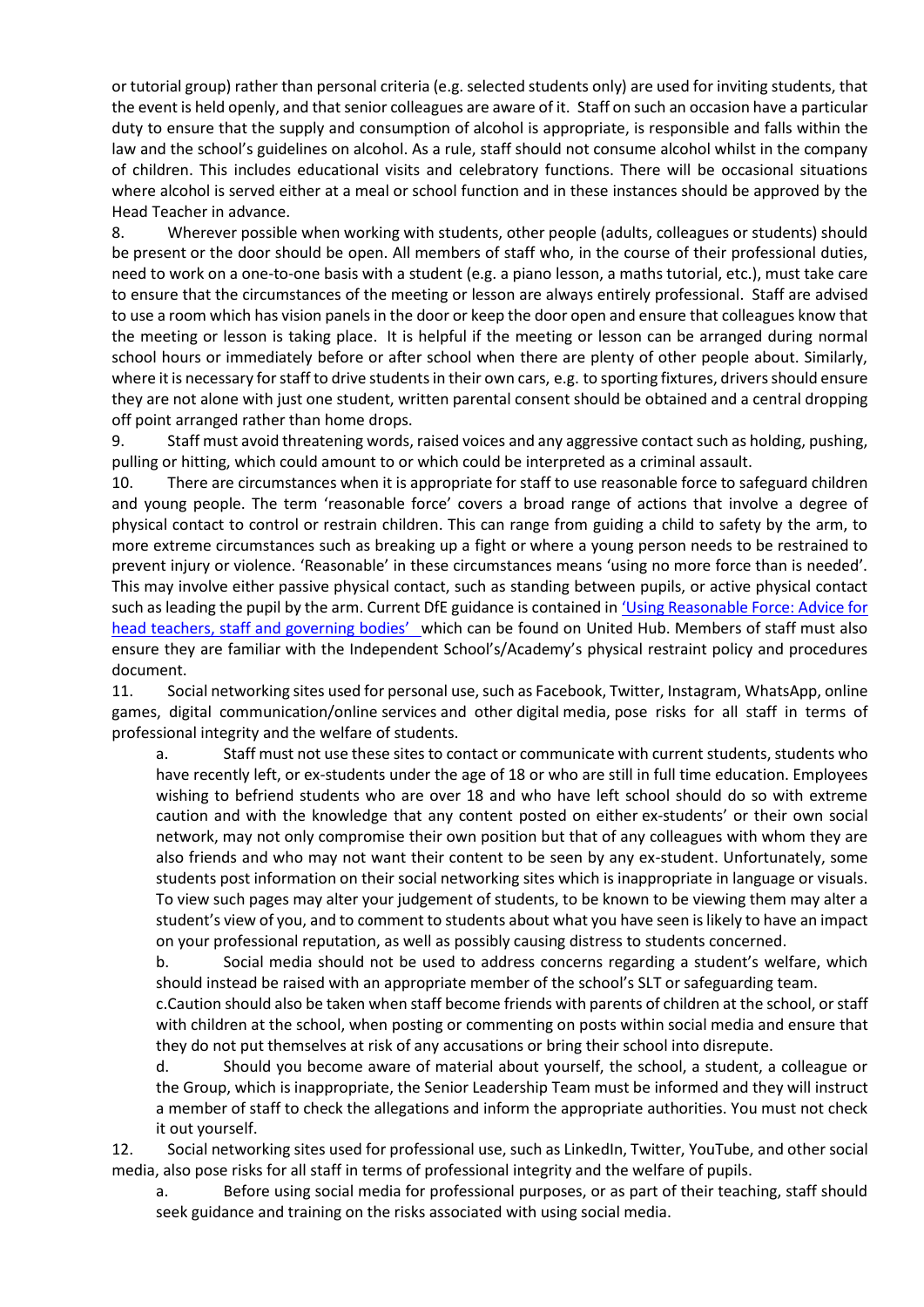or tutorial group) rather than personal criteria (e.g. selected students only) are used for inviting students, that the event is held openly, and that senior colleagues are aware of it. Staff on such an occasion have a particular duty to ensure that the supply and consumption of alcohol is appropriate, is responsible and falls within the law and the school's guidelines on alcohol. As a rule, staff should not consume alcohol whilst in the company of children. This includes educational visits and celebratory functions. There will be occasional situations where alcohol is served either at a meal or school function and in these instances should be approved by the Head Teacher in advance.

8. Wherever possible when working with students, other people (adults, colleagues or students) should be present or the door should be open. All members of staff who, in the course of their professional duties, need to work on a one-to-one basis with a student (e.g. a piano lesson, a maths tutorial, etc.), must take care to ensure that the circumstances of the meeting or lesson are always entirely professional. Staff are advised to use a room which has vision panels in the door or keep the door open and ensure that colleagues know that the meeting or lesson is taking place. It is helpful if the meeting or lesson can be arranged during normal school hours or immediately before or after school when there are plenty of other people about. Similarly, where it is necessary for staff to drive students in their own cars, e.g. to sporting fixtures, drivers should ensure they are not alone with just one student, written parental consent should be obtained and a central dropping off point arranged rather than home drops.

9. Staff must avoid threatening words, raised voices and any aggressive contact such as holding, pushing, pulling or hitting, which could amount to or which could be interpreted as a criminal assault.

10. There are circumstances when it is appropriate for staff to use reasonable force to safeguard children and young people. The term 'reasonable force' covers a broad range of actions that involve a degree of physical contact to control or restrain children. This can range from guiding a child to safety by the arm, to more extreme circumstances such as breaking up a fight or where a young person needs to be restrained to prevent injury or violence. 'Reasonable' in these circumstances means 'using no more force than is needed'. This may involve either passive physical contact, such as standing between pupils, or active physical contact such as leading the pupil by the arm. Current DfE guidance is contained in ['Using Reasonable Force: Advice for](https://www.gov.uk/government/uploads/system/uploads/attachment_data/file/444051/Use_of_reasonable_force_advice_Reviewed_July_2015.pdf)  [head teachers, staff and governing bodies'](https://www.gov.uk/government/uploads/system/uploads/attachment_data/file/444051/Use_of_reasonable_force_advice_Reviewed_July_2015.pdf) which can be found on United Hub. Members of staff must also ensure they are familiar with the Independent School's/Academy's physical restraint policy and procedures document.

11. Social networking sites used for personal use, such as Facebook, Twitter, Instagram, WhatsApp, online games, digital communication/online services and other digital media, pose risks for all staff in terms of professional integrity and the welfare of students.

a. Staff must not use these sites to contact or communicate with current students, students who have recently left, or ex-students under the age of 18 or who are still in full time education. Employees wishing to befriend students who are over 18 and who have left school should do so with extreme caution and with the knowledge that any content posted on either ex-students' or their own social network, may not only compromise their own position but that of any colleagues with whom they are also friends and who may not want their content to be seen by any ex-student. Unfortunately, some students post information on their social networking sites which is inappropriate in language or visuals. To view such pages may alter your judgement of students, to be known to be viewing them may alter a student's view of you, and to comment to students about what you have seen is likely to have an impact on your professional reputation, as well as possibly causing distress to students concerned.

b. Social media should not be used to address concerns regarding a student's welfare, which should instead be raised with an appropriate member of the school's SLT or safeguarding team.

c.Caution should also be taken when staff become friends with parents of children at the school, or staff with children at the school, when posting or commenting on posts within social media and ensure that they do not put themselves at risk of any accusations or bring their school into disrepute.

d. Should you become aware of material about yourself, the school, a student, a colleague or the Group, which is inappropriate, the Senior Leadership Team must be informed and they will instruct a member of staff to check the allegations and inform the appropriate authorities. You must not check it out yourself.

12. Social networking sites used for professional use, such as LinkedIn, Twitter, YouTube, and other social media, also pose risks for all staff in terms of professional integrity and the welfare of pupils.

a. Before using social media for professional purposes, or as part of their teaching, staff should seek guidance and training on the risks associated with using social media.